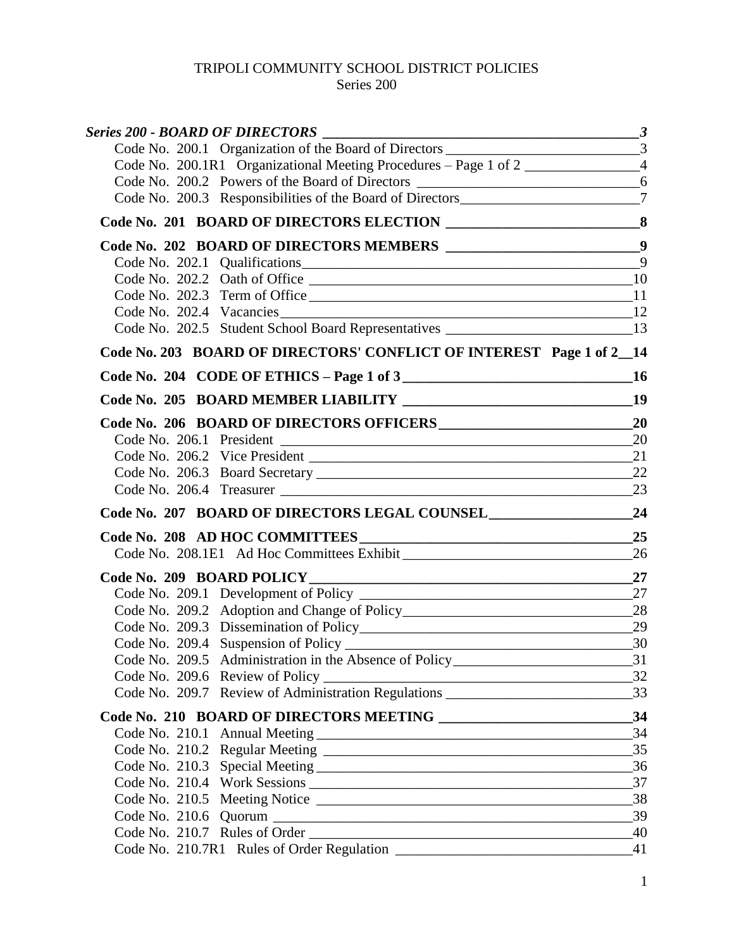# TRIPOLI COMMUNITY SCHOOL DISTRICT POLICIES

# Series 200

| $\overline{\phantom{a}3}$<br><b>Series 200 - BOARD OF DIRECTORS</b>                |                 |
|------------------------------------------------------------------------------------|-----------------|
|                                                                                    |                 |
| Code No. 200.1R1 Organizational Meeting Procedures - Page 1 of 2                   |                 |
|                                                                                    |                 |
| Code No. 200.3 Responsibilities of the Board of Directors________________________7 |                 |
|                                                                                    |                 |
|                                                                                    |                 |
|                                                                                    | $\overline{Q}$  |
|                                                                                    |                 |
|                                                                                    |                 |
| Code No. 202.4 Vacancies 12                                                        |                 |
| Code No. 202.5 Student School Board Representatives ____________________________13 |                 |
| Code No. 203 BOARD OF DIRECTORS' CONFLICT OF INTEREST Page 1 of 2_14               |                 |
| Code No. 204 CODE OF ETHICS - Page 1 of 3                                          |                 |
|                                                                                    |                 |
|                                                                                    |                 |
|                                                                                    | 20              |
|                                                                                    |                 |
|                                                                                    |                 |
|                                                                                    |                 |
| Code No. 207 BOARD OF DIRECTORS LEGAL COUNSEL 24                                   |                 |
|                                                                                    |                 |
|                                                                                    |                 |
|                                                                                    | 27              |
|                                                                                    |                 |
|                                                                                    |                 |
|                                                                                    | 29              |
|                                                                                    |                 |
| Code No. 209.5 Administration in the Absence of Policy___________________________  | $-31$           |
|                                                                                    | 32              |
|                                                                                    |                 |
|                                                                                    |                 |
|                                                                                    | 34              |
|                                                                                    | 35              |
|                                                                                    |                 |
|                                                                                    | 37              |
|                                                                                    | 38              |
|                                                                                    | 39              |
|                                                                                    | $\overline{40}$ |
|                                                                                    | 41              |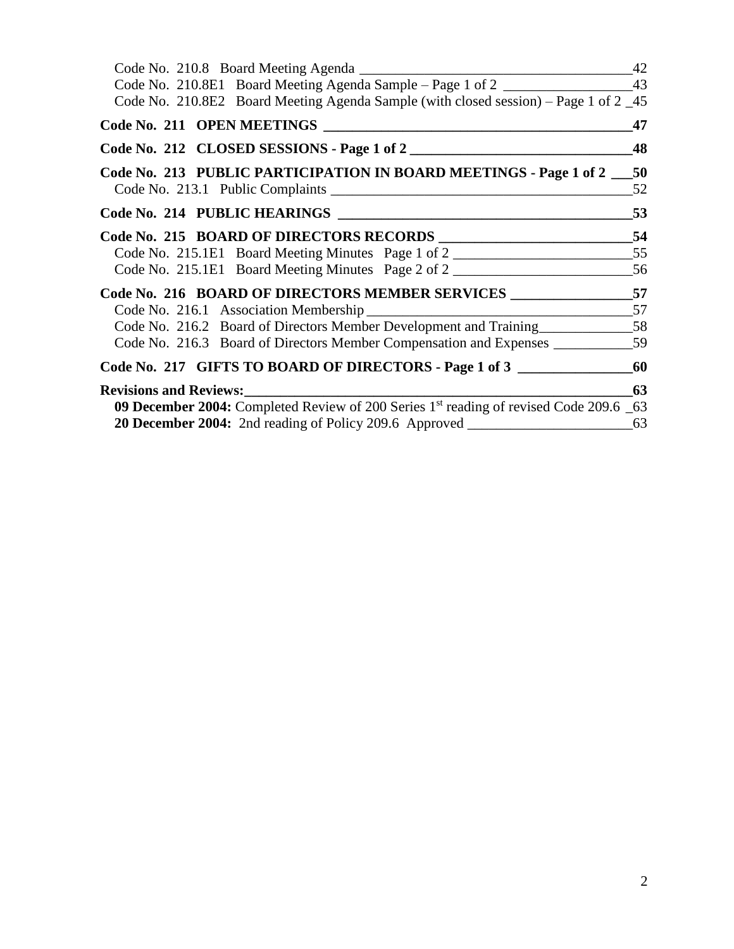| Code No. 210.8E1 Board Meeting Agenda Sample - Page 1 of 2                                        |    |
|---------------------------------------------------------------------------------------------------|----|
| Code No. 210.8E2 Board Meeting Agenda Sample (with closed session) – Page 1 of 2 _45              |    |
| Code No. 211 OPEN MEETINGS                                                                        | 47 |
| Code No. 212 CLOSED SESSIONS - Page 1 of 2                                                        | 48 |
| Code No. 213 PUBLIC PARTICIPATION IN BOARD MEETINGS - Page 1 of 2 50                              |    |
|                                                                                                   | 52 |
| Code No. 214 PUBLIC HEARINGS                                                                      | 53 |
| Code No. 215 BOARD OF DIRECTORS RECORDS ________________________54                                |    |
| Code No. 215.1E1 Board Meeting Minutes Page 1 of 2                                                |    |
| Code No. 215.1E1 Board Meeting Minutes Page 2 of 2                                                |    |
| Code No. 216 BOARD OF DIRECTORS MEMBER SERVICES ________________57                                |    |
|                                                                                                   |    |
| Code No. 216.2 Board of Directors Member Development and Training 58                              |    |
| Code No. 216.3 Board of Directors Member Compensation and Expenses ______________59               |    |
| Code No. 217 GIFTS TO BOARD OF DIRECTORS - Page 1 of 3                                            |    |
| <b>Revisions and Reviews:</b>                                                                     | 63 |
| 09 December 2004: Completed Review of 200 Series 1 <sup>st</sup> reading of revised Code 209.6 63 |    |
| 20 December 2004: 2nd reading of Policy 209.6 Approved __________________________63               |    |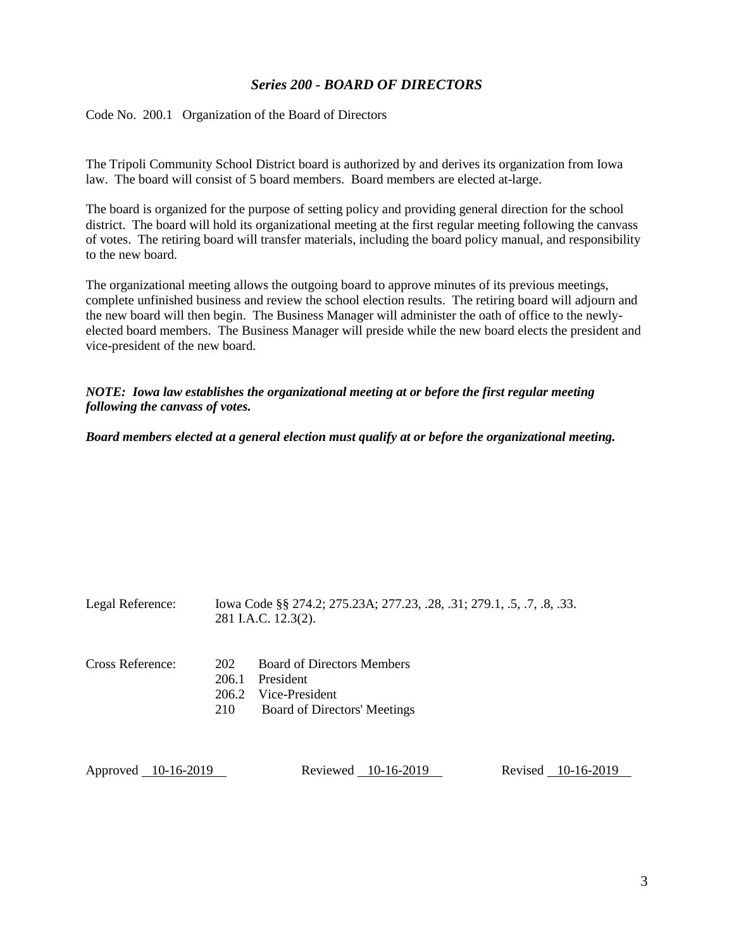# *Series 200 - BOARD OF DIRECTORS*

<span id="page-2-1"></span><span id="page-2-0"></span>Code No. 200.1 Organization of the Board of Directors

The Tripoli Community School District board is authorized by and derives its organization from Iowa law. The board will consist of 5 board members. Board members are elected at-large.

The board is organized for the purpose of setting policy and providing general direction for the school district. The board will hold its organizational meeting at the first regular meeting following the canvass of votes. The retiring board will transfer materials, including the board policy manual, and responsibility to the new board.

The organizational meeting allows the outgoing board to approve minutes of its previous meetings, complete unfinished business and review the school election results. The retiring board will adjourn and the new board will then begin. The Business Manager will administer the oath of office to the newlyelected board members. The Business Manager will preside while the new board elects the president and vice-president of the new board.

#### *NOTE: Iowa law establishes the organizational meeting at or before the first regular meeting following the canvass of votes.*

## *Board members elected at a general election must qualify at or before the organizational meeting.*

| Legal Reference: | Iowa Code §§ 274.2; 275.23A; 277.23, .28, .31; 279.1, .5, .7, .8, .33.<br>281 I.A.C. 12.3(2).                                           |
|------------------|-----------------------------------------------------------------------------------------------------------------------------------------|
| Cross Reference: | <b>Board of Directors Members</b><br>202<br>206.1<br>President<br>Vice-President<br>206.2<br>210<br><b>Board of Directors' Meetings</b> |

| Approved 10-16-2019 | Reviewed 10-16-2019 | Revised 10-16-2019 |
|---------------------|---------------------|--------------------|
|---------------------|---------------------|--------------------|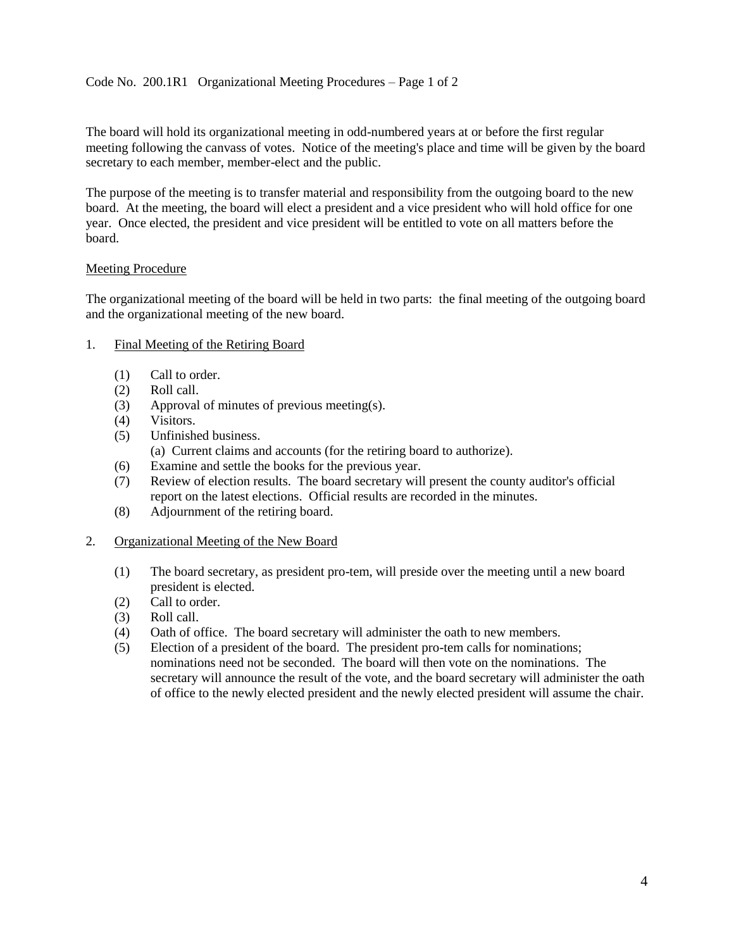## <span id="page-3-0"></span>Code No. 200.1R1 Organizational Meeting Procedures – Page 1 of 2

The board will hold its organizational meeting in odd-numbered years at or before the first regular meeting following the canvass of votes. Notice of the meeting's place and time will be given by the board secretary to each member, member-elect and the public.

The purpose of the meeting is to transfer material and responsibility from the outgoing board to the new board. At the meeting, the board will elect a president and a vice president who will hold office for one year. Once elected, the president and vice president will be entitled to vote on all matters before the board.

## Meeting Procedure

The organizational meeting of the board will be held in two parts: the final meeting of the outgoing board and the organizational meeting of the new board.

- 1. Final Meeting of the Retiring Board
	- (1) Call to order.
	- (2) Roll call.
	- (3) Approval of minutes of previous meeting(s).
	- (4) Visitors.
	- (5) Unfinished business.
		- (a) Current claims and accounts (for the retiring board to authorize).
	- (6) Examine and settle the books for the previous year.
	- (7) Review of election results. The board secretary will present the county auditor's official report on the latest elections. Official results are recorded in the minutes.
	- (8) Adjournment of the retiring board.

## 2. Organizational Meeting of the New Board

- (1) The board secretary, as president pro-tem, will preside over the meeting until a new board president is elected.
- (2) Call to order.
- (3) Roll call.
- (4) Oath of office. The board secretary will administer the oath to new members.
- (5) Election of a president of the board. The president pro-tem calls for nominations; nominations need not be seconded. The board will then vote on the nominations. The secretary will announce the result of the vote, and the board secretary will administer the oath of office to the newly elected president and the newly elected president will assume the chair.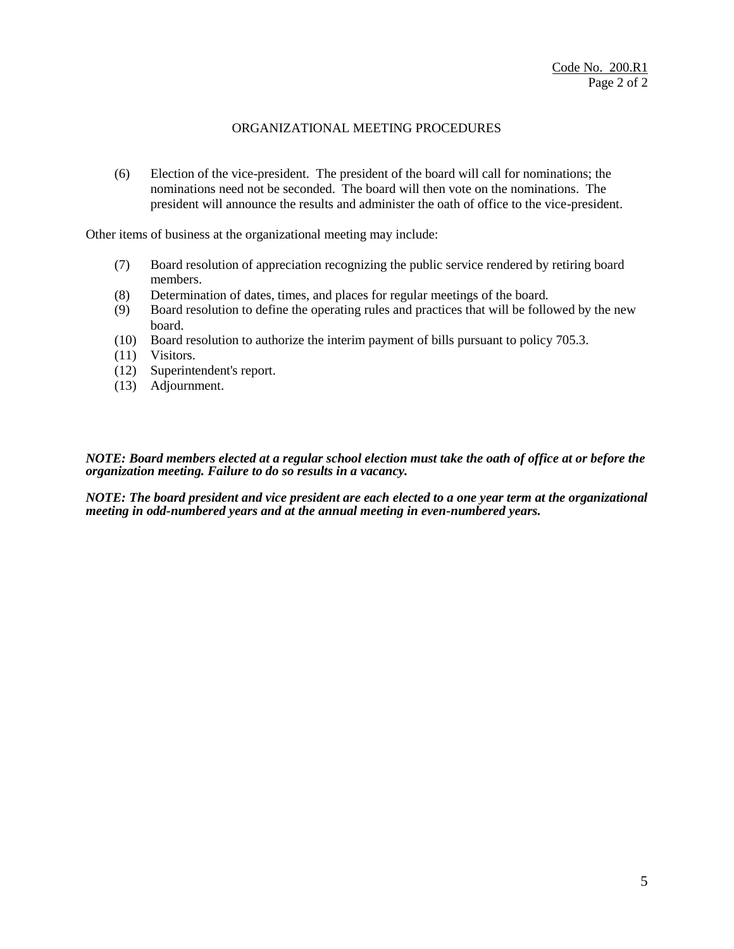## ORGANIZATIONAL MEETING PROCEDURES

(6) Election of the vice-president. The president of the board will call for nominations; the nominations need not be seconded. The board will then vote on the nominations. The president will announce the results and administer the oath of office to the vice-president.

Other items of business at the organizational meeting may include:

- (7) Board resolution of appreciation recognizing the public service rendered by retiring board members.
- (8) Determination of dates, times, and places for regular meetings of the board.
- (9) Board resolution to define the operating rules and practices that will be followed by the new board.
- (10) Board resolution to authorize the interim payment of bills pursuant to policy 705.3.
- (11) Visitors.
- (12) Superintendent's report.
- (13) Adjournment.

*NOTE: Board members elected at a regular school election must take the oath of office at or before the organization meeting. Failure to do so results in a vacancy.* 

*NOTE: The board president and vice president are each elected to a one year term at the organizational meeting in odd-numbered years and at the annual meeting in even-numbered years.*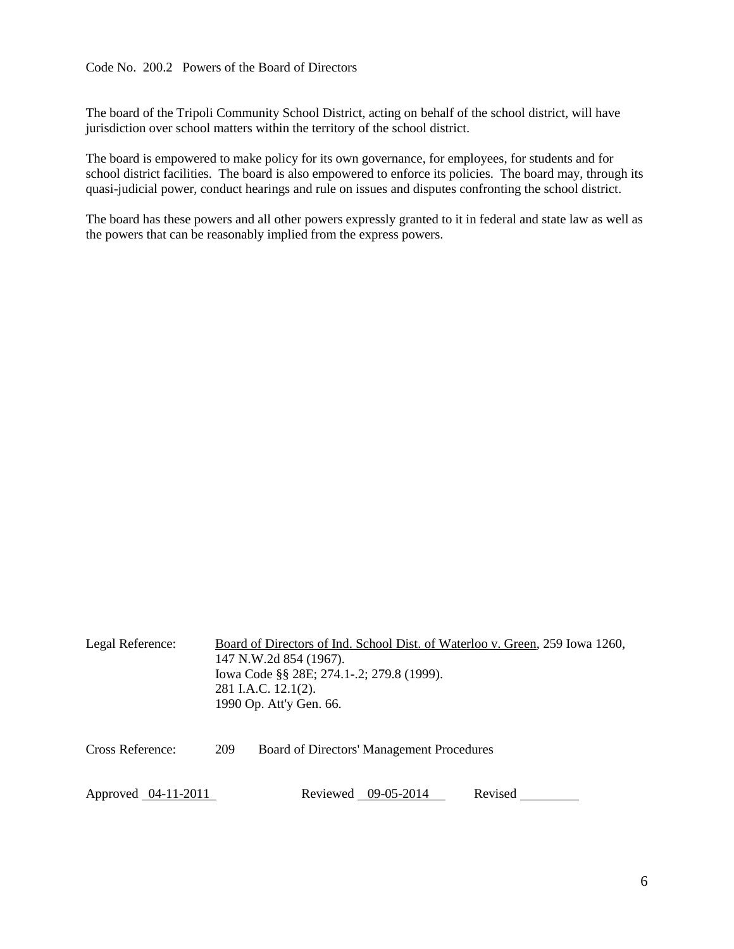<span id="page-5-0"></span>The board of the Tripoli Community School District, acting on behalf of the school district, will have jurisdiction over school matters within the territory of the school district.

The board is empowered to make policy for its own governance, for employees, for students and for school district facilities. The board is also empowered to enforce its policies. The board may, through its quasi-judicial power, conduct hearings and rule on issues and disputes confronting the school district.

The board has these powers and all other powers expressly granted to it in federal and state law as well as the powers that can be reasonably implied from the express powers.

| Legal Reference:    |     | Board of Directors of Ind. School Dist. of Waterloo v. Green, 259 Iowa 1260,<br>147 N.W.2d 854 (1967).<br>Iowa Code §§ 28E; 274.1-.2; 279.8 (1999).<br>281 I.A.C. 12.1(2).<br>1990 Op. Att'y Gen. 66. |         |
|---------------------|-----|-------------------------------------------------------------------------------------------------------------------------------------------------------------------------------------------------------|---------|
| Cross Reference:    | 209 | Board of Directors' Management Procedures                                                                                                                                                             |         |
| Approved 04-11-2011 |     | Reviewed 09-05-2014                                                                                                                                                                                   | Revised |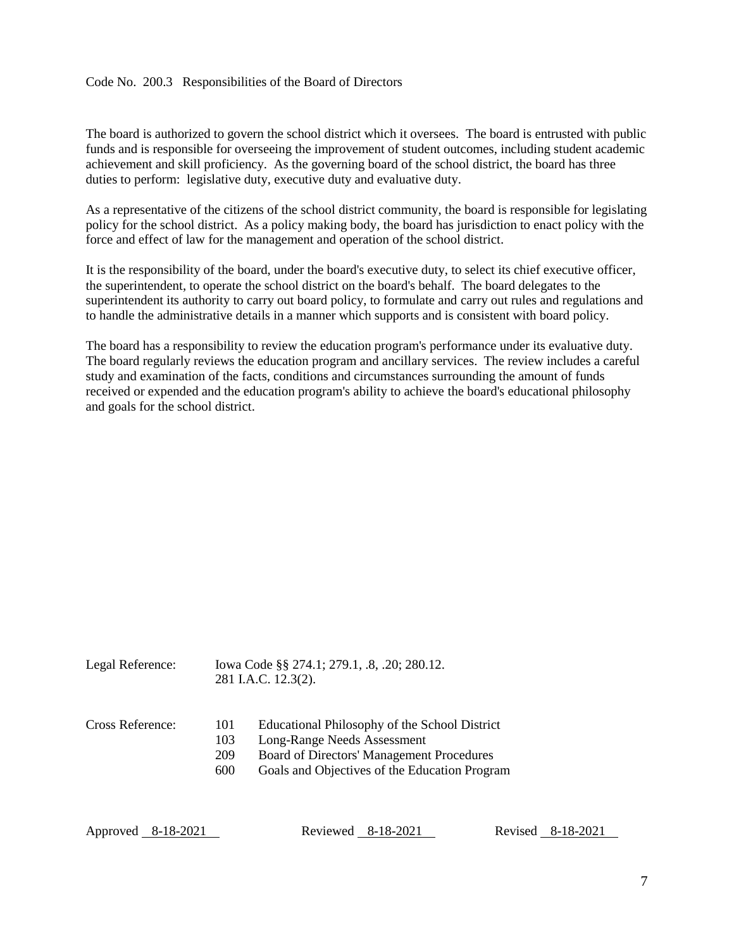#### <span id="page-6-0"></span>Code No. 200.3 Responsibilities of the Board of Directors

The board is authorized to govern the school district which it oversees. The board is entrusted with public funds and is responsible for overseeing the improvement of student outcomes, including student academic achievement and skill proficiency. As the governing board of the school district, the board has three duties to perform: legislative duty, executive duty and evaluative duty.

As a representative of the citizens of the school district community, the board is responsible for legislating policy for the school district. As a policy making body, the board has jurisdiction to enact policy with the force and effect of law for the management and operation of the school district.

It is the responsibility of the board, under the board's executive duty, to select its chief executive officer, the superintendent, to operate the school district on the board's behalf. The board delegates to the superintendent its authority to carry out board policy, to formulate and carry out rules and regulations and to handle the administrative details in a manner which supports and is consistent with board policy.

The board has a responsibility to review the education program's performance under its evaluative duty. The board regularly reviews the education program and ancillary services. The review includes a careful study and examination of the facts, conditions and circumstances surrounding the amount of funds received or expended and the education program's ability to achieve the board's educational philosophy and goals for the school district.

| Legal Reference: |                          | Iowa Code §§ 274.1; 279.1, .8, .20; 280.12.<br>281 I.A.C. 12.3(2).                                                                                                         |
|------------------|--------------------------|----------------------------------------------------------------------------------------------------------------------------------------------------------------------------|
| Cross Reference: | 101<br>103<br>209<br>600 | Educational Philosophy of the School District<br>Long-Range Needs Assessment<br>Board of Directors' Management Procedures<br>Goals and Objectives of the Education Program |

Approved 8-18-2021 Reviewed 8-18-2021 Revised 8-18-2021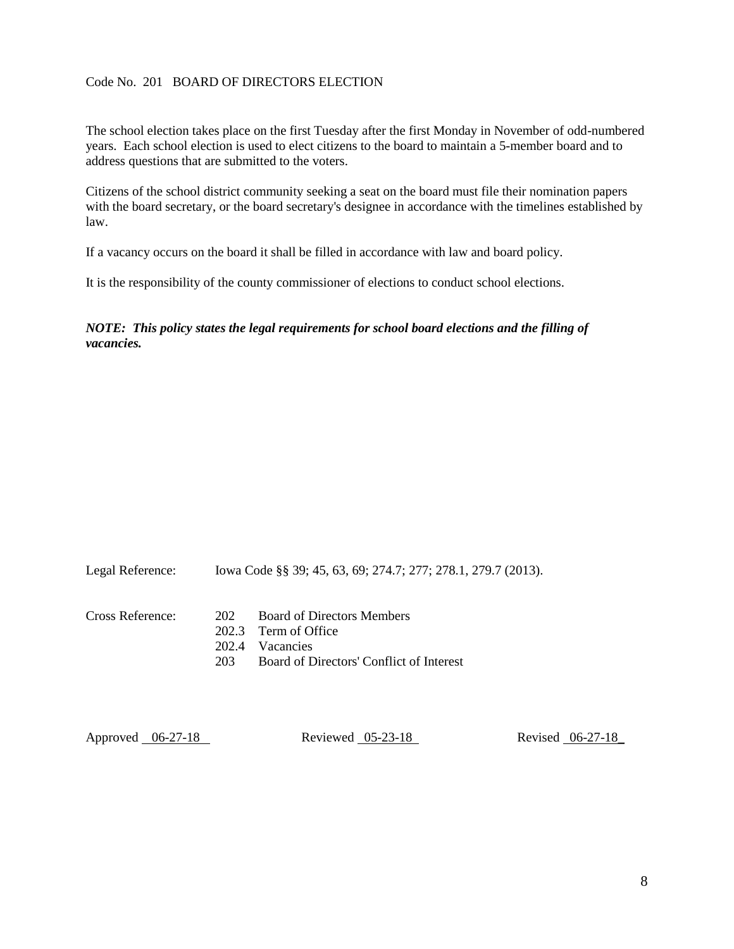#### <span id="page-7-0"></span>Code No. 201 BOARD OF DIRECTORS ELECTION

The school election takes place on the first Tuesday after the first Monday in November of odd-numbered years. Each school election is used to elect citizens to the board to maintain a 5-member board and to address questions that are submitted to the voters.

Citizens of the school district community seeking a seat on the board must file their nomination papers with the board secretary, or the board secretary's designee in accordance with the timelines established by law.

If a vacancy occurs on the board it shall be filled in accordance with law and board policy.

It is the responsibility of the county commissioner of elections to conduct school elections.

*NOTE: This policy states the legal requirements for school board elections and the filling of vacancies.* 

| Legal Reference: | lowa Code §§ 39; 45, 63, 69; 274.7; 277; 278.1, 279.7 (2013). |
|------------------|---------------------------------------------------------------|
| Cross Reference: | 202 Board of Directors Members<br>202.3 Term of Office        |
|                  | 202.4 Vacancies                                               |

203 Board of Directors' Conflict of Interest

Approved 06-27-18 Reviewed 05-23-18 Revised 06-27-18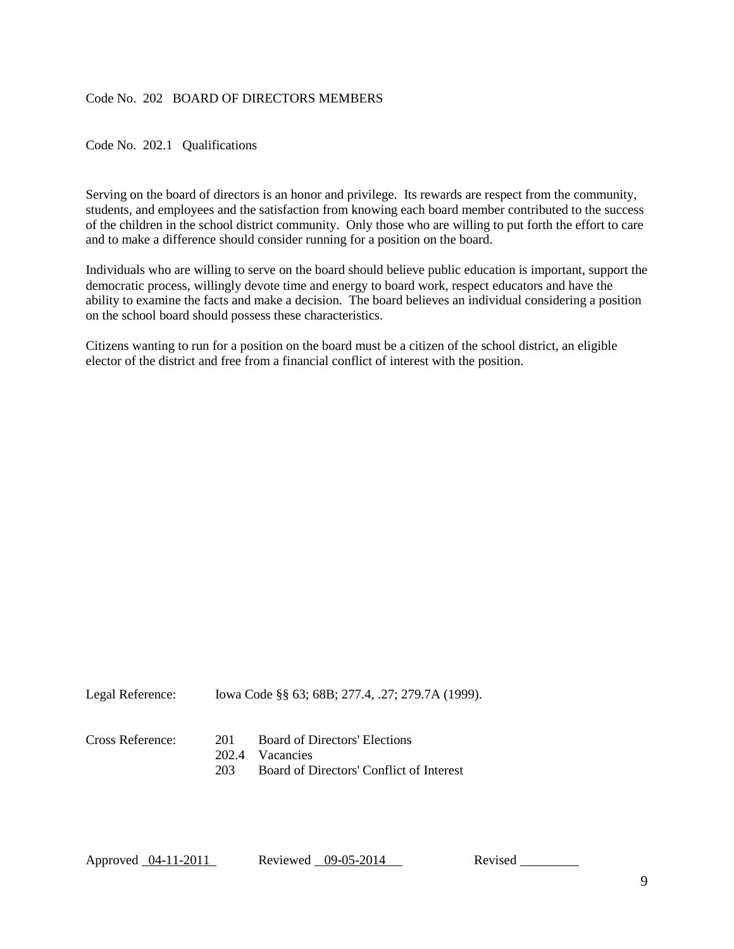#### <span id="page-8-0"></span>Code No. 202 BOARD OF DIRECTORS MEMBERS

<span id="page-8-1"></span>Code No. 202.1 Qualifications

Serving on the board of directors is an honor and privilege. Its rewards are respect from the community, students, and employees and the satisfaction from knowing each board member contributed to the success of the children in the school district community. Only those who are willing to put forth the effort to care and to make a difference should consider running for a position on the board.

Individuals who are willing to serve on the board should believe public education is important, support the democratic process, willingly devote time and energy to board work, respect educators and have the ability to examine the facts and make a decision. The board believes an individual considering a position on the school board should possess these characteristics.

Citizens wanting to run for a position on the board must be a citizen of the school district, an eligible elector of the district and free from a financial conflict of interest with the position.

Legal Reference: Iowa Code §§ 63; 68B; 277.4, .27; 279.7A (1999).

#### Cross Reference: 201 Board of Directors' Elections

- 202.4 Vacancies
- 203 Board of Directors' Conflict of Interest

Approved 04-11-2011 Reviewed 09-05-2014 Revised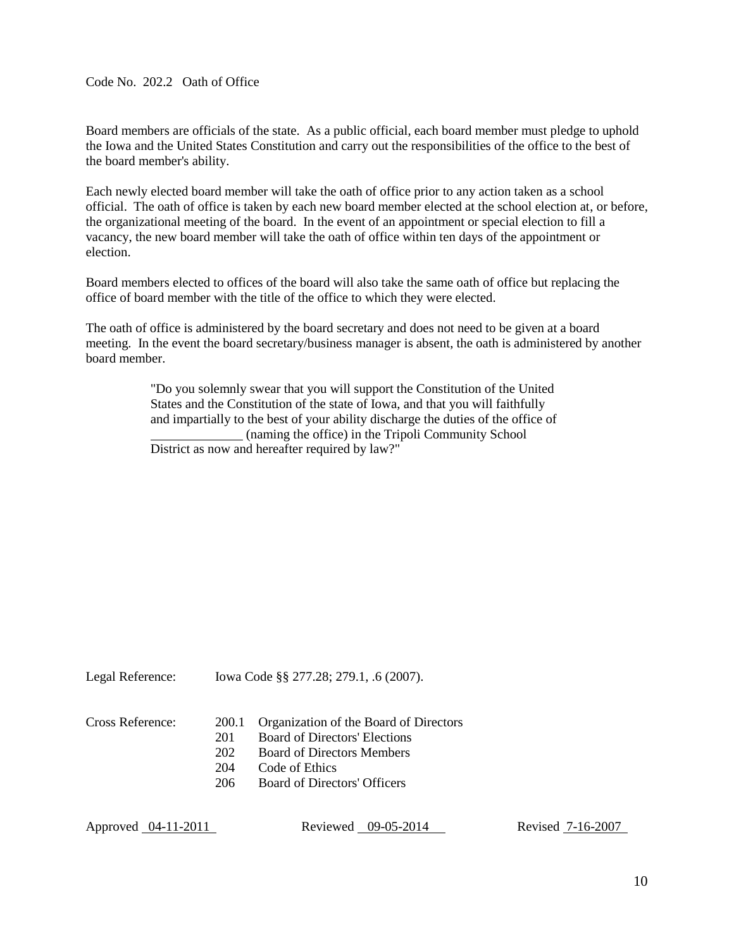<span id="page-9-0"></span>Code No. 202.2 Oath of Office

Board members are officials of the state. As a public official, each board member must pledge to uphold the Iowa and the United States Constitution and carry out the responsibilities of the office to the best of the board member's ability.

Each newly elected board member will take the oath of office prior to any action taken as a school official. The oath of office is taken by each new board member elected at the school election at, or before, the organizational meeting of the board. In the event of an appointment or special election to fill a vacancy, the new board member will take the oath of office within ten days of the appointment or election.

Board members elected to offices of the board will also take the same oath of office but replacing the office of board member with the title of the office to which they were elected.

The oath of office is administered by the board secretary and does not need to be given at a board meeting. In the event the board secretary/business manager is absent, the oath is administered by another board member.

> "Do you solemnly swear that you will support the Constitution of the United States and the Constitution of the state of Iowa, and that you will faithfully and impartially to the best of your ability discharge the duties of the office of (naming the office) in the Tripoli Community School District as now and hereafter required by law?"

Legal Reference: Iowa Code §§ 277.28; 279.1, .6 (2007).

- Cross Reference: 200.1 Organization of the Board of Directors
	- 201 Board of Directors' Elections
	- 202 Board of Directors Members
	- 204 Code of Ethics
	- 206 Board of Directors' Officers

Approved 04-11-2011 Reviewed 09-05-2014 Revised 7-16-2007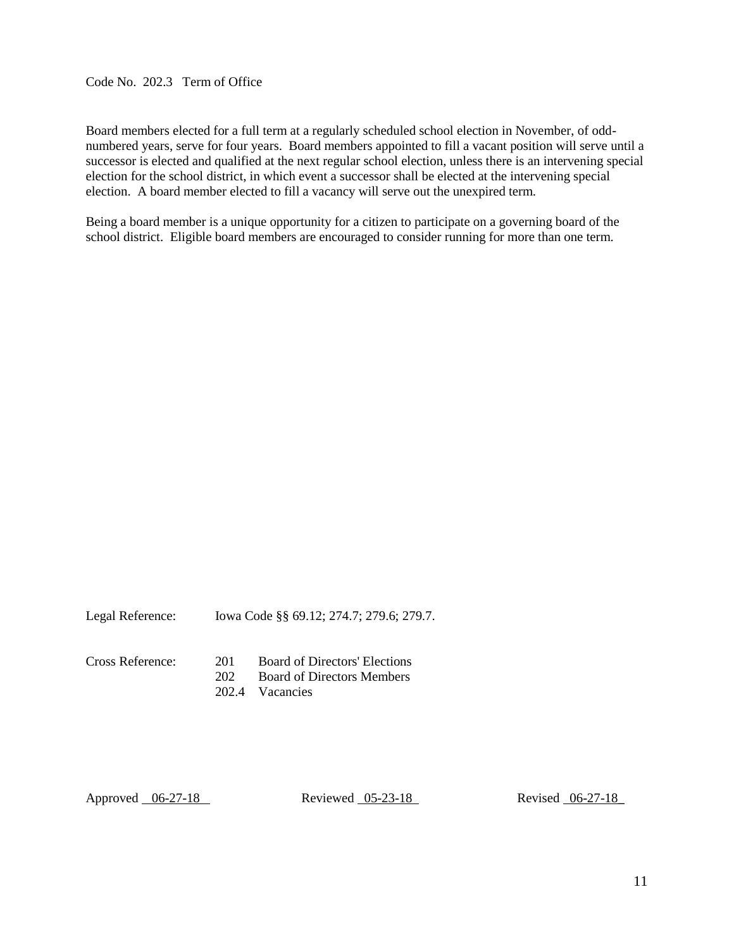<span id="page-10-0"></span>Code No. 202.3 Term of Office

Board members elected for a full term at a regularly scheduled school election in November, of oddnumbered years, serve for four years. Board members appointed to fill a vacant position will serve until a successor is elected and qualified at the next regular school election, unless there is an intervening special election for the school district, in which event a successor shall be elected at the intervening special election. A board member elected to fill a vacancy will serve out the unexpired term.

Being a board member is a unique opportunity for a citizen to participate on a governing board of the school district. Eligible board members are encouraged to consider running for more than one term.

Legal Reference: Iowa Code §§ 69.12; 274.7; 279.6; 279.7.

Cross Reference: 201 Board of Directors' Elections 202 Board of Directors Members 202.4 Vacancies

Approved 06-27-18 Reviewed 05-23-18 Revised 06-27-18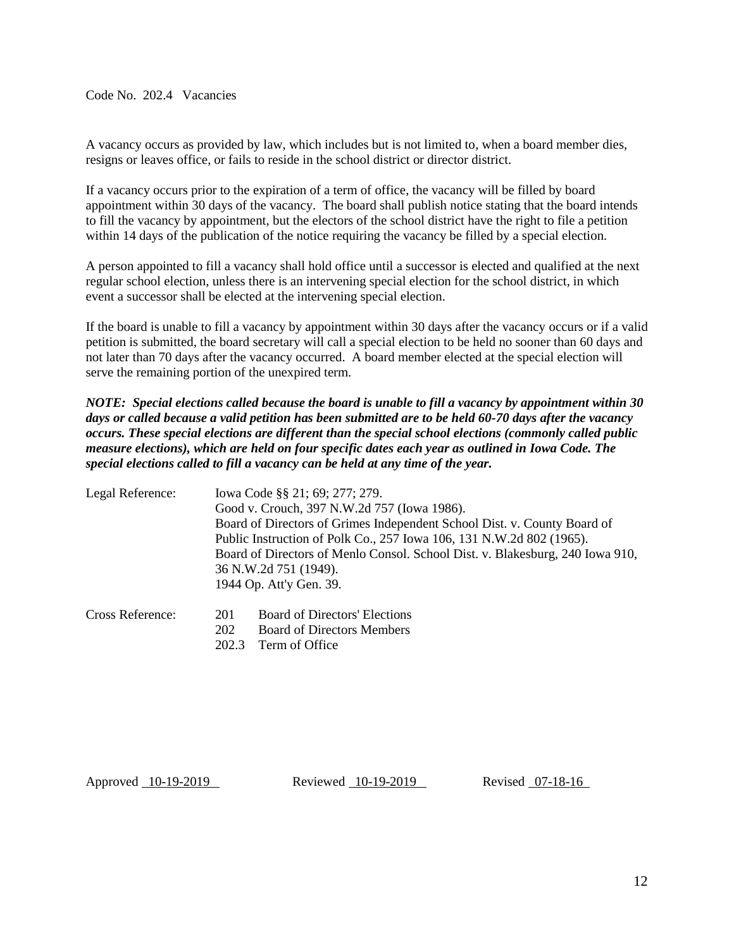<span id="page-11-0"></span>Code No. 202.4 Vacancies

A vacancy occurs as provided by law, which includes but is not limited to, when a board member dies, resigns or leaves office, or fails to reside in the school district or director district.

If a vacancy occurs prior to the expiration of a term of office, the vacancy will be filled by board appointment within 30 days of the vacancy. The board shall publish notice stating that the board intends to fill the vacancy by appointment, but the electors of the school district have the right to file a petition within 14 days of the publication of the notice requiring the vacancy be filled by a special election.

A person appointed to fill a vacancy shall hold office until a successor is elected and qualified at the next regular school election, unless there is an intervening special election for the school district, in which event a successor shall be elected at the intervening special election.

If the board is unable to fill a vacancy by appointment within 30 days after the vacancy occurs or if a valid petition is submitted, the board secretary will call a special election to be held no sooner than 60 days and not later than 70 days after the vacancy occurred. A board member elected at the special election will serve the remaining portion of the unexpired term.

*NOTE: Special elections called because the board is unable to fill a vacancy by appointment within 30 days or called because a valid petition has been submitted are to be held 60-70 days after the vacancy occurs. These special elections are different than the special school elections (commonly called public measure elections), which are held on four specific dates each year as outlined in Iowa Code. The special elections called to fill a vacancy can be held at any time of the year.* 

| Legal Reference: | Iowa Code §§ 21; 69; 277; 279.                                                |
|------------------|-------------------------------------------------------------------------------|
|                  | Good v. Crouch, 397 N.W.2d 757 (Iowa 1986).                                   |
|                  | Board of Directors of Grimes Independent School Dist. v. County Board of      |
|                  | Public Instruction of Polk Co., 257 Iowa 106, 131 N.W.2d 802 (1965).          |
|                  | Board of Directors of Menlo Consol. School Dist. v. Blakesburg, 240 Iowa 910, |
|                  | 36 N.W.2d 751 (1949).                                                         |
|                  | 1944 Op. Att'y Gen. 39.                                                       |

| Cross Reference: | 201 | <b>Board of Directors' Elections</b> |
|------------------|-----|--------------------------------------|
|                  | 202 | <b>Board of Directors Members</b>    |
|                  |     | 202.3 Term of Office                 |

Approved 10-19-2019 Reviewed 10-19-2019 Revised 07-18-16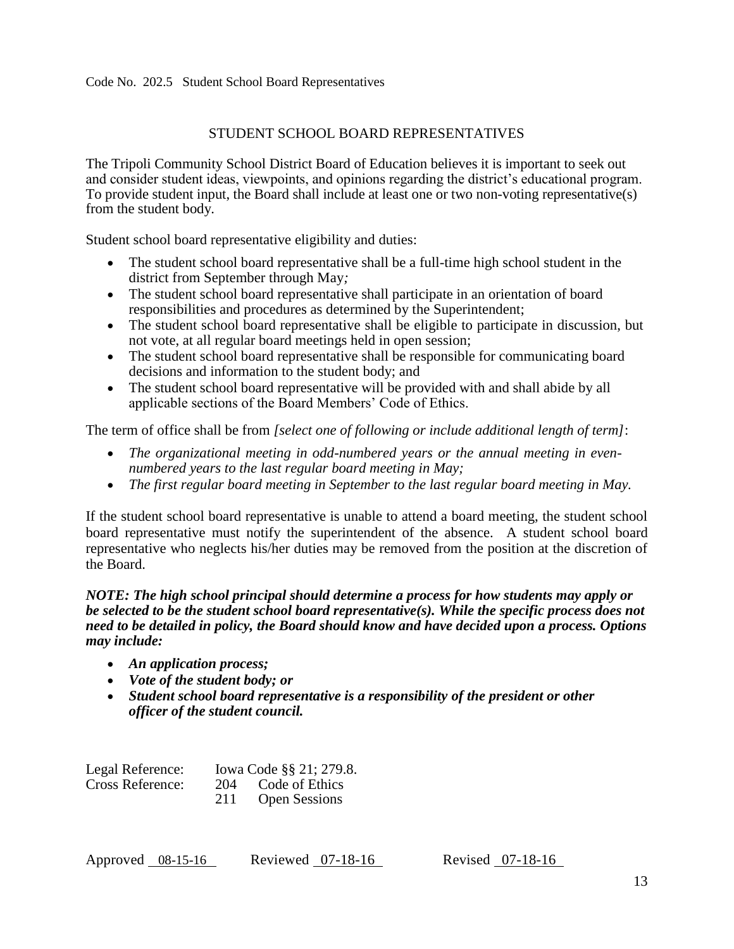# STUDENT SCHOOL BOARD REPRESENTATIVES

<span id="page-12-0"></span>The Tripoli Community School District Board of Education believes it is important to seek out and consider student ideas, viewpoints, and opinions regarding the district's educational program. To provide student input, the Board shall include at least one or two non-voting representative(s) from the student body.

Student school board representative eligibility and duties:

- The student school board representative shall be a full-time high school student in the district from September through May*;*
- The student school board representative shall participate in an orientation of board responsibilities and procedures as determined by the Superintendent;
- The student school board representative shall be eligible to participate in discussion, but not vote, at all regular board meetings held in open session;
- The student school board representative shall be responsible for communicating board decisions and information to the student body; and
- The student school board representative will be provided with and shall abide by all applicable sections of the Board Members' Code of Ethics.

The term of office shall be from *[select one of following or include additional length of term]*:

- *The organizational meeting in odd-numbered years or the annual meeting in evennumbered years to the last regular board meeting in May;*
- *The first regular board meeting in September to the last regular board meeting in May.*

If the student school board representative is unable to attend a board meeting, the student school board representative must notify the superintendent of the absence. A student school board representative who neglects his/her duties may be removed from the position at the discretion of the Board.

## *NOTE: The high school principal should determine a process for how students may apply or be selected to be the student school board representative(s). While the specific process does not need to be detailed in policy, the Board should know and have decided upon a process. Options may include:*

- *An application process;*
- *Vote of the student body; or*
- *Student school board representative is a responsibility of the president or other officer of the student council.*

| Legal Reference: |     | Iowa Code §§ 21; 279.8. |
|------------------|-----|-------------------------|
| Cross Reference: | 204 | Code of Ethics          |
|                  | 211 | <b>Open Sessions</b>    |

| Approved $08-15-16$ |  | Reviewed 07-18-16 |  |  |
|---------------------|--|-------------------|--|--|
|---------------------|--|-------------------|--|--|

Revised  $07-18-16$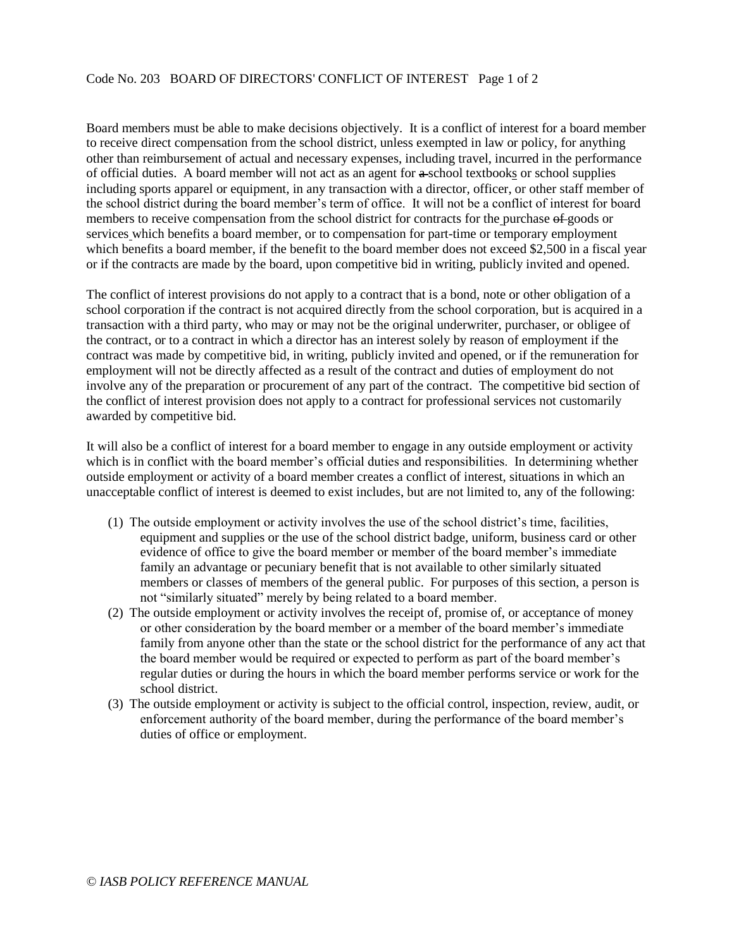<span id="page-13-0"></span>Board members must be able to make decisions objectively. It is a conflict of interest for a board member to receive direct compensation from the school district, unless exempted in law or policy, for anything other than reimbursement of actual and necessary expenses, including travel, incurred in the performance of official duties. A board member will not act as an agent for a school textbooks or school supplies including sports apparel or equipment, in any transaction with a director, officer, or other staff member of the school district during the board member's term of office. It will not be a conflict of interest for board members to receive compensation from the school district for contracts for the purchase of goods or services which benefits a board member, or to compensation for part-time or temporary employment which benefits a board member, if the benefit to the board member does not exceed \$2,500 in a fiscal year or if the contracts are made by the board, upon competitive bid in writing, publicly invited and opened.

The conflict of interest provisions do not apply to a contract that is a bond, note or other obligation of a school corporation if the contract is not acquired directly from the school corporation, but is acquired in a transaction with a third party, who may or may not be the original underwriter, purchaser, or obligee of the contract, or to a contract in which a director has an interest solely by reason of employment if the contract was made by competitive bid, in writing, publicly invited and opened, or if the remuneration for employment will not be directly affected as a result of the contract and duties of employment do not involve any of the preparation or procurement of any part of the contract. The competitive bid section of the conflict of interest provision does not apply to a contract for professional services not customarily awarded by competitive bid.

It will also be a conflict of interest for a board member to engage in any outside employment or activity which is in conflict with the board member's official duties and responsibilities. In determining whether outside employment or activity of a board member creates a conflict of interest, situations in which an unacceptable conflict of interest is deemed to exist includes, but are not limited to, any of the following:

- (1) The outside employment or activity involves the use of the school district's time, facilities, equipment and supplies or the use of the school district badge, uniform, business card or other evidence of office to give the board member or member of the board member's immediate family an advantage or pecuniary benefit that is not available to other similarly situated members or classes of members of the general public. For purposes of this section, a person is not "similarly situated" merely by being related to a board member.
- (2) The outside employment or activity involves the receipt of, promise of, or acceptance of money or other consideration by the board member or a member of the board member's immediate family from anyone other than the state or the school district for the performance of any act that the board member would be required or expected to perform as part of the board member's regular duties or during the hours in which the board member performs service or work for the school district.
- (3) The outside employment or activity is subject to the official control, inspection, review, audit, or enforcement authority of the board member, during the performance of the board member's duties of office or employment.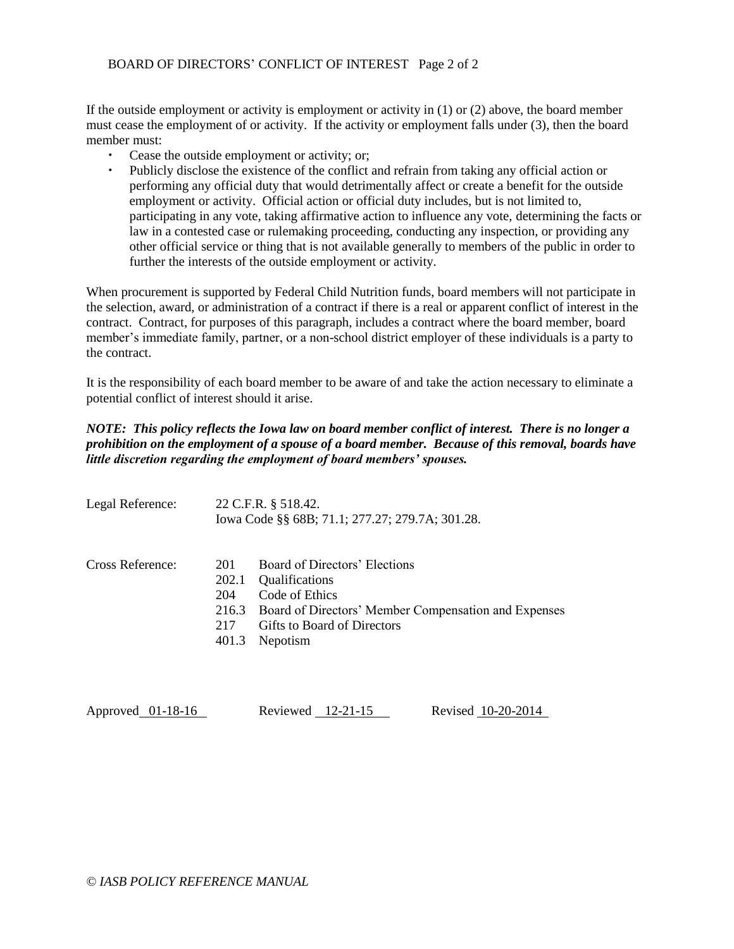If the outside employment or activity is employment or activity in (1) or (2) above, the board member must cease the employment of or activity. If the activity or employment falls under (3), then the board member must:

- Cease the outside employment or activity; or;
- Publicly disclose the existence of the conflict and refrain from taking any official action or performing any official duty that would detrimentally affect or create a benefit for the outside employment or activity. Official action or official duty includes, but is not limited to, participating in any vote, taking affirmative action to influence any vote, determining the facts or law in a contested case or rulemaking proceeding, conducting any inspection, or providing any other official service or thing that is not available generally to members of the public in order to further the interests of the outside employment or activity.

When procurement is supported by Federal Child Nutrition funds, board members will not participate in the selection, award, or administration of a contract if there is a real or apparent conflict of interest in the contract. Contract, for purposes of this paragraph, includes a contract where the board member, board member's immediate family, partner, or a non-school district employer of these individuals is a party to the contract.

It is the responsibility of each board member to be aware of and take the action necessary to eliminate a potential conflict of interest should it arise.

## *NOTE: This policy reflects the Iowa law on board member conflict of interest. There is no longer a prohibition on the employment of a spouse of a board member. Because of this removal, boards have little discretion regarding the employment of board members' spouses.*

| Legal Reference: |                                              | 22 C.F.R. § 518.42.<br>Iowa Code §§ 68B; 71.1; 277.27; 279.7A; 301.28.                                                                                                                    |
|------------------|----------------------------------------------|-------------------------------------------------------------------------------------------------------------------------------------------------------------------------------------------|
| Cross Reference: | 201<br>202.1<br>204<br>216.3<br>217<br>401.3 | Board of Directors' Elections<br><i><u><b>Qualifications</b></u></i><br>Code of Ethics<br>Board of Directors' Member Compensation and Expenses<br>Gifts to Board of Directors<br>Nepotism |

| Approved 01-18-16 | Reviewed $12-21-15$ |  | Revised 10-20-2014 |
|-------------------|---------------------|--|--------------------|
|                   |                     |  |                    |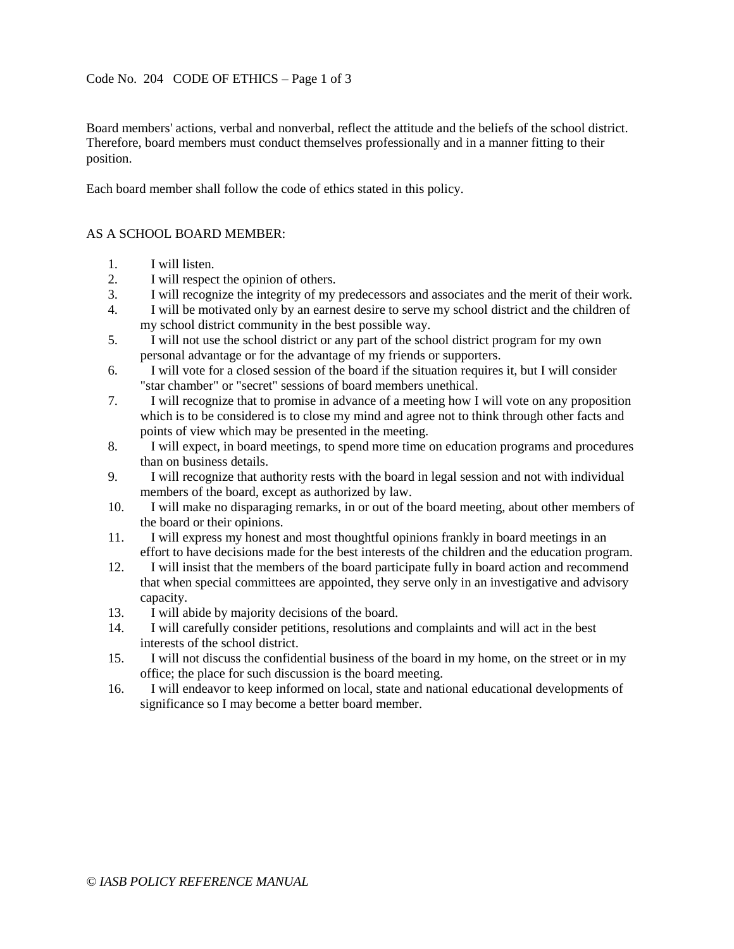## <span id="page-15-0"></span>Code No. 204 CODE OF ETHICS – Page 1 of 3

Board members' actions, verbal and nonverbal, reflect the attitude and the beliefs of the school district. Therefore, board members must conduct themselves professionally and in a manner fitting to their position.

Each board member shall follow the code of ethics stated in this policy.

#### AS A SCHOOL BOARD MEMBER:

- 1. I will listen.
- 2. I will respect the opinion of others.
- 3. I will recognize the integrity of my predecessors and associates and the merit of their work.
- 4. I will be motivated only by an earnest desire to serve my school district and the children of my school district community in the best possible way.
- 5. I will not use the school district or any part of the school district program for my own personal advantage or for the advantage of my friends or supporters.
- 6. I will vote for a closed session of the board if the situation requires it, but I will consider "star chamber" or "secret" sessions of board members unethical.
- 7. I will recognize that to promise in advance of a meeting how I will vote on any proposition which is to be considered is to close my mind and agree not to think through other facts and points of view which may be presented in the meeting.
- 8. I will expect, in board meetings, to spend more time on education programs and procedures than on business details.
- 9. I will recognize that authority rests with the board in legal session and not with individual members of the board, except as authorized by law.
- 10. I will make no disparaging remarks, in or out of the board meeting, about other members of the board or their opinions.
- 11. I will express my honest and most thoughtful opinions frankly in board meetings in an effort to have decisions made for the best interests of the children and the education program.
- 12. I will insist that the members of the board participate fully in board action and recommend that when special committees are appointed, they serve only in an investigative and advisory capacity.
- 13. I will abide by majority decisions of the board.
- 14. I will carefully consider petitions, resolutions and complaints and will act in the best interests of the school district.
- 15. I will not discuss the confidential business of the board in my home, on the street or in my office; the place for such discussion is the board meeting.
- 16. I will endeavor to keep informed on local, state and national educational developments of significance so I may become a better board member.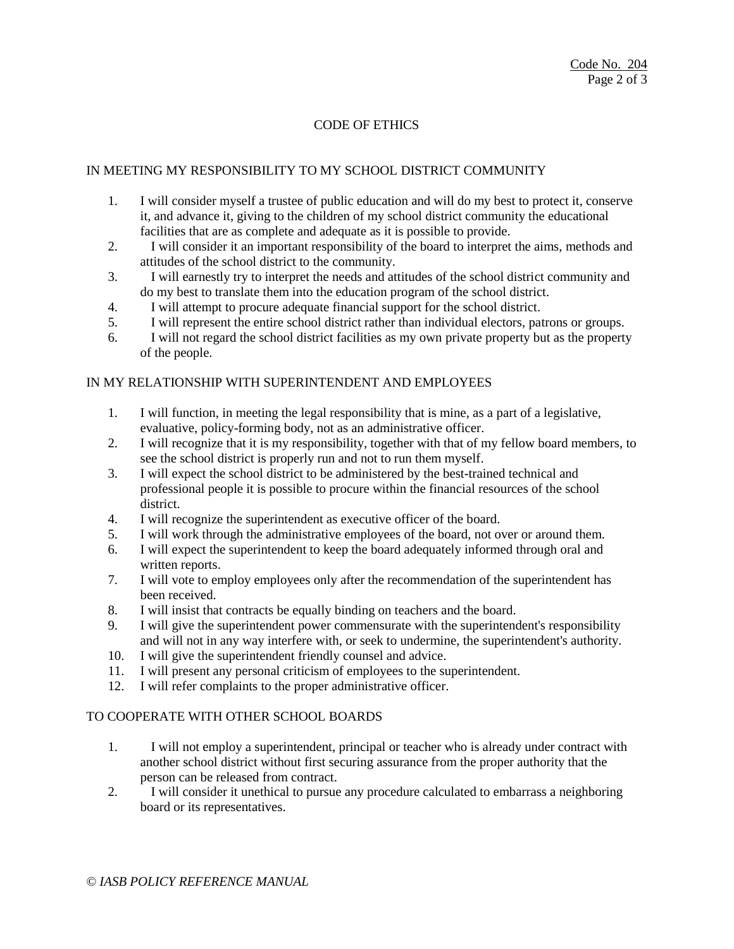# CODE OF ETHICS

# IN MEETING MY RESPONSIBILITY TO MY SCHOOL DISTRICT COMMUNITY

- 1. I will consider myself a trustee of public education and will do my best to protect it, conserve it, and advance it, giving to the children of my school district community the educational facilities that are as complete and adequate as it is possible to provide.
- 2. I will consider it an important responsibility of the board to interpret the aims, methods and attitudes of the school district to the community.
- 3. I will earnestly try to interpret the needs and attitudes of the school district community and do my best to translate them into the education program of the school district.
- 4. I will attempt to procure adequate financial support for the school district.
- 5. I will represent the entire school district rather than individual electors, patrons or groups.
- 6. I will not regard the school district facilities as my own private property but as the property of the people.

## IN MY RELATIONSHIP WITH SUPERINTENDENT AND EMPLOYEES

- 1. I will function, in meeting the legal responsibility that is mine, as a part of a legislative, evaluative, policy-forming body, not as an administrative officer.
- 2. I will recognize that it is my responsibility, together with that of my fellow board members, to see the school district is properly run and not to run them myself.
- 3. I will expect the school district to be administered by the best-trained technical and professional people it is possible to procure within the financial resources of the school district.
- 4. I will recognize the superintendent as executive officer of the board.
- 5. I will work through the administrative employees of the board, not over or around them.
- 6. I will expect the superintendent to keep the board adequately informed through oral and written reports.
- 7. I will vote to employ employees only after the recommendation of the superintendent has been received.
- 8. I will insist that contracts be equally binding on teachers and the board.
- 9. I will give the superintendent power commensurate with the superintendent's responsibility and will not in any way interfere with, or seek to undermine, the superintendent's authority.
- 10. I will give the superintendent friendly counsel and advice.
- 11. I will present any personal criticism of employees to the superintendent.
- 12. I will refer complaints to the proper administrative officer.

#### TO COOPERATE WITH OTHER SCHOOL BOARDS

- 1. I will not employ a superintendent, principal or teacher who is already under contract with another school district without first securing assurance from the proper authority that the person can be released from contract.
- 2. I will consider it unethical to pursue any procedure calculated to embarrass a neighboring board or its representatives.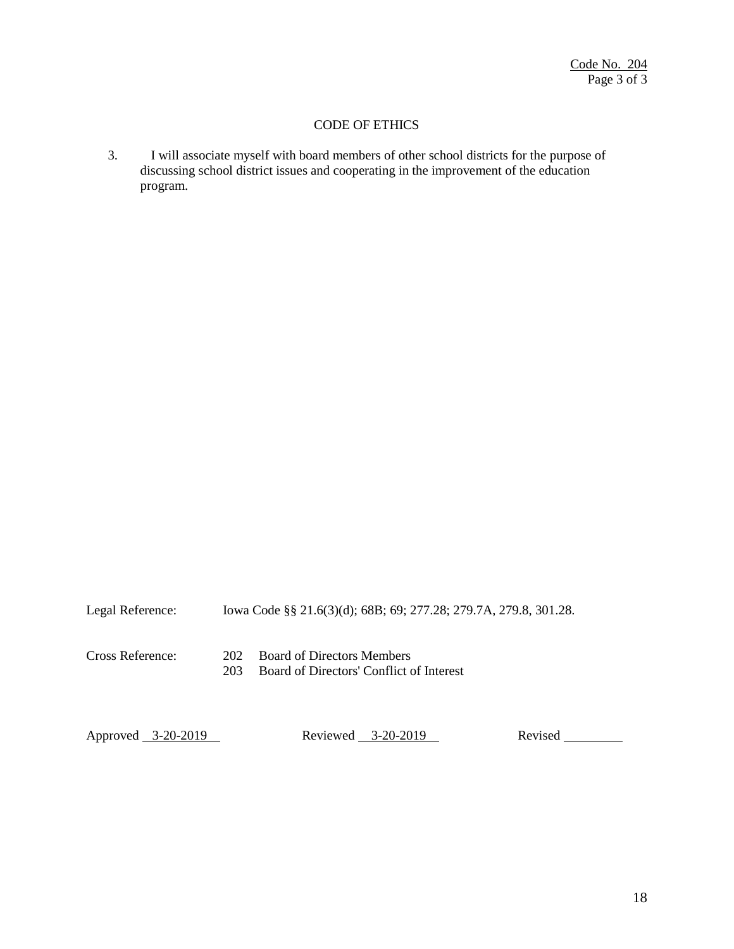# CODE OF ETHICS

3. I will associate myself with board members of other school districts for the purpose of discussing school district issues and cooperating in the improvement of the education program.

Legal Reference: Iowa Code §§ 21.6(3)(d); 68B; 69; 277.28; 279.7A, 279.8, 301.28. Cross Reference: 202 Board of Directors Members 203 Board of Directors' Conflict of Interest

Approved 3-20-2019 Reviewed 3-20-2019 Revised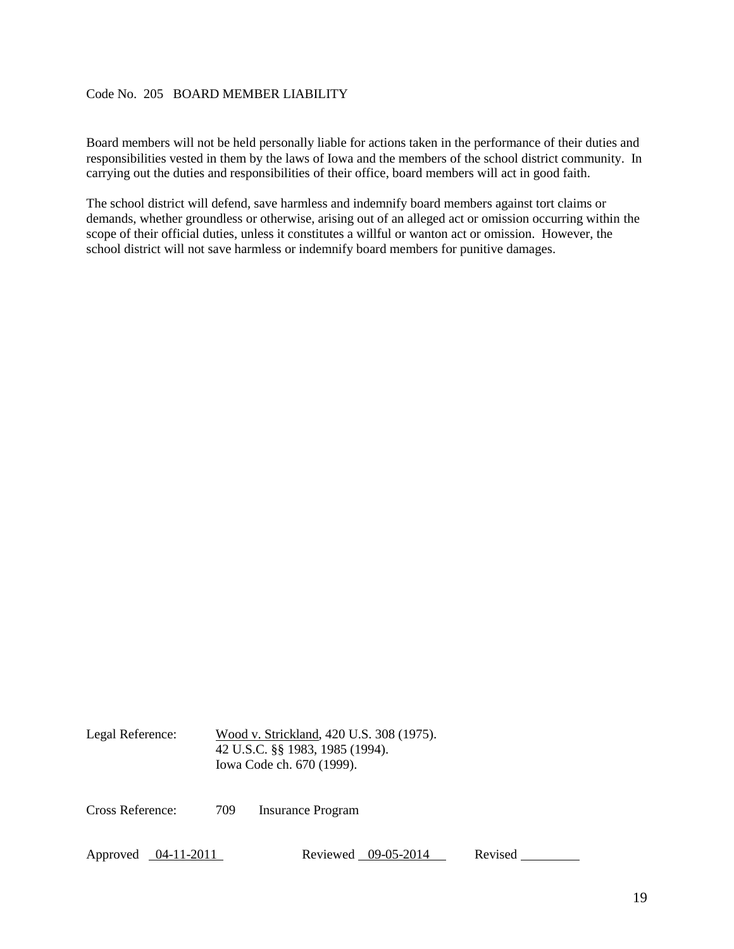# <span id="page-18-0"></span>Code No. 205 BOARD MEMBER LIABILITY

Board members will not be held personally liable for actions taken in the performance of their duties and responsibilities vested in them by the laws of Iowa and the members of the school district community. In carrying out the duties and responsibilities of their office, board members will act in good faith.

The school district will defend, save harmless and indemnify board members against tort claims or demands, whether groundless or otherwise, arising out of an alleged act or omission occurring within the scope of their official duties, unless it constitutes a willful or wanton act or omission. However, the school district will not save harmless or indemnify board members for punitive damages.

Legal Reference: Wood v. Strickland, 420 U.S. 308 (1975). 42 U.S.C. §§ 1983, 1985 (1994). Iowa Code ch. 670 (1999).

Cross Reference: 709 Insurance Program

Approved 04-11-2011 Reviewed 09-05-2014 Revised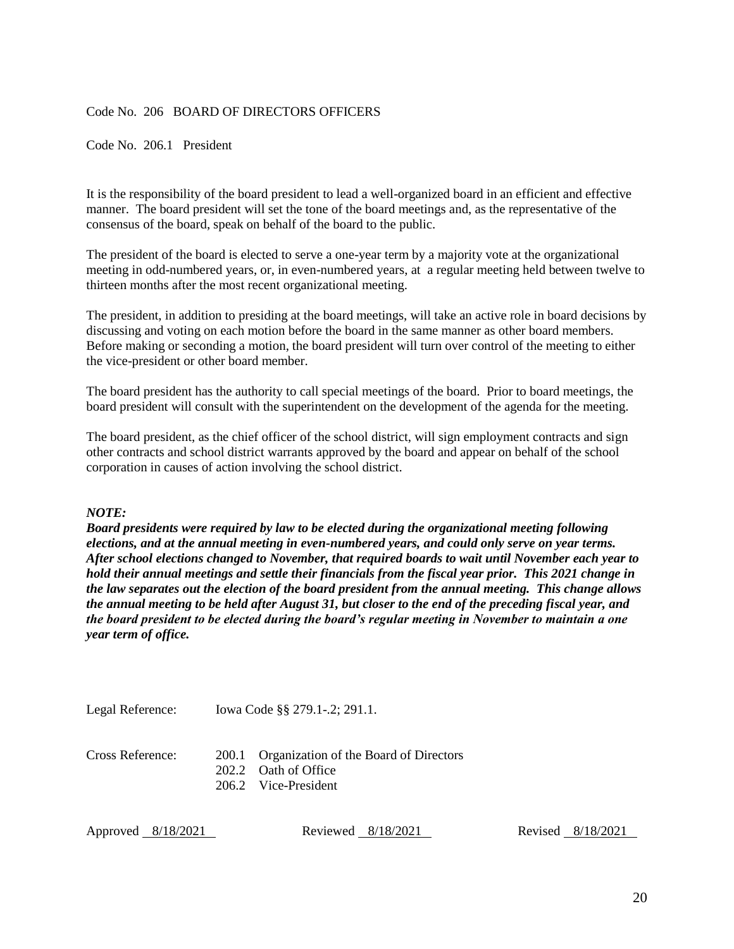## <span id="page-19-0"></span>Code No. 206 BOARD OF DIRECTORS OFFICERS

<span id="page-19-1"></span>Code No. 206.1 President

It is the responsibility of the board president to lead a well-organized board in an efficient and effective manner. The board president will set the tone of the board meetings and, as the representative of the consensus of the board, speak on behalf of the board to the public.

The president of the board is elected to serve a one-year term by a majority vote at the organizational meeting in odd-numbered years, or, in even-numbered years, at a regular meeting held between twelve to thirteen months after the most recent organizational meeting.

The president, in addition to presiding at the board meetings, will take an active role in board decisions by discussing and voting on each motion before the board in the same manner as other board members. Before making or seconding a motion, the board president will turn over control of the meeting to either the vice-president or other board member.

The board president has the authority to call special meetings of the board. Prior to board meetings, the board president will consult with the superintendent on the development of the agenda for the meeting.

The board president, as the chief officer of the school district, will sign employment contracts and sign other contracts and school district warrants approved by the board and appear on behalf of the school corporation in causes of action involving the school district.

#### *NOTE:*

*Board presidents were required by law to be elected during the organizational meeting following elections, and at the annual meeting in even-numbered years, and could only serve on year terms. After school elections changed to November, that required boards to wait until November each year to hold their annual meetings and settle their financials from the fiscal year prior. This 2021 change in the law separates out the election of the board president from the annual meeting. This change allows the annual meeting to be held after August 31, but closer to the end of the preceding fiscal year, and the board president to be elected during the board's regular meeting in November to maintain a one year term of office.* 

Legal Reference: Iowa Code §§ 279.1-.2; 291.1.

Cross Reference: 200.1 Organization of the Board of Directors 202.2 Oath of Office 206.2 Vice-President

Approved 8/18/2021 Reviewed 8/18/2021 Revised 8/18/2021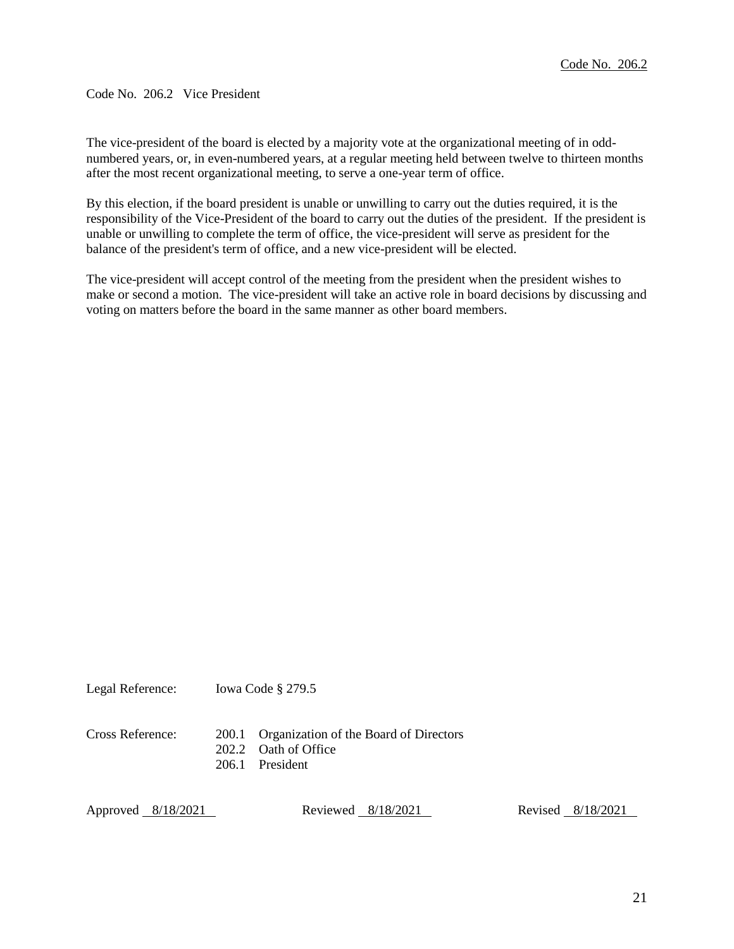<span id="page-20-0"></span>Code No. 206.2 Vice President

The vice-president of the board is elected by a majority vote at the organizational meeting of in oddnumbered years, or, in even-numbered years, at a regular meeting held between twelve to thirteen months after the most recent organizational meeting, to serve a one-year term of office.

By this election, if the board president is unable or unwilling to carry out the duties required, it is the responsibility of the Vice-President of the board to carry out the duties of the president. If the president is unable or unwilling to complete the term of office, the vice-president will serve as president for the balance of the president's term of office, and a new vice-president will be elected.

The vice-president will accept control of the meeting from the president when the president wishes to make or second a motion. The vice-president will take an active role in board decisions by discussing and voting on matters before the board in the same manner as other board members.

Legal Reference: Iowa Code § 279.5

Cross Reference: 200.1 Organization of the Board of Directors

202.2 Oath of Office

206.1 President

Approved 8/18/2021 Reviewed 8/18/2021 Revised 8/18/2021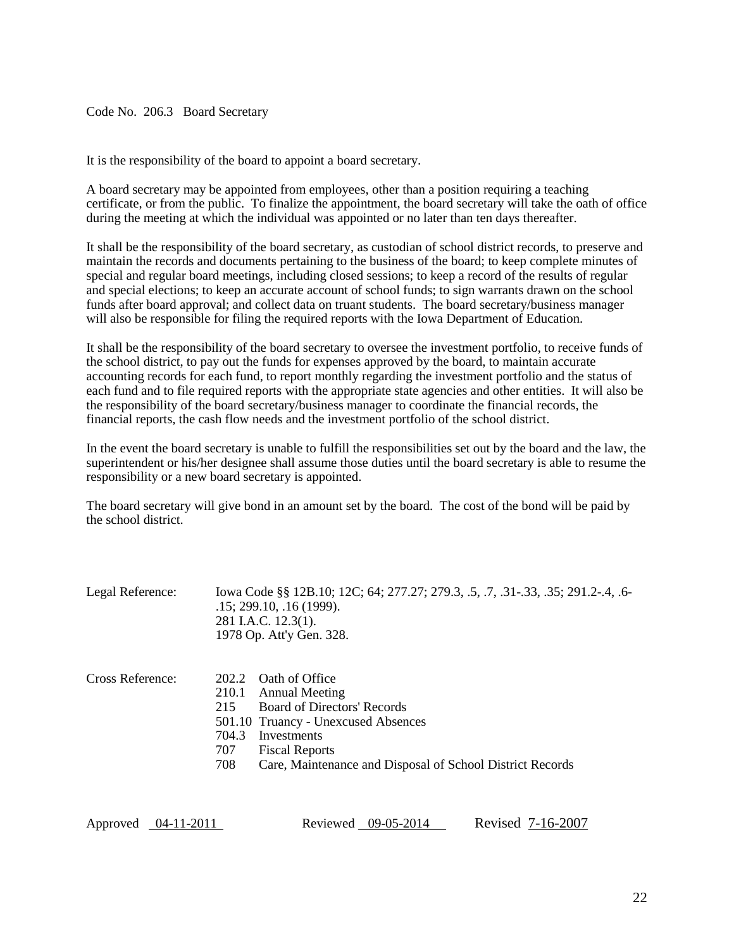<span id="page-21-0"></span>Code No. 206.3 Board Secretary

It is the responsibility of the board to appoint a board secretary.

A board secretary may be appointed from employees, other than a position requiring a teaching certificate, or from the public. To finalize the appointment, the board secretary will take the oath of office during the meeting at which the individual was appointed or no later than ten days thereafter.

It shall be the responsibility of the board secretary, as custodian of school district records, to preserve and maintain the records and documents pertaining to the business of the board; to keep complete minutes of special and regular board meetings, including closed sessions; to keep a record of the results of regular and special elections; to keep an accurate account of school funds; to sign warrants drawn on the school funds after board approval; and collect data on truant students. The board secretary/business manager will also be responsible for filing the required reports with the Iowa Department of Education.

It shall be the responsibility of the board secretary to oversee the investment portfolio, to receive funds of the school district, to pay out the funds for expenses approved by the board, to maintain accurate accounting records for each fund, to report monthly regarding the investment portfolio and the status of each fund and to file required reports with the appropriate state agencies and other entities. It will also be the responsibility of the board secretary/business manager to coordinate the financial records, the financial reports, the cash flow needs and the investment portfolio of the school district.

In the event the board secretary is unable to fulfill the responsibilities set out by the board and the law, the superintendent or his/her designee shall assume those duties until the board secretary is able to resume the responsibility or a new board secretary is appointed.

The board secretary will give bond in an amount set by the board. The cost of the bond will be paid by the school district.

| Legal Reference: | lowa Code §§ 12B.10; 12C; 64; 277.27; 279.3, .5, .7, .31-.33, .35; 291.2-.4, .6-<br>.15; 299.10, .16(1999).<br>281 I.A.C. 12.3(1).<br>1978 Op. Att'y Gen. 328.                                                                                                                   |
|------------------|----------------------------------------------------------------------------------------------------------------------------------------------------------------------------------------------------------------------------------------------------------------------------------|
| Cross Reference: | <b>Oath of Office</b><br>202.2<br>210.1<br><b>Annual Meeting</b><br><b>Board of Directors' Records</b><br>215<br>501.10 Truancy - Unexcused Absences<br>704.3<br>Investments<br>707<br><b>Fiscal Reports</b><br>Care, Maintenance and Disposal of School District Records<br>708 |

Approved 04-11-2011 Reviewed 09-05-2014 Revised 7-16-2007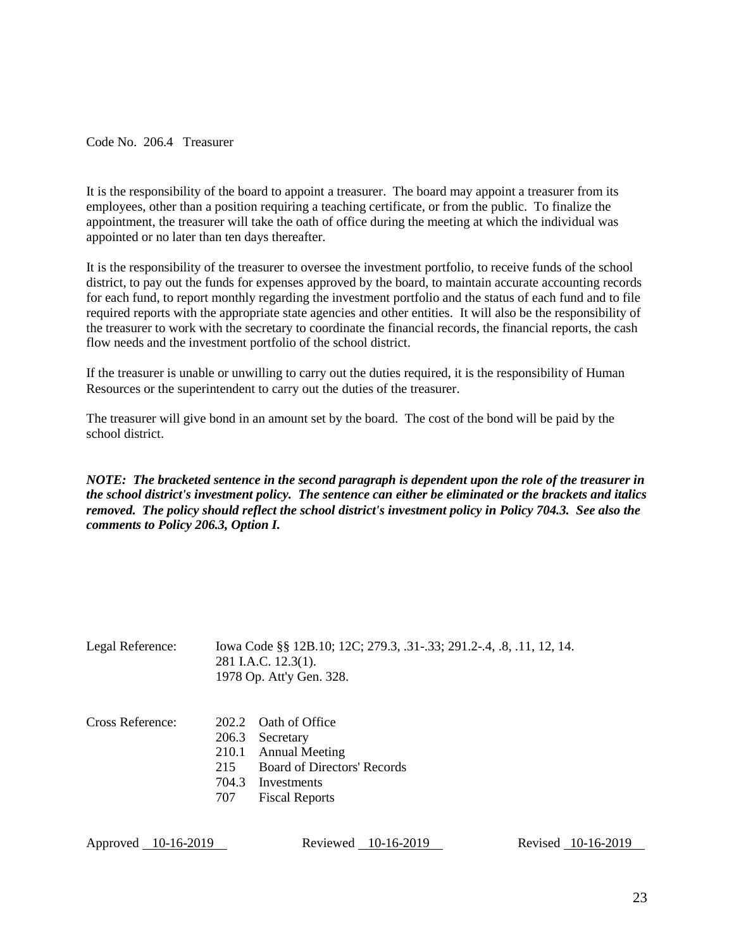<span id="page-22-0"></span>Code No. 206.4 Treasurer

It is the responsibility of the board to appoint a treasurer. The board may appoint a treasurer from its employees, other than a position requiring a teaching certificate, or from the public. To finalize the appointment, the treasurer will take the oath of office during the meeting at which the individual was appointed or no later than ten days thereafter.

It is the responsibility of the treasurer to oversee the investment portfolio, to receive funds of the school district, to pay out the funds for expenses approved by the board, to maintain accurate accounting records for each fund, to report monthly regarding the investment portfolio and the status of each fund and to file required reports with the appropriate state agencies and other entities. It will also be the responsibility of the treasurer to work with the secretary to coordinate the financial records, the financial reports, the cash flow needs and the investment portfolio of the school district.

If the treasurer is unable or unwilling to carry out the duties required, it is the responsibility of Human Resources or the superintendent to carry out the duties of the treasurer.

The treasurer will give bond in an amount set by the board. The cost of the bond will be paid by the school district.

*NOTE: The bracketed sentence in the second paragraph is dependent upon the role of the treasurer in the school district's investment policy. The sentence can either be eliminated or the brackets and italics removed. The policy should reflect the school district's investment policy in Policy 704.3. See also the comments to Policy 206.3, Option I.*

| Legal Reference: |                                       | lowa Code §§ 12B.10; 12C; 279.3, .31-.33; 291.2-.4, .8, .11, 12, 14.<br>281 I.A.C. 12.3(1).<br>1978 Op. Att'y Gen. 328.           |
|------------------|---------------------------------------|-----------------------------------------------------------------------------------------------------------------------------------|
| Cross Reference: | 206.3<br>210.1<br>215<br>704.3<br>707 | 202.2 Oath of Office<br>Secretary<br><b>Annual Meeting</b><br>Board of Directors' Records<br>Investments<br><b>Fiscal Reports</b> |

Approved 10-16-2019 Reviewed 10-16-2019 Revised 10-16-2019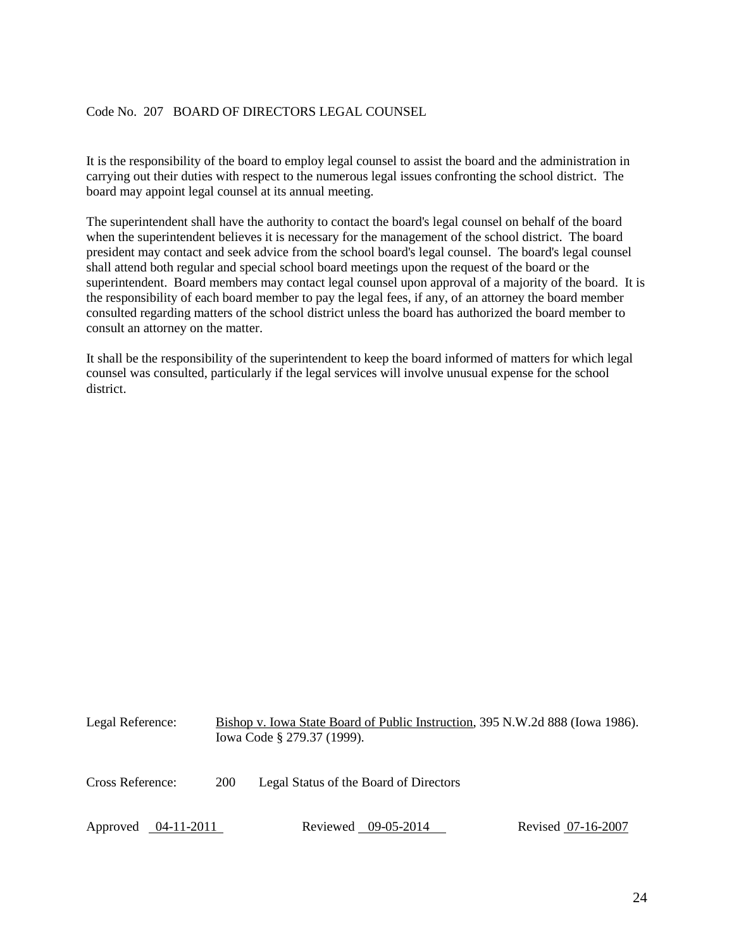# <span id="page-23-0"></span>Code No. 207 BOARD OF DIRECTORS LEGAL COUNSEL

It is the responsibility of the board to employ legal counsel to assist the board and the administration in carrying out their duties with respect to the numerous legal issues confronting the school district. The board may appoint legal counsel at its annual meeting.

The superintendent shall have the authority to contact the board's legal counsel on behalf of the board when the superintendent believes it is necessary for the management of the school district. The board president may contact and seek advice from the school board's legal counsel. The board's legal counsel shall attend both regular and special school board meetings upon the request of the board or the superintendent. Board members may contact legal counsel upon approval of a majority of the board. It is the responsibility of each board member to pay the legal fees, if any, of an attorney the board member consulted regarding matters of the school district unless the board has authorized the board member to consult an attorney on the matter.

It shall be the responsibility of the superintendent to keep the board informed of matters for which legal counsel was consulted, particularly if the legal services will involve unusual expense for the school district.

| Legal Reference:    |     | Bishop v. Iowa State Board of Public Instruction, 395 N.W.2d 888 (Iowa 1986).<br>Iowa Code § 279.37 (1999). |                    |
|---------------------|-----|-------------------------------------------------------------------------------------------------------------|--------------------|
| Cross Reference:    | 200 | Legal Status of the Board of Directors                                                                      |                    |
| Approved 04-11-2011 |     | Reviewed 09-05-2014                                                                                         | Revised 07-16-2007 |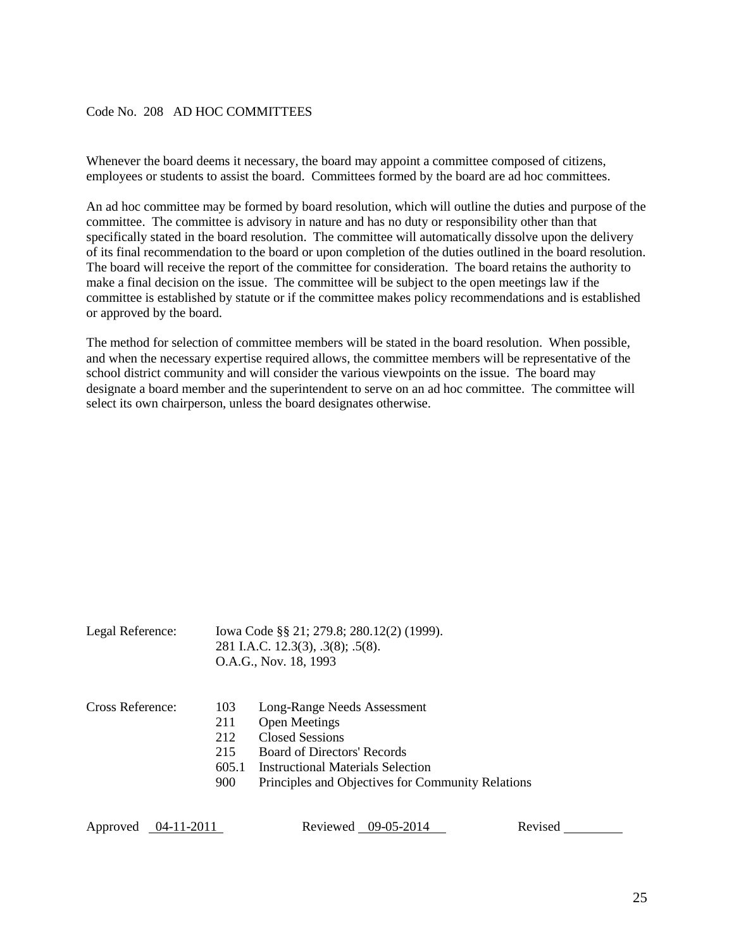## <span id="page-24-0"></span>Code No. 208 AD HOC COMMITTEES

Whenever the board deems it necessary, the board may appoint a committee composed of citizens, employees or students to assist the board. Committees formed by the board are ad hoc committees.

An ad hoc committee may be formed by board resolution, which will outline the duties and purpose of the committee. The committee is advisory in nature and has no duty or responsibility other than that specifically stated in the board resolution. The committee will automatically dissolve upon the delivery of its final recommendation to the board or upon completion of the duties outlined in the board resolution. The board will receive the report of the committee for consideration. The board retains the authority to make a final decision on the issue. The committee will be subject to the open meetings law if the committee is established by statute or if the committee makes policy recommendations and is established or approved by the board.

The method for selection of committee members will be stated in the board resolution. When possible, and when the necessary expertise required allows, the committee members will be representative of the school district community and will consider the various viewpoints on the issue. The board may designate a board member and the superintendent to serve on an ad hoc committee. The committee will select its own chairperson, unless the board designates otherwise.

| Legal Reference: |                                          | Iowa Code §§ 21; 279.8; 280.12(2) (1999).<br>281 I.A.C. 12.3(3), .3(8); .5(8).<br>O.A.G., Nov. 18, 1993                                                                                                |
|------------------|------------------------------------------|--------------------------------------------------------------------------------------------------------------------------------------------------------------------------------------------------------|
| Cross Reference: | 103<br>211<br>212<br>215<br>605.1<br>900 | Long-Range Needs Assessment<br><b>Open Meetings</b><br>Closed Sessions<br><b>Board of Directors' Records</b><br>Instructional Materials Selection<br>Principles and Objectives for Community Relations |

Approved 04-11-2011 Reviewed 09-05-2014 Revised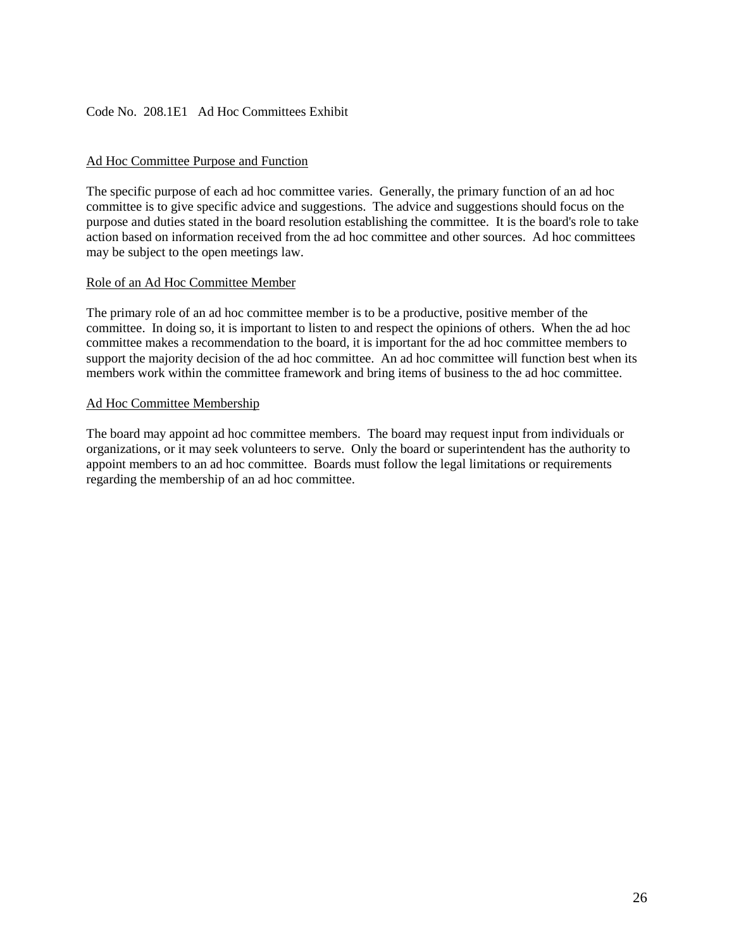## <span id="page-25-0"></span>Code No. 208.1E1 Ad Hoc Committees Exhibit

## Ad Hoc Committee Purpose and Function

The specific purpose of each ad hoc committee varies. Generally, the primary function of an ad hoc committee is to give specific advice and suggestions. The advice and suggestions should focus on the purpose and duties stated in the board resolution establishing the committee. It is the board's role to take action based on information received from the ad hoc committee and other sources. Ad hoc committees may be subject to the open meetings law.

#### Role of an Ad Hoc Committee Member

The primary role of an ad hoc committee member is to be a productive, positive member of the committee. In doing so, it is important to listen to and respect the opinions of others. When the ad hoc committee makes a recommendation to the board, it is important for the ad hoc committee members to support the majority decision of the ad hoc committee. An ad hoc committee will function best when its members work within the committee framework and bring items of business to the ad hoc committee.

#### Ad Hoc Committee Membership

The board may appoint ad hoc committee members. The board may request input from individuals or organizations, or it may seek volunteers to serve. Only the board or superintendent has the authority to appoint members to an ad hoc committee. Boards must follow the legal limitations or requirements regarding the membership of an ad hoc committee.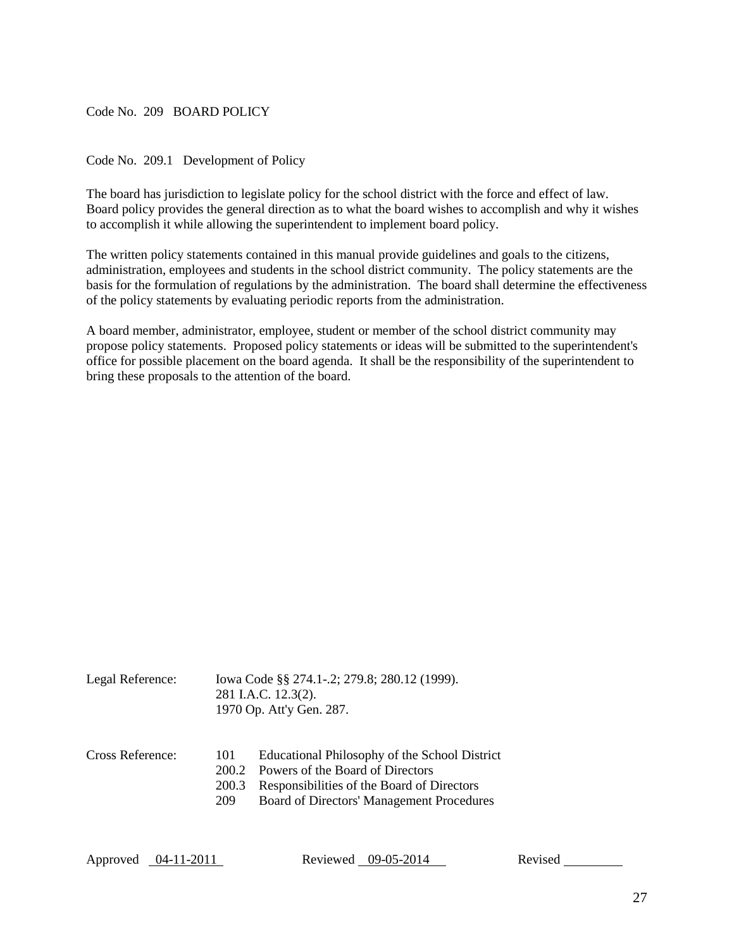#### <span id="page-26-0"></span>Code No. 209 BOARD POLICY

<span id="page-26-1"></span>Code No. 209.1 Development of Policy

The board has jurisdiction to legislate policy for the school district with the force and effect of law. Board policy provides the general direction as to what the board wishes to accomplish and why it wishes to accomplish it while allowing the superintendent to implement board policy.

The written policy statements contained in this manual provide guidelines and goals to the citizens, administration, employees and students in the school district community. The policy statements are the basis for the formulation of regulations by the administration. The board shall determine the effectiveness of the policy statements by evaluating periodic reports from the administration.

A board member, administrator, employee, student or member of the school district community may propose policy statements. Proposed policy statements or ideas will be submitted to the superintendent's office for possible placement on the board agenda. It shall be the responsibility of the superintendent to bring these proposals to the attention of the board.

| Legal Reference: | Iowa Code §§ 274.1-.2; 279.8; 280.12 (1999).<br>281 I.A.C. 12.3(2).<br>1970 Op. Att'y Gen. 287. |  |
|------------------|-------------------------------------------------------------------------------------------------|--|
| Cross Reference: | Educational Philosophy of the School District<br>-101<br>200.2 Powers of the Board of Directors |  |

200.3 Responsibilities of the Board of Directors

209 Board of Directors' Management Procedures

Approved 04-11-2011 Reviewed 09-05-2014 Revised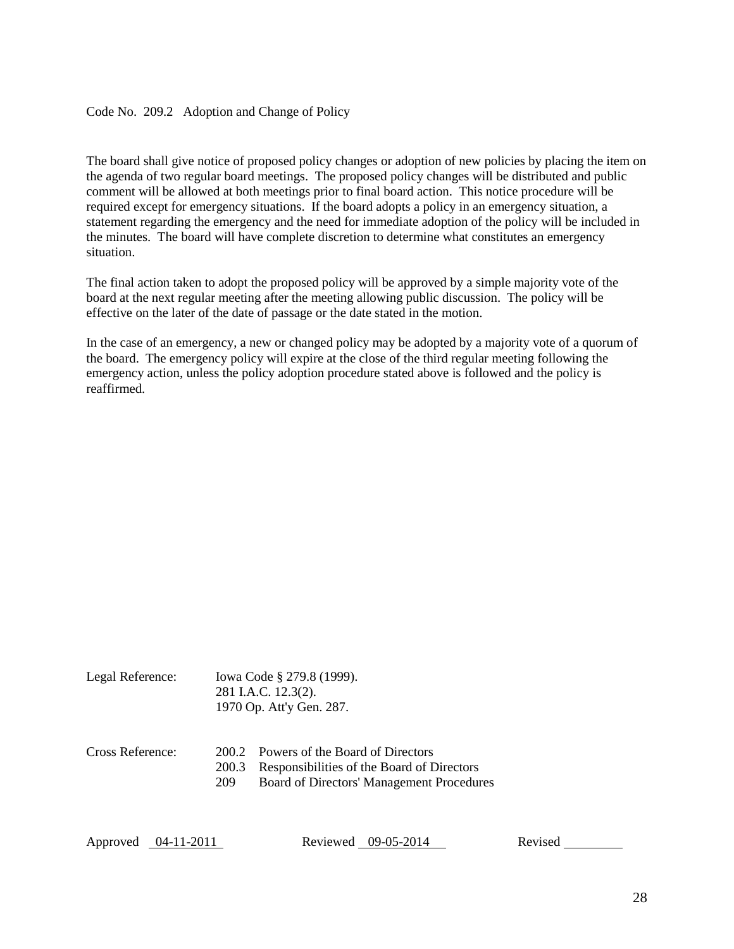## <span id="page-27-0"></span>Code No. 209.2 Adoption and Change of Policy

The board shall give notice of proposed policy changes or adoption of new policies by placing the item on the agenda of two regular board meetings. The proposed policy changes will be distributed and public comment will be allowed at both meetings prior to final board action. This notice procedure will be required except for emergency situations. If the board adopts a policy in an emergency situation, a statement regarding the emergency and the need for immediate adoption of the policy will be included in the minutes. The board will have complete discretion to determine what constitutes an emergency situation.

The final action taken to adopt the proposed policy will be approved by a simple majority vote of the board at the next regular meeting after the meeting allowing public discussion. The policy will be effective on the later of the date of passage or the date stated in the motion.

In the case of an emergency, a new or changed policy may be adopted by a majority vote of a quorum of the board. The emergency policy will expire at the close of the third regular meeting following the emergency action, unless the policy adoption procedure stated above is followed and the policy is reaffirmed.

| Legal Reference: | Iowa Code § 279.8 (1999). |  |
|------------------|---------------------------|--|
|                  | 281 I.A.C. 12.3(2).       |  |
|                  | 1970 Op. Att'y Gen. 287.  |  |
|                  |                           |  |
|                  |                           |  |

#### Cross Reference: 200.2 Powers of the Board of Directors 200.3 Responsibilities of the Board of Directors

209 Board of Directors' Management Procedures

Approved 04-11-2011 Reviewed 09-05-2014 Revised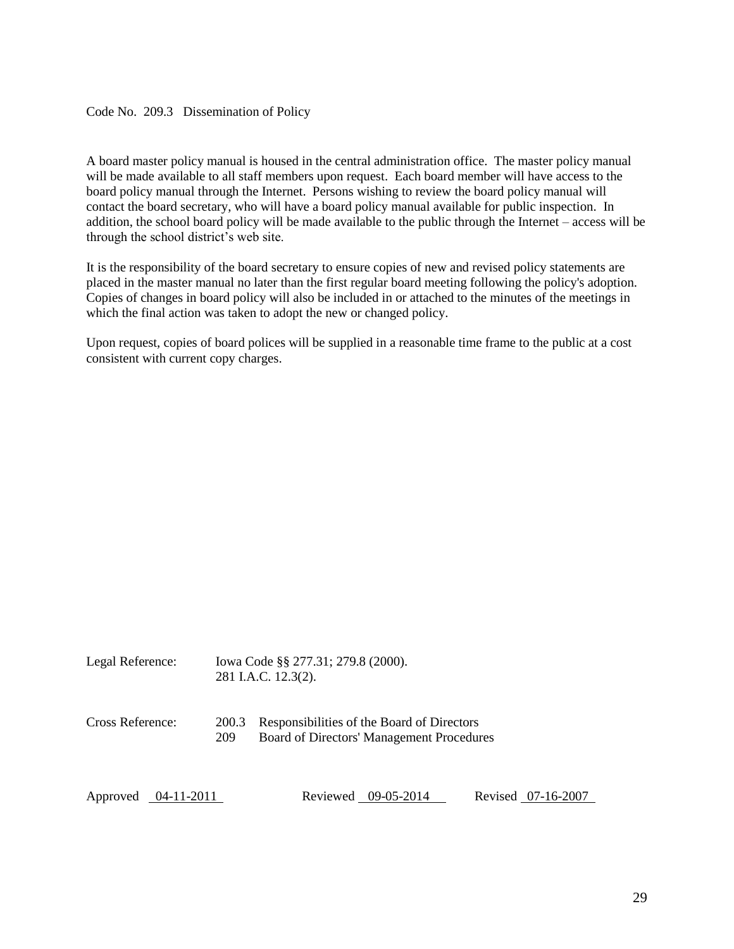#### <span id="page-28-0"></span>Code No. 209.3 Dissemination of Policy

A board master policy manual is housed in the central administration office. The master policy manual will be made available to all staff members upon request. Each board member will have access to the board policy manual through the Internet. Persons wishing to review the board policy manual will contact the board secretary, who will have a board policy manual available for public inspection. In addition, the school board policy will be made available to the public through the Internet – access will be through the school district's web site.

It is the responsibility of the board secretary to ensure copies of new and revised policy statements are placed in the master manual no later than the first regular board meeting following the policy's adoption. Copies of changes in board policy will also be included in or attached to the minutes of the meetings in which the final action was taken to adopt the new or changed policy.

Upon request, copies of board polices will be supplied in a reasonable time frame to the public at a cost consistent with current copy charges.

| Legal Reference:    |              | Iowa Code §§ 277.31; 279.8 (2000).<br>281 I.A.C. 12.3(2).                               |                    |
|---------------------|--------------|-----------------------------------------------------------------------------------------|--------------------|
| Cross Reference:    | 200.3<br>209 | Responsibilities of the Board of Directors<br>Board of Directors' Management Procedures |                    |
| Approved 04-11-2011 |              | Reviewed 09-05-2014                                                                     | Revised 07-16-2007 |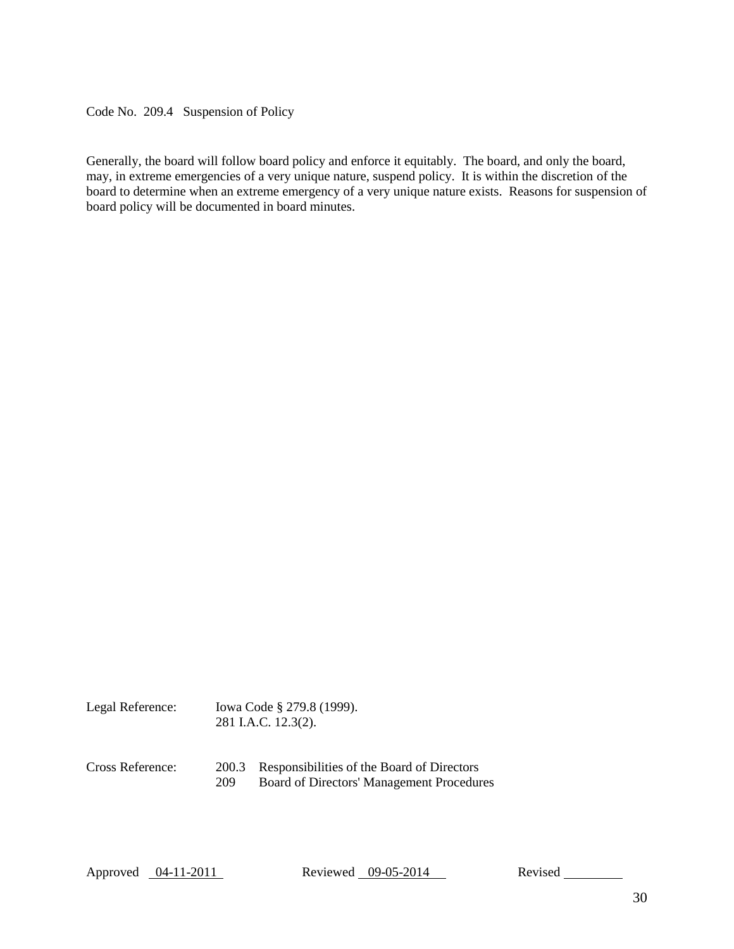<span id="page-29-0"></span>Code No. 209.4 Suspension of Policy

Generally, the board will follow board policy and enforce it equitably. The board, and only the board, may, in extreme emergencies of a very unique nature, suspend policy. It is within the discretion of the board to determine when an extreme emergency of a very unique nature exists. Reasons for suspension of board policy will be documented in board minutes.

| Legal Reference: | Iowa Code § 279.8 (1999). |  |
|------------------|---------------------------|--|
|                  | 281 I.A.C. 12.3(2).       |  |
|                  |                           |  |
|                  |                           |  |

Cross Reference: 200.3 Responsibilities of the Board of Directors 209 Board of Directors' Management Procedures

Approved 04-11-2011 Reviewed 09-05-2014 Revised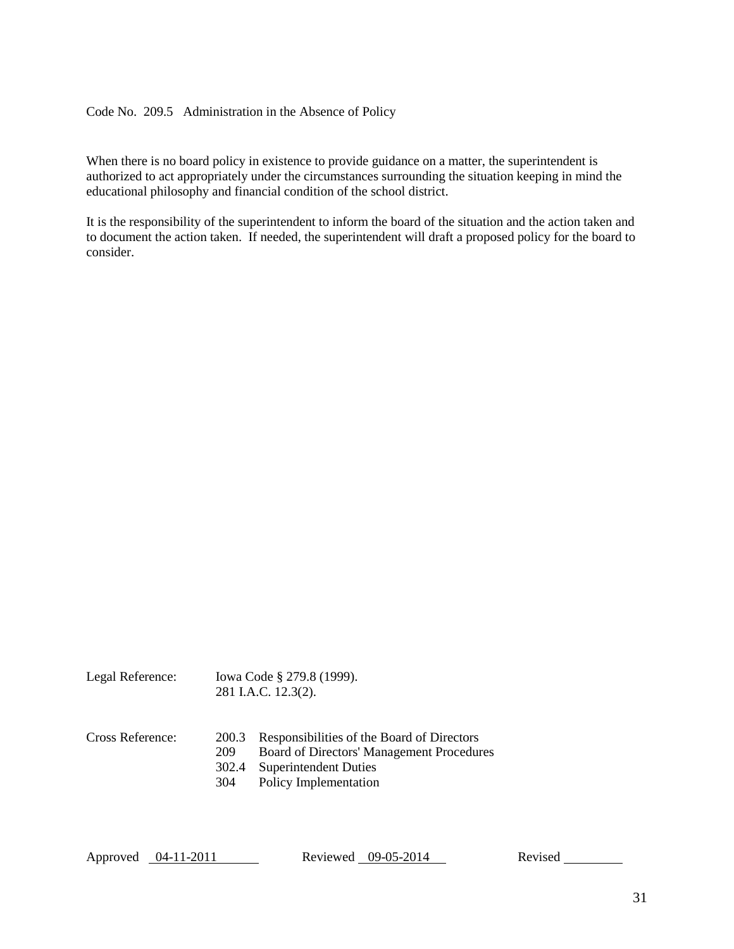## <span id="page-30-0"></span>Code No. 209.5 Administration in the Absence of Policy

When there is no board policy in existence to provide guidance on a matter, the superintendent is authorized to act appropriately under the circumstances surrounding the situation keeping in mind the educational philosophy and financial condition of the school district.

It is the responsibility of the superintendent to inform the board of the situation and the action taken and to document the action taken. If needed, the superintendent will draft a proposed policy for the board to consider.

| Legal Reference: | Iowa Code § 279.8 (1999). |
|------------------|---------------------------|
|                  | 281 I.A.C. 12.3(2).       |

- Cross Reference: 200.3 Responsibilities of the Board of Directors
	- 209 Board of Directors' Management Procedures
	- 302.4 Superintendent Duties
	- 304 Policy Implementation

Approved 04-11-2011 Reviewed 09-05-2014 Revised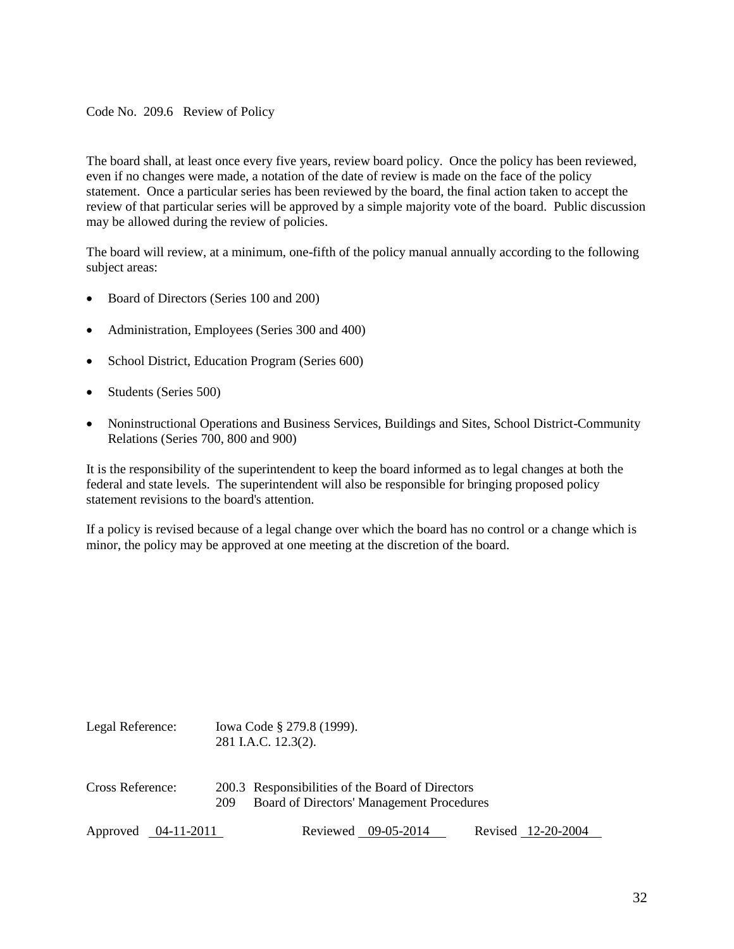<span id="page-31-0"></span>Code No. 209.6 Review of Policy

The board shall, at least once every five years, review board policy. Once the policy has been reviewed, even if no changes were made, a notation of the date of review is made on the face of the policy statement. Once a particular series has been reviewed by the board, the final action taken to accept the review of that particular series will be approved by a simple majority vote of the board. Public discussion may be allowed during the review of policies.

The board will review, at a minimum, one-fifth of the policy manual annually according to the following subject areas:

- Board of Directors (Series 100 and 200)
- Administration, Employees (Series 300 and 400)
- School District, Education Program (Series 600)
- Students (Series 500)
- Noninstructional Operations and Business Services, Buildings and Sites, School District-Community Relations (Series 700, 800 and 900)

It is the responsibility of the superintendent to keep the board informed as to legal changes at both the federal and state levels. The superintendent will also be responsible for bringing proposed policy statement revisions to the board's attention.

If a policy is revised because of a legal change over which the board has no control or a change which is minor, the policy may be approved at one meeting at the discretion of the board.

| Legal Reference:    |     | Iowa Code § 279.8 (1999).<br>281 I.A.C. 12.3(2).                                              |                     |                    |
|---------------------|-----|-----------------------------------------------------------------------------------------------|---------------------|--------------------|
| Cross Reference:    | 209 | 200.3 Responsibilities of the Board of Directors<br>Board of Directors' Management Procedures |                     |                    |
| Approved 04-11-2011 |     |                                                                                               | Reviewed 09-05-2014 | Revised 12-20-2004 |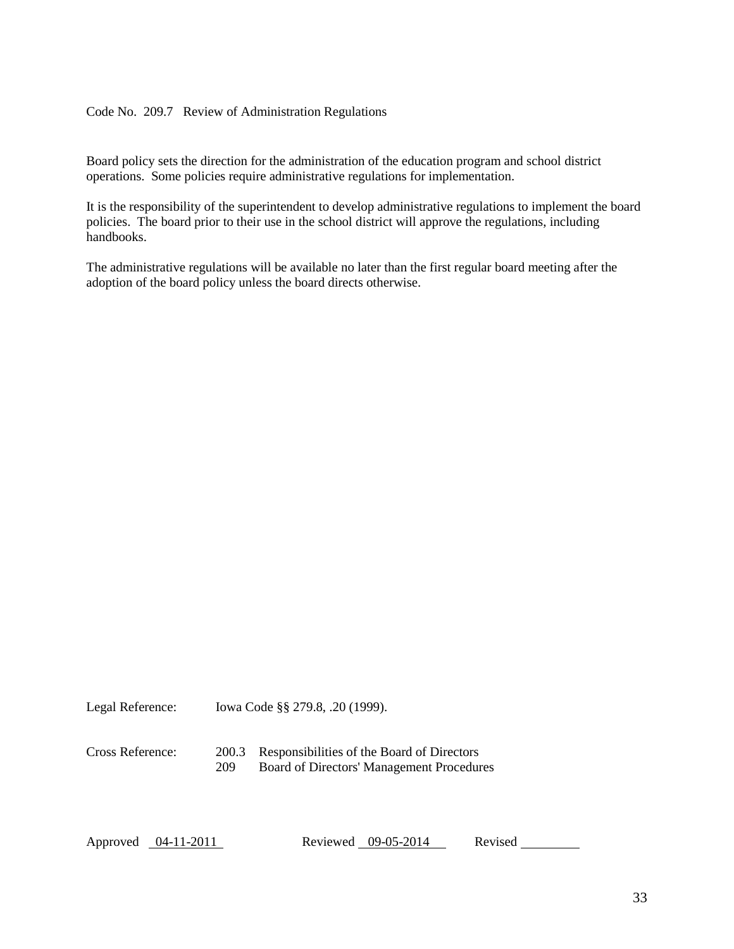## <span id="page-32-0"></span>Code No. 209.7 Review of Administration Regulations

Board policy sets the direction for the administration of the education program and school district operations. Some policies require administrative regulations for implementation.

It is the responsibility of the superintendent to develop administrative regulations to implement the board policies. The board prior to their use in the school district will approve the regulations, including handbooks.

The administrative regulations will be available no later than the first regular board meeting after the adoption of the board policy unless the board directs otherwise.

Legal Reference: Iowa Code §§ 279.8, .20 (1999).

Cross Reference: 200.3 Responsibilities of the Board of Directors 209 Board of Directors' Management Procedures

Approved 04-11-2011 Reviewed 09-05-2014 Revised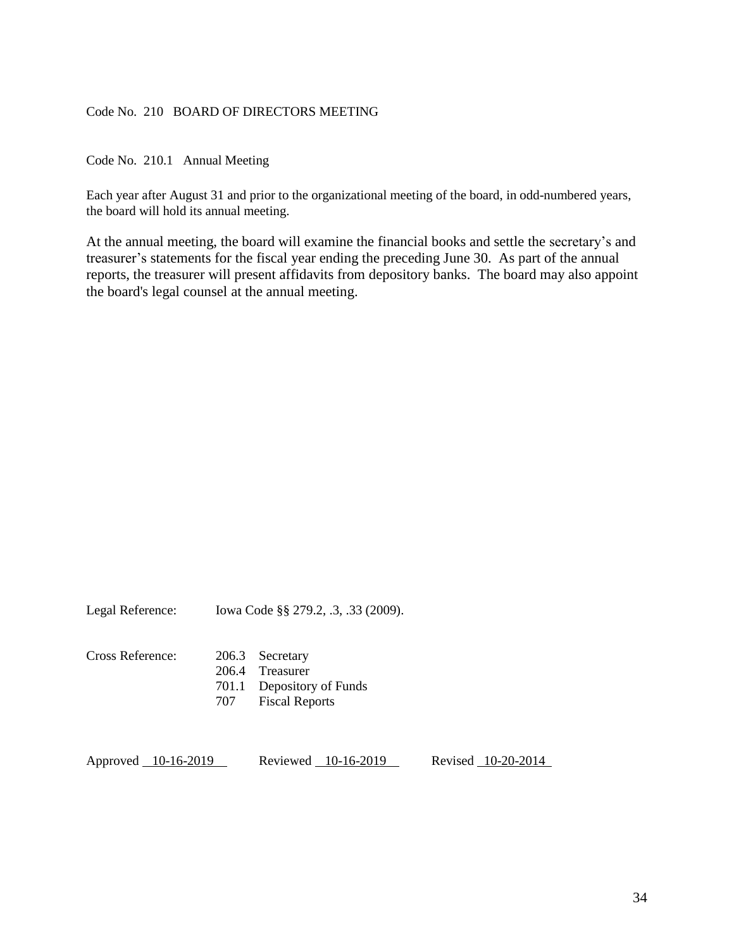## <span id="page-33-0"></span>Code No. 210 BOARD OF DIRECTORS MEETING

<span id="page-33-1"></span>Code No. 210.1 Annual Meeting

Each year after August 31 and prior to the organizational meeting of the board, in odd-numbered years, the board will hold its annual meeting.

At the annual meeting, the board will examine the financial books and settle the secretary's and treasurer's statements for the fiscal year ending the preceding June 30. As part of the annual reports, the treasurer will present affidavits from depository banks. The board may also appoint the board's legal counsel at the annual meeting.

| Legal Reference: | Iowa Code §§ 279.2, .3, .33 (2009). |
|------------------|-------------------------------------|
|------------------|-------------------------------------|

Cross Reference: 206.3 Secretary 206.4 Treasurer 701.1 Depository of Funds 707 Fiscal Reports

Approved 10-16-2019 Reviewed 10-16-2019 Revised 10-20-2014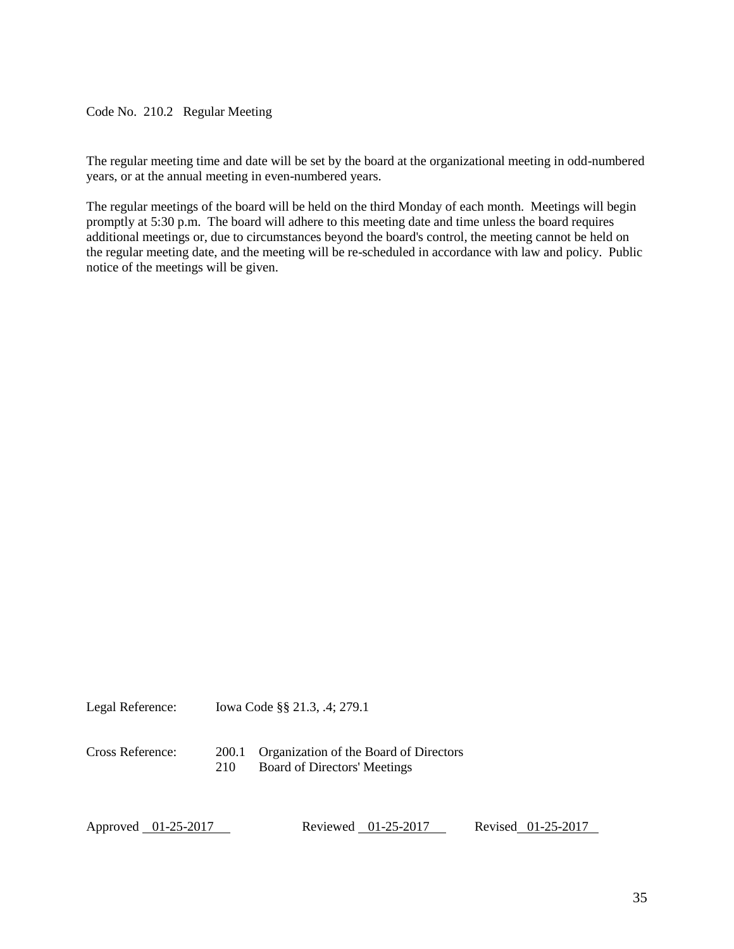<span id="page-34-0"></span>Code No. 210.2 Regular Meeting

The regular meeting time and date will be set by the board at the organizational meeting in odd-numbered years, or at the annual meeting in even-numbered years.

The regular meetings of the board will be held on the third Monday of each month. Meetings will begin promptly at 5:30 p.m. The board will adhere to this meeting date and time unless the board requires additional meetings or, due to circumstances beyond the board's control, the meeting cannot be held on the regular meeting date, and the meeting will be re-scheduled in accordance with law and policy. Public notice of the meetings will be given.

Legal Reference: Iowa Code §§ 21.3, .4; 279.1

Cross Reference: 200.1 Organization of the Board of Directors 210 Board of Directors' Meetings

Approved 01-25-2017 Reviewed 01-25-2017 Revised 01-25-2017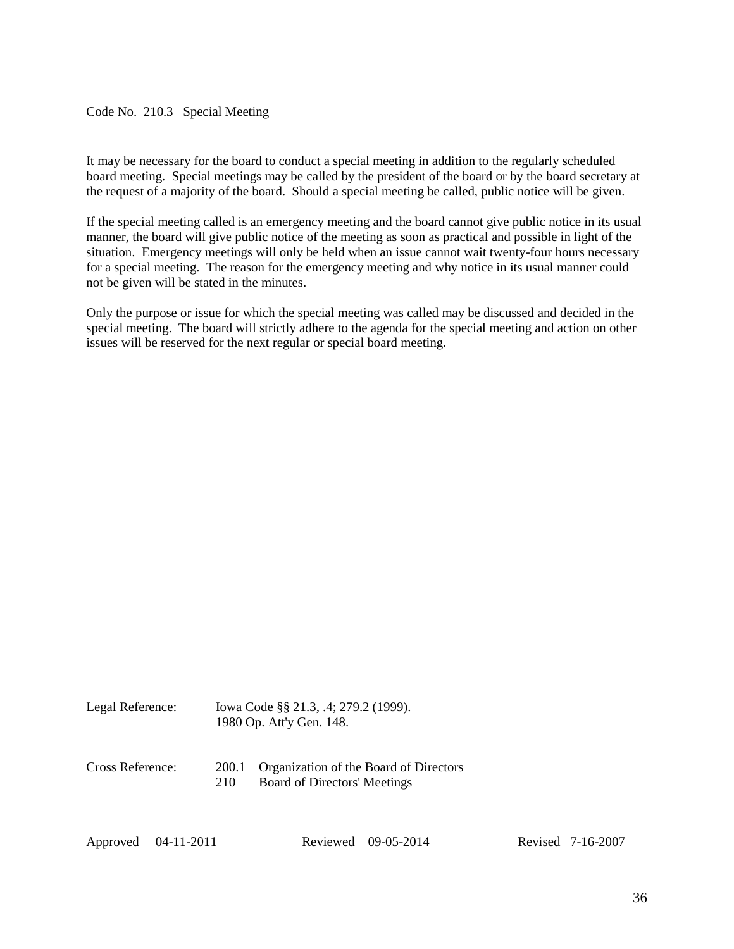## <span id="page-35-0"></span>Code No. 210.3 Special Meeting

It may be necessary for the board to conduct a special meeting in addition to the regularly scheduled board meeting. Special meetings may be called by the president of the board or by the board secretary at the request of a majority of the board. Should a special meeting be called, public notice will be given.

If the special meeting called is an emergency meeting and the board cannot give public notice in its usual manner, the board will give public notice of the meeting as soon as practical and possible in light of the situation. Emergency meetings will only be held when an issue cannot wait twenty-four hours necessary for a special meeting. The reason for the emergency meeting and why notice in its usual manner could not be given will be stated in the minutes.

Only the purpose or issue for which the special meeting was called may be discussed and decided in the special meeting. The board will strictly adhere to the agenda for the special meeting and action on other issues will be reserved for the next regular or special board meeting.

| Legal Reference: | Iowa Code §§ 21.3, .4; 279.2 (1999). |
|------------------|--------------------------------------|
|                  | 1980 Op. Att'y Gen. 148.             |

Cross Reference: 200.1 Organization of the Board of Directors 210 Board of Directors' Meetings

Approved 04-11-2011 Reviewed 09-05-2014 Revised 7-16-2007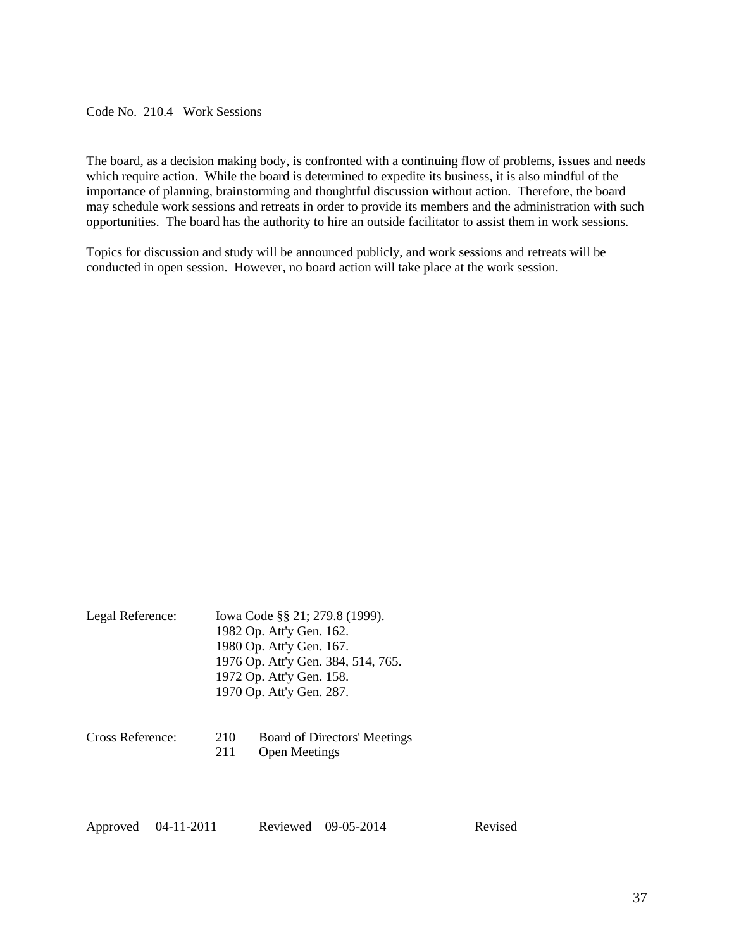<span id="page-36-0"></span>Code No. 210.4 Work Sessions

The board, as a decision making body, is confronted with a continuing flow of problems, issues and needs which require action. While the board is determined to expedite its business, it is also mindful of the importance of planning, brainstorming and thoughtful discussion without action. Therefore, the board may schedule work sessions and retreats in order to provide its members and the administration with such opportunities. The board has the authority to hire an outside facilitator to assist them in work sessions.

Topics for discussion and study will be announced publicly, and work sessions and retreats will be conducted in open session. However, no board action will take place at the work session.

| Legal Reference: | Iowa Code §§ 21; 279.8 (1999).<br>1982 Op. Att'y Gen. 162.<br>1980 Op. Att'y Gen. 167.<br>1976 Op. Att'y Gen. 384, 514, 765.<br>1972 Op. Att'y Gen. 158. |                                                      |  |
|------------------|----------------------------------------------------------------------------------------------------------------------------------------------------------|------------------------------------------------------|--|
|                  |                                                                                                                                                          | 1970 Op. Att'y Gen. 287.                             |  |
| Cross Reference: | 210<br>211                                                                                                                                               | Board of Directors' Meetings<br><b>Open Meetings</b> |  |

Approved 04-11-2011 Reviewed 09-05-2014 Revised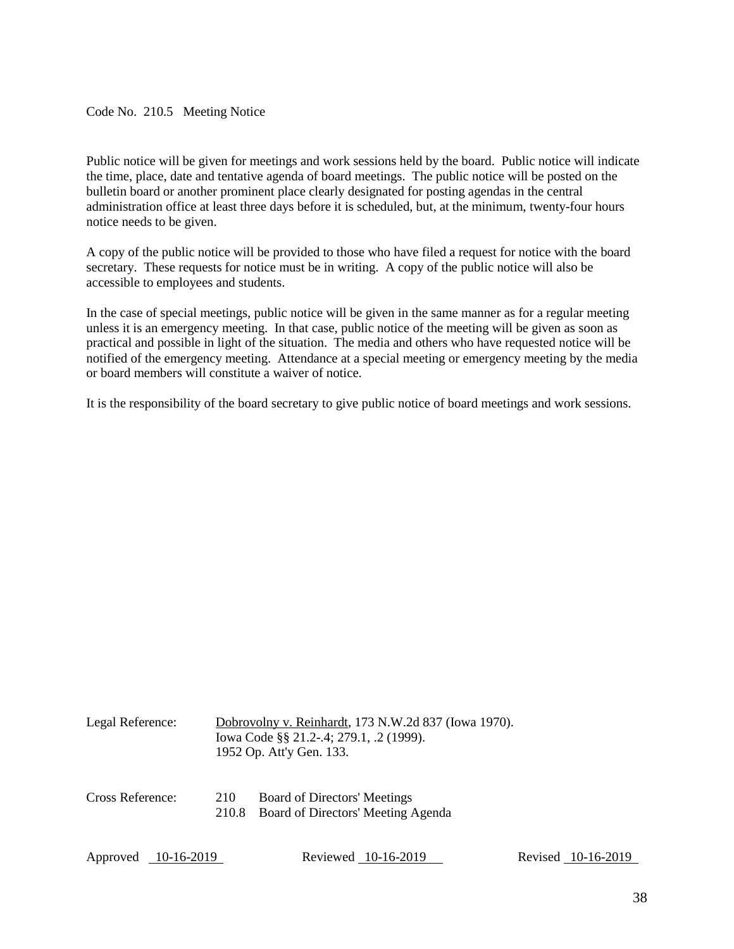<span id="page-37-0"></span>Code No. 210.5 Meeting Notice

Public notice will be given for meetings and work sessions held by the board. Public notice will indicate the time, place, date and tentative agenda of board meetings. The public notice will be posted on the bulletin board or another prominent place clearly designated for posting agendas in the central administration office at least three days before it is scheduled, but, at the minimum, twenty-four hours notice needs to be given.

A copy of the public notice will be provided to those who have filed a request for notice with the board secretary. These requests for notice must be in writing. A copy of the public notice will also be accessible to employees and students.

In the case of special meetings, public notice will be given in the same manner as for a regular meeting unless it is an emergency meeting. In that case, public notice of the meeting will be given as soon as practical and possible in light of the situation. The media and others who have requested notice will be notified of the emergency meeting. Attendance at a special meeting or emergency meeting by the media or board members will constitute a waiver of notice.

It is the responsibility of the board secretary to give public notice of board meetings and work sessions.

| Legal Reference:       |              | Dobrovolny v. Reinhardt, 173 N.W.2d 837 (Iowa 1970).<br>Iowa Code §§ 21.2-.4; 279.1, .2 (1999).<br>1952 Op. Att'y Gen. 133. |                    |
|------------------------|--------------|-----------------------------------------------------------------------------------------------------------------------------|--------------------|
| Cross Reference:       | 210<br>210.8 | Board of Directors' Meetings<br>Board of Directors' Meeting Agenda                                                          |                    |
| Approved<br>10-16-2019 |              | Reviewed 10-16-2019                                                                                                         | Revised 10-16-2019 |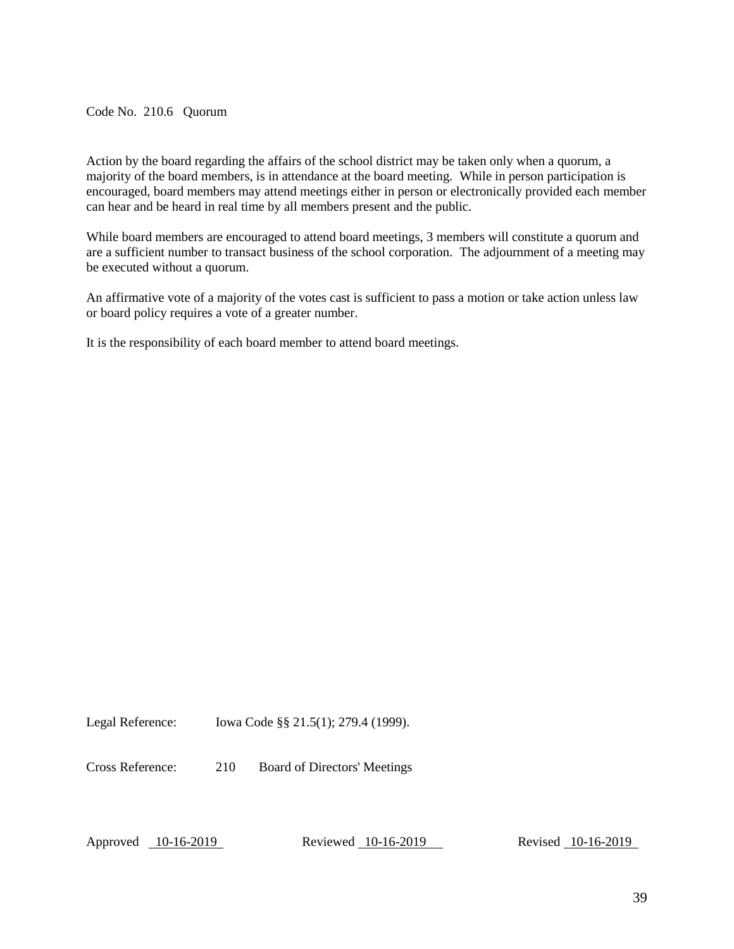<span id="page-38-0"></span>Code No. 210.6 Quorum

Action by the board regarding the affairs of the school district may be taken only when a quorum, a majority of the board members, is in attendance at the board meeting. While in person participation is encouraged, board members may attend meetings either in person or electronically provided each member can hear and be heard in real time by all members present and the public.

While board members are encouraged to attend board meetings, 3 members will constitute a quorum and are a sufficient number to transact business of the school corporation. The adjournment of a meeting may be executed without a quorum.

An affirmative vote of a majority of the votes cast is sufficient to pass a motion or take action unless law or board policy requires a vote of a greater number.

It is the responsibility of each board member to attend board meetings.

Legal Reference: Iowa Code §§ 21.5(1); 279.4 (1999).

Cross Reference: 210 Board of Directors' Meetings

Approved 10-16-2019 Reviewed 10-16-2019 Revised 10-16-2019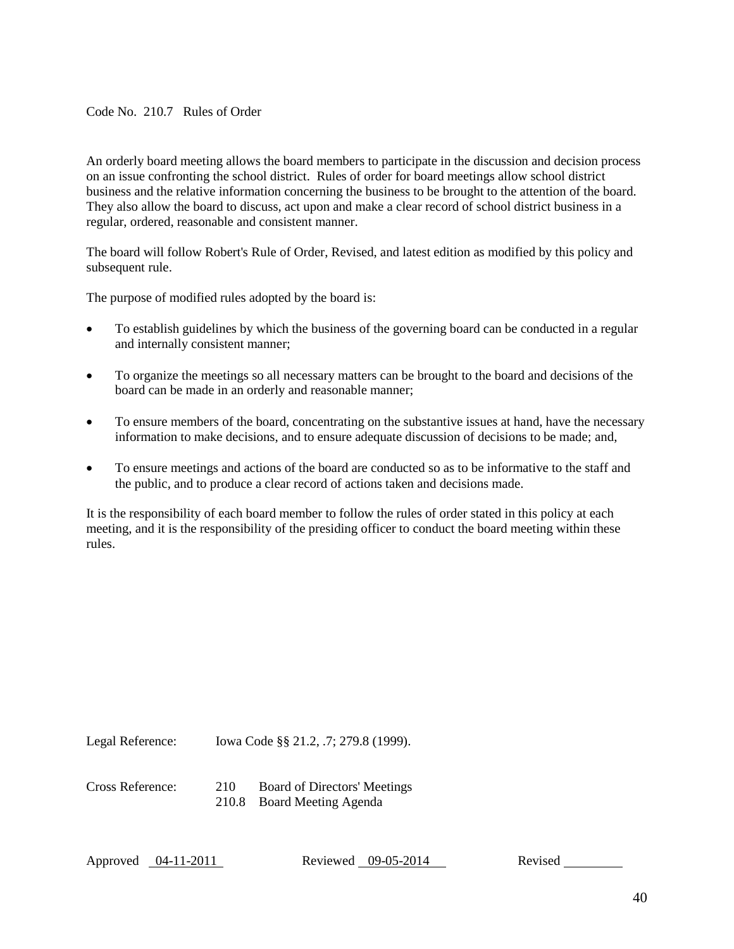<span id="page-39-0"></span>Code No. 210.7 Rules of Order

An orderly board meeting allows the board members to participate in the discussion and decision process on an issue confronting the school district. Rules of order for board meetings allow school district business and the relative information concerning the business to be brought to the attention of the board. They also allow the board to discuss, act upon and make a clear record of school district business in a regular, ordered, reasonable and consistent manner.

The board will follow Robert's Rule of Order, Revised, and latest edition as modified by this policy and subsequent rule.

The purpose of modified rules adopted by the board is:

- To establish guidelines by which the business of the governing board can be conducted in a regular and internally consistent manner;
- To organize the meetings so all necessary matters can be brought to the board and decisions of the board can be made in an orderly and reasonable manner;
- To ensure members of the board, concentrating on the substantive issues at hand, have the necessary information to make decisions, and to ensure adequate discussion of decisions to be made; and,
- To ensure meetings and actions of the board are conducted so as to be informative to the staff and the public, and to produce a clear record of actions taken and decisions made.

It is the responsibility of each board member to follow the rules of order stated in this policy at each meeting, and it is the responsibility of the presiding officer to conduct the board meeting within these rules.

Legal Reference: Iowa Code §§ 21.2, .7; 279.8 (1999).

Cross Reference: 210 Board of Directors' Meetings

210.8 Board Meeting Agenda

Approved 04-11-2011 Reviewed 09-05-2014 Revised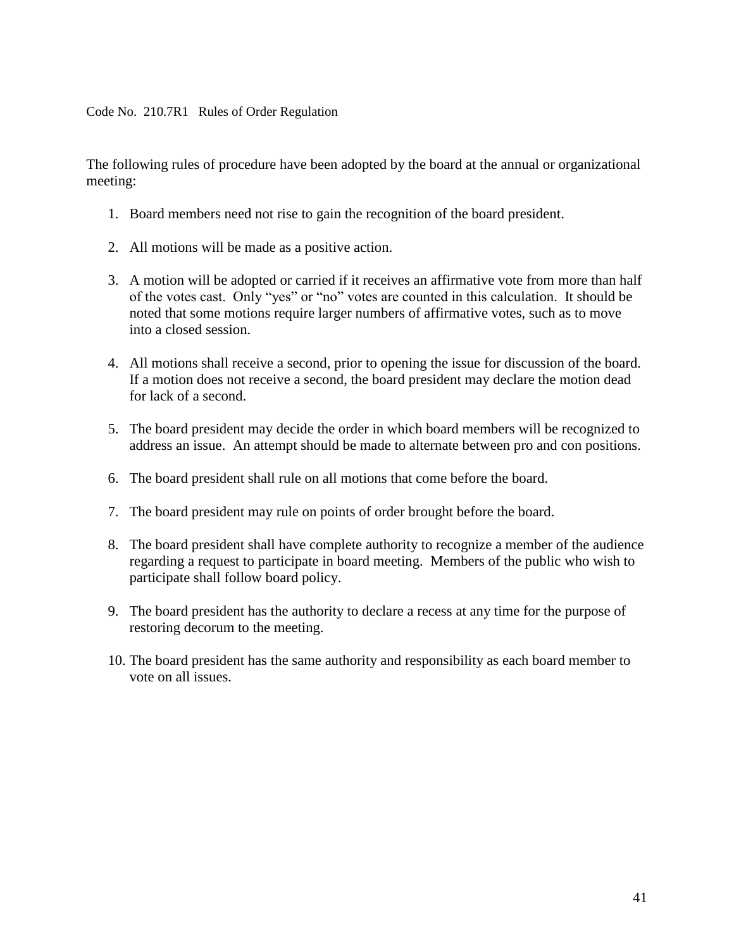<span id="page-40-0"></span>Code No. 210.7R1 Rules of Order Regulation

The following rules of procedure have been adopted by the board at the annual or organizational meeting:

- 1. Board members need not rise to gain the recognition of the board president.
- 2. All motions will be made as a positive action.
- 3. A motion will be adopted or carried if it receives an affirmative vote from more than half of the votes cast. Only "yes" or "no" votes are counted in this calculation. It should be noted that some motions require larger numbers of affirmative votes, such as to move into a closed session.
- 4. All motions shall receive a second, prior to opening the issue for discussion of the board. If a motion does not receive a second, the board president may declare the motion dead for lack of a second.
- 5. The board president may decide the order in which board members will be recognized to address an issue. An attempt should be made to alternate between pro and con positions.
- 6. The board president shall rule on all motions that come before the board.
- 7. The board president may rule on points of order brought before the board.
- 8. The board president shall have complete authority to recognize a member of the audience regarding a request to participate in board meeting. Members of the public who wish to participate shall follow board policy.
- 9. The board president has the authority to declare a recess at any time for the purpose of restoring decorum to the meeting.
- 10. The board president has the same authority and responsibility as each board member to vote on all issues.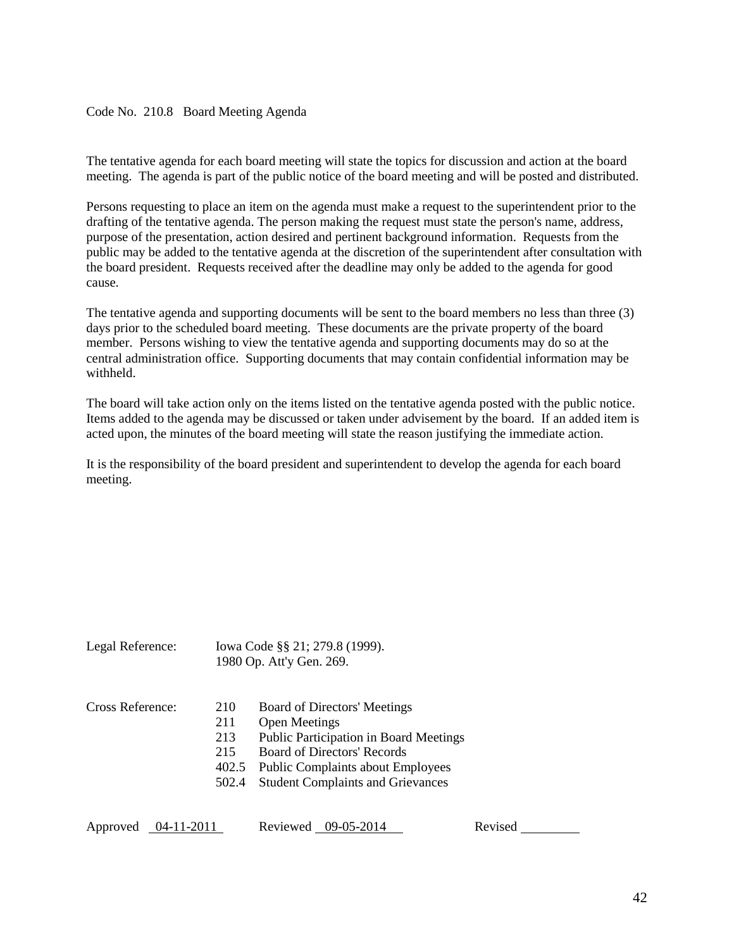#### <span id="page-41-0"></span>Code No. 210.8 Board Meeting Agenda

The tentative agenda for each board meeting will state the topics for discussion and action at the board meeting. The agenda is part of the public notice of the board meeting and will be posted and distributed.

Persons requesting to place an item on the agenda must make a request to the superintendent prior to the drafting of the tentative agenda. The person making the request must state the person's name, address, purpose of the presentation, action desired and pertinent background information. Requests from the public may be added to the tentative agenda at the discretion of the superintendent after consultation with the board president. Requests received after the deadline may only be added to the agenda for good cause.

The tentative agenda and supporting documents will be sent to the board members no less than three (3) days prior to the scheduled board meeting. These documents are the private property of the board member. Persons wishing to view the tentative agenda and supporting documents may do so at the central administration office. Supporting documents that may contain confidential information may be withheld.

The board will take action only on the items listed on the tentative agenda posted with the public notice. Items added to the agenda may be discussed or taken under advisement by the board. If an added item is acted upon, the minutes of the board meeting will state the reason justifying the immediate action.

It is the responsibility of the board president and superintendent to develop the agenda for each board meeting.

| Cross Reference: | 210   | Board of Directors' Meetings                  |
|------------------|-------|-----------------------------------------------|
|                  | 211   | <b>Open Meetings</b>                          |
|                  | 213   | <b>Public Participation in Board Meetings</b> |
|                  | 215   | <b>Board of Directors' Records</b>            |
|                  |       | 402.5 Public Complaints about Employees       |
|                  | 502.4 | <b>Student Complaints and Grievances</b>      |

Legal Reference: Iowa Code §§ 21; 279.8 (1999).

1980 Op. Att'y Gen. 269.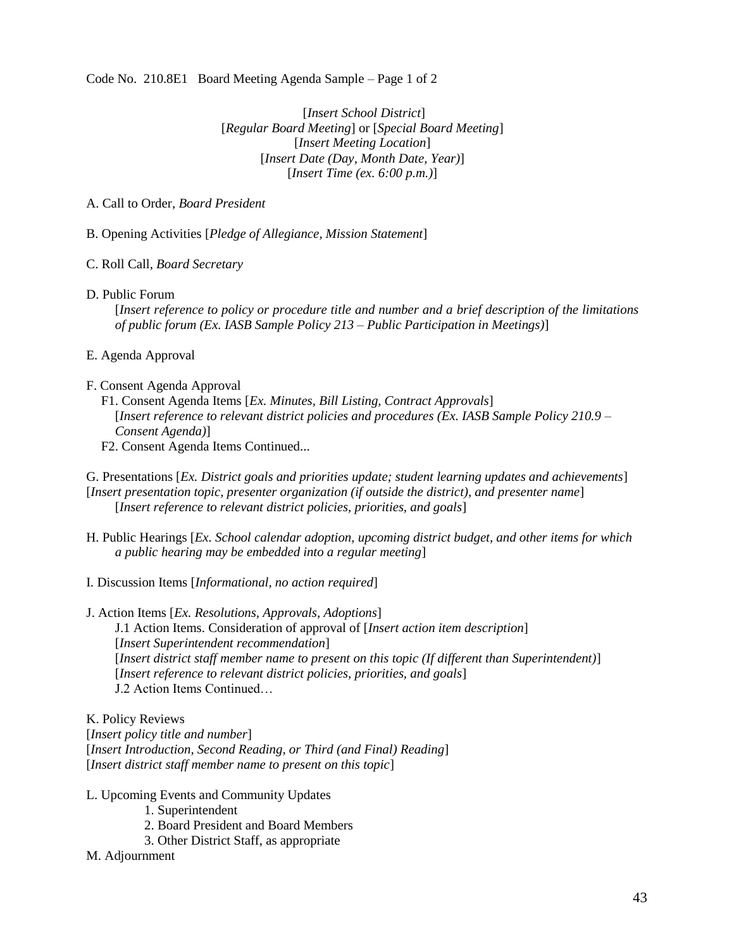<span id="page-42-0"></span>Code No. 210.8E1 Board Meeting Agenda Sample – Page 1 of 2

[*Insert School District*] [*Regular Board Meeting*] or [*Special Board Meeting*] [*Insert Meeting Location*] [*Insert Date (Day, Month Date, Year)*] [*Insert Time (ex. 6:00 p.m.)*]

## A. Call to Order, *Board President*

B. Opening Activities [*Pledge of Allegiance, Mission Statement*]

#### C. Roll Call, *Board Secretary*

- D. Public Forum
	- [*Insert reference to policy or procedure title and number and a brief description of the limitations of public forum (Ex. IASB Sample Policy 213 – Public Participation in Meetings)*]
- E. Agenda Approval

#### F. Consent Agenda Approval

- F1. Consent Agenda Items [*Ex. Minutes, Bill Listing, Contract Approvals*] [*Insert reference to relevant district policies and procedures (Ex. IASB Sample Policy 210.9 – Consent Agenda)*]
- F2. Consent Agenda Items Continued...

G. Presentations [*Ex. District goals and priorities update; student learning updates and achievements*] [*Insert presentation topic, presenter organization (if outside the district), and presenter name*] [*Insert reference to relevant district policies, priorities, and goals*]

- H. Public Hearings [*Ex. School calendar adoption, upcoming district budget, and other items for which a public hearing may be embedded into a regular meeting*]
- I. Discussion Items [*Informational, no action required*]
- J. Action Items [*Ex. Resolutions, Approvals, Adoptions*] J.1 Action Items. Consideration of approval of [*Insert action item description*] [*Insert Superintendent recommendation*] [*Insert district staff member name to present on this topic (If different than Superintendent)*] [*Insert reference to relevant district policies, priorities, and goals*]
	- J.2 Action Items Continued…

K. Policy Reviews

[*Insert policy title and number*] [*Insert Introduction, Second Reading, or Third (and Final) Reading*] [*Insert district staff member name to present on this topic*]

- L. Upcoming Events and Community Updates
	- 1. Superintendent
	- 2. Board President and Board Members
	- 3. Other District Staff, as appropriate
- M. Adjournment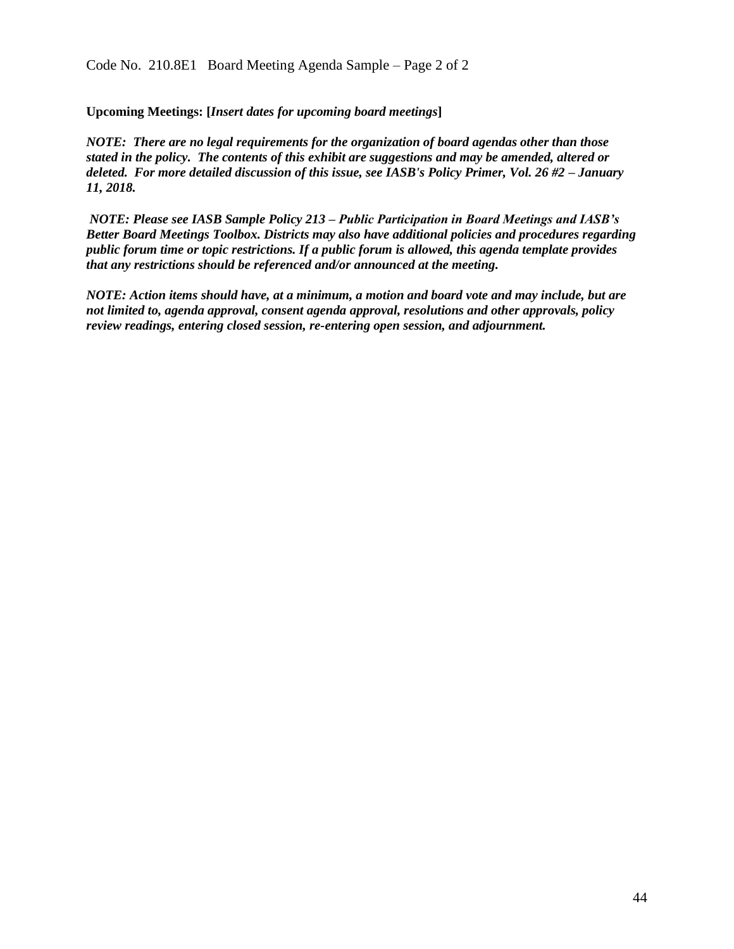**Upcoming Meetings: [***Insert dates for upcoming board meetings***]**

*NOTE: There are no legal requirements for the organization of board agendas other than those stated in the policy. The contents of this exhibit are suggestions and may be amended, altered or deleted. For more detailed discussion of this issue, see IASB's Policy Primer, Vol. 26 #2 – January 11, 2018.*

*NOTE: Please see IASB Sample Policy 213 – Public Participation in Board Meetings and IASB's Better Board Meetings Toolbox. Districts may also have additional policies and procedures regarding public forum time or topic restrictions. If a public forum is allowed, this agenda template provides that any restrictions should be referenced and/or announced at the meeting.*

*NOTE: Action items should have, at a minimum, a motion and board vote and may include, but are not limited to, agenda approval, consent agenda approval, resolutions and other approvals, policy review readings, entering closed session, re-entering open session, and adjournment.*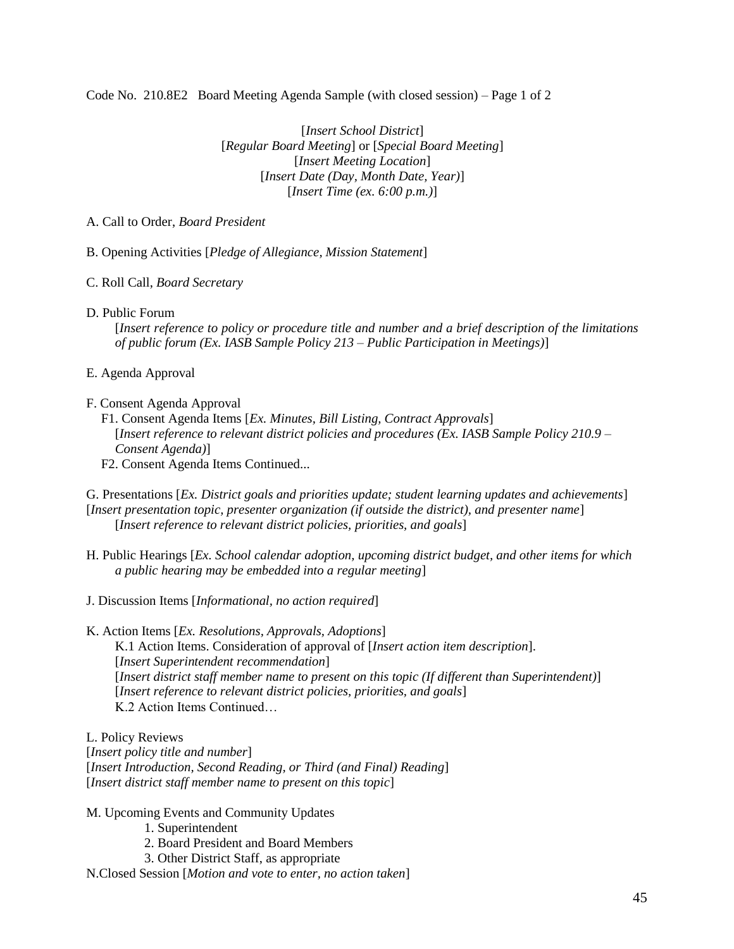<span id="page-44-0"></span>Code No. 210.8E2 Board Meeting Agenda Sample (with closed session) – Page 1 of 2

[*Insert School District*] [*Regular Board Meeting*] or [*Special Board Meeting*] [*Insert Meeting Location*] [*Insert Date (Day, Month Date, Year)*] [*Insert Time (ex. 6:00 p.m.)*]

#### A. Call to Order, *Board President*

B. Opening Activities [*Pledge of Allegiance, Mission Statement*]

- C. Roll Call, *Board Secretary*
- D. Public Forum

[*Insert reference to policy or procedure title and number and a brief description of the limitations of public forum (Ex. IASB Sample Policy 213 – Public Participation in Meetings)*]

- E. Agenda Approval
- F. Consent Agenda Approval
	- F1. Consent Agenda Items [*Ex. Minutes, Bill Listing, Contract Approvals*] [*Insert reference to relevant district policies and procedures (Ex. IASB Sample Policy 210.9 – Consent Agenda)*]
	- F2. Consent Agenda Items Continued...
- G. Presentations [*Ex. District goals and priorities update; student learning updates and achievements*] [*Insert presentation topic, presenter organization (if outside the district), and presenter name*] [*Insert reference to relevant district policies, priorities, and goals*]
- H. Public Hearings [*Ex. School calendar adoption, upcoming district budget, and other items for which a public hearing may be embedded into a regular meeting*]
- J. Discussion Items [*Informational, no action required*]
- K. Action Items [*Ex. Resolutions, Approvals, Adoptions*]

K.1 Action Items. Consideration of approval of [*Insert action item description*]. [*Insert Superintendent recommendation*] [*Insert district staff member name to present on this topic (If different than Superintendent)*] [*Insert reference to relevant district policies, priorities, and goals*] K.2 Action Items Continued…

L. Policy Reviews

[*Insert policy title and number*] [*Insert Introduction, Second Reading, or Third (and Final) Reading*] [*Insert district staff member name to present on this topic*]

- M. Upcoming Events and Community Updates
	- 1. Superintendent
	- 2. Board President and Board Members
	- 3. Other District Staff, as appropriate
- N.Closed Session [*Motion and vote to enter, no action taken*]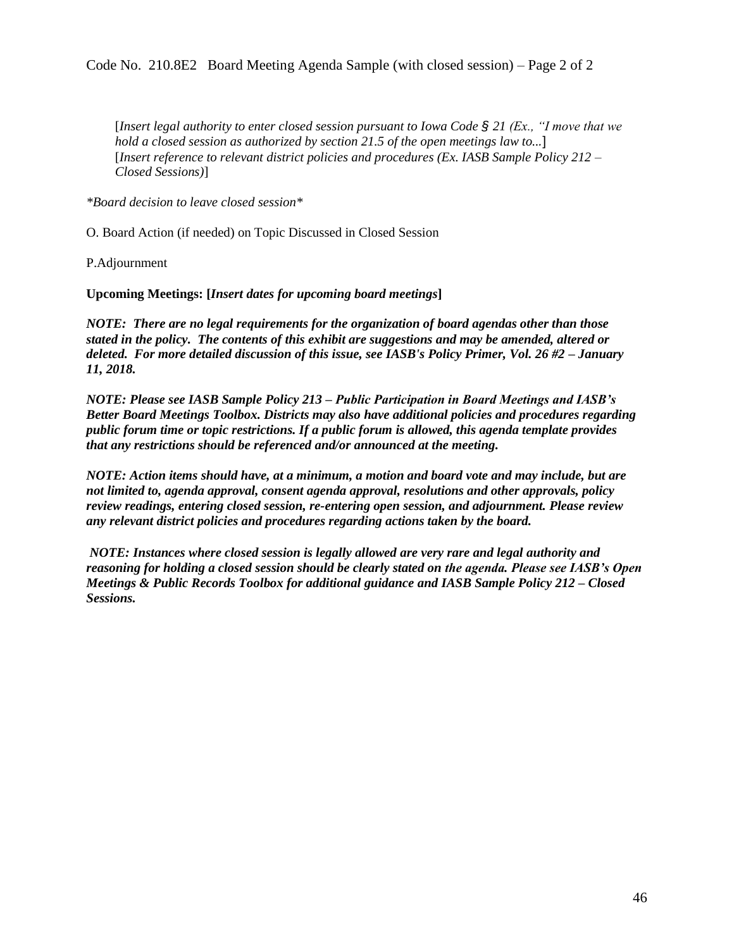[*Insert legal authority to enter closed session pursuant to Iowa Code § 21 (Ex., "I move that we hold a closed session as authorized by section 21.5 of the open meetings law to...*] [*Insert reference to relevant district policies and procedures (Ex. IASB Sample Policy 212 – Closed Sessions)*]

*\*Board decision to leave closed session\**

O. Board Action (if needed) on Topic Discussed in Closed Session

P.Adjournment

**Upcoming Meetings: [***Insert dates for upcoming board meetings***]**

*NOTE: There are no legal requirements for the organization of board agendas other than those stated in the policy. The contents of this exhibit are suggestions and may be amended, altered or deleted. For more detailed discussion of this issue, see IASB's Policy Primer, Vol. 26 #2 – January 11, 2018.*

*NOTE: Please see IASB Sample Policy 213 – Public Participation in Board Meetings and IASB's Better Board Meetings Toolbox. Districts may also have additional policies and procedures regarding public forum time or topic restrictions. If a public forum is allowed, this agenda template provides that any restrictions should be referenced and/or announced at the meeting.*

*NOTE: Action items should have, at a minimum, a motion and board vote and may include, but are not limited to, agenda approval, consent agenda approval, resolutions and other approvals, policy review readings, entering closed session, re-entering open session, and adjournment. Please review any relevant district policies and procedures regarding actions taken by the board.* 

*NOTE: Instances where closed session is legally allowed are very rare and legal authority and reasoning for holding a closed session should be clearly stated on the agenda. Please see IASB's Open Meetings & Public Records Toolbox for additional guidance and IASB Sample Policy 212 – Closed Sessions.*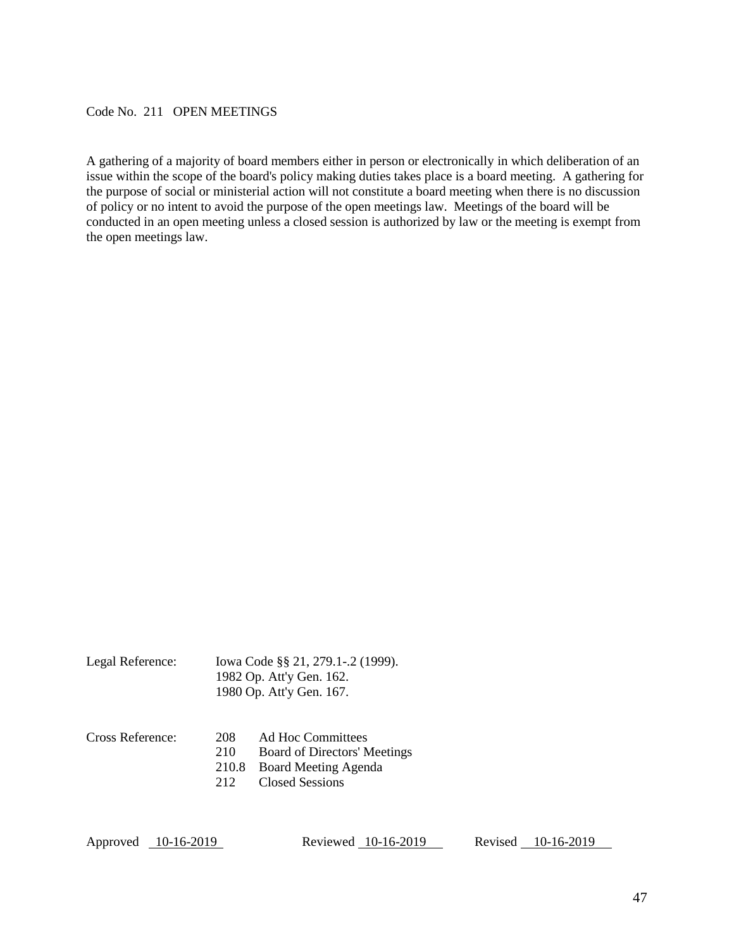<span id="page-46-0"></span>Code No. 211 OPEN MEETINGS

A gathering of a majority of board members either in person or electronically in which deliberation of an issue within the scope of the board's policy making duties takes place is a board meeting. A gathering for the purpose of social or ministerial action will not constitute a board meeting when there is no discussion of policy or no intent to avoid the purpose of the open meetings law. Meetings of the board will be conducted in an open meeting unless a closed session is authorized by law or the meeting is exempt from the open meetings law.

| Legal Reference: | Iowa Code §§ 21, 279.1-.2 (1999). |
|------------------|-----------------------------------|
|                  | 1982 Op. Att'y Gen. 162.          |
|                  | 1980 Op. Att'y Gen. 167.          |

| Cross Reference: | 208 | Ad Hoc Committees            |
|------------------|-----|------------------------------|
|                  | 210 | Board of Directors' Meetings |
|                  |     | 210.8 Board Meeting Agenda   |
|                  | 212 | <b>Closed Sessions</b>       |

Approved 10-16-2019 Reviewed 10-16-2019 Revised 10-16-2019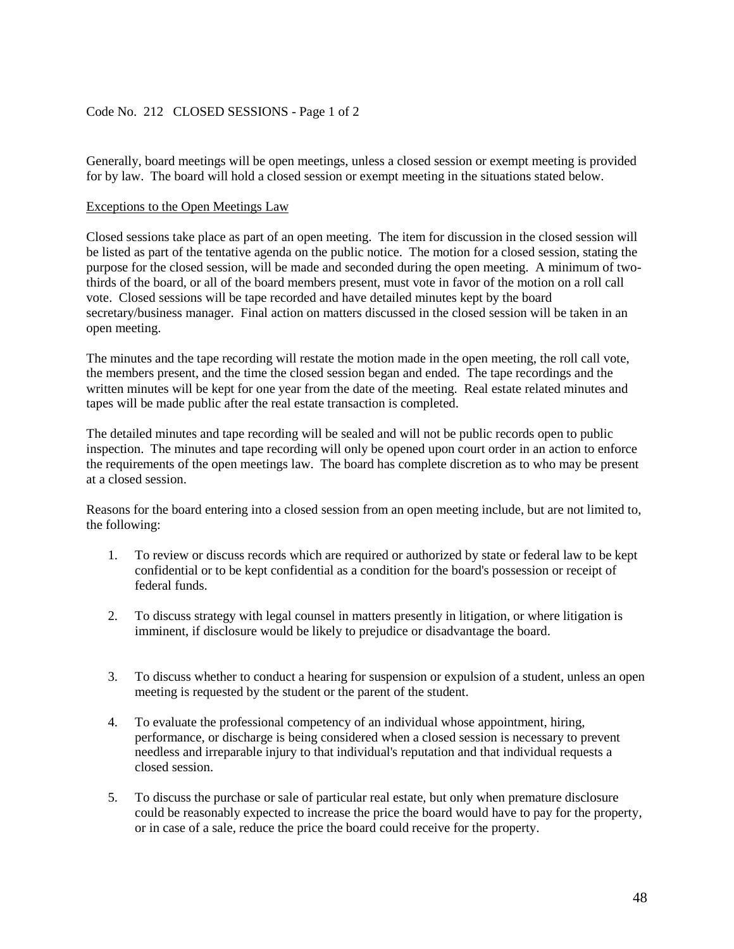# <span id="page-47-0"></span>Code No. 212 CLOSED SESSIONS - Page 1 of 2

Generally, board meetings will be open meetings, unless a closed session or exempt meeting is provided for by law. The board will hold a closed session or exempt meeting in the situations stated below.

#### Exceptions to the Open Meetings Law

Closed sessions take place as part of an open meeting. The item for discussion in the closed session will be listed as part of the tentative agenda on the public notice. The motion for a closed session, stating the purpose for the closed session, will be made and seconded during the open meeting. A minimum of twothirds of the board, or all of the board members present, must vote in favor of the motion on a roll call vote. Closed sessions will be tape recorded and have detailed minutes kept by the board secretary/business manager. Final action on matters discussed in the closed session will be taken in an open meeting.

The minutes and the tape recording will restate the motion made in the open meeting, the roll call vote, the members present, and the time the closed session began and ended. The tape recordings and the written minutes will be kept for one year from the date of the meeting. Real estate related minutes and tapes will be made public after the real estate transaction is completed.

The detailed minutes and tape recording will be sealed and will not be public records open to public inspection. The minutes and tape recording will only be opened upon court order in an action to enforce the requirements of the open meetings law. The board has complete discretion as to who may be present at a closed session.

Reasons for the board entering into a closed session from an open meeting include, but are not limited to, the following:

- 1. To review or discuss records which are required or authorized by state or federal law to be kept confidential or to be kept confidential as a condition for the board's possession or receipt of federal funds.
- 2. To discuss strategy with legal counsel in matters presently in litigation, or where litigation is imminent, if disclosure would be likely to prejudice or disadvantage the board.
- 3. To discuss whether to conduct a hearing for suspension or expulsion of a student, unless an open meeting is requested by the student or the parent of the student.
- 4. To evaluate the professional competency of an individual whose appointment, hiring, performance, or discharge is being considered when a closed session is necessary to prevent needless and irreparable injury to that individual's reputation and that individual requests a closed session.
- 5. To discuss the purchase or sale of particular real estate, but only when premature disclosure could be reasonably expected to increase the price the board would have to pay for the property, or in case of a sale, reduce the price the board could receive for the property.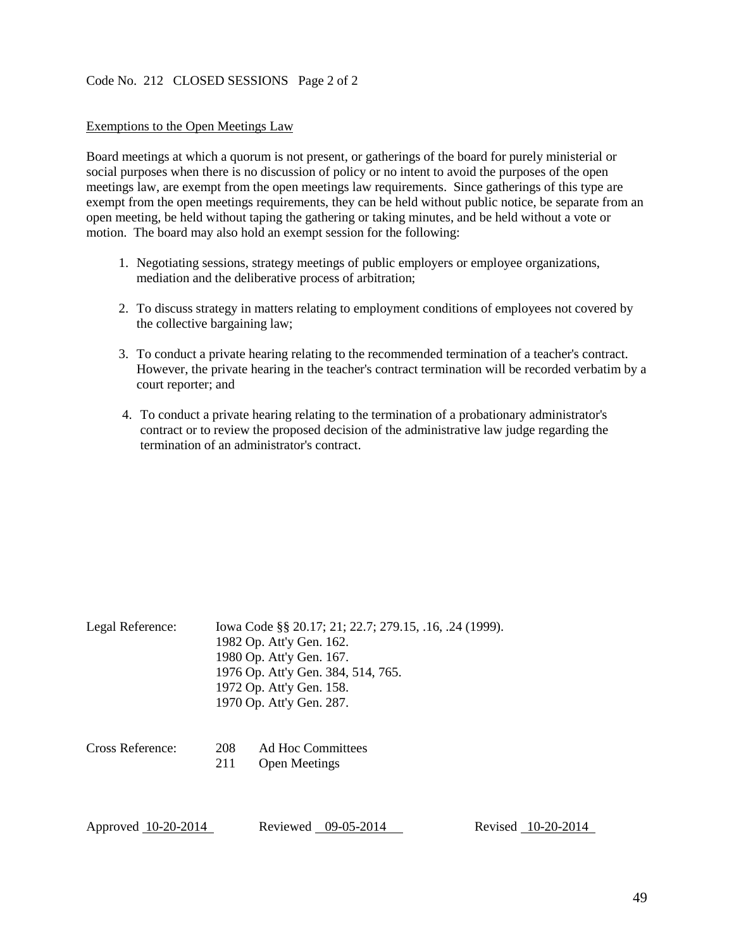#### Code No. 212 CLOSED SESSIONS Page 2 of 2

#### Exemptions to the Open Meetings Law

Board meetings at which a quorum is not present, or gatherings of the board for purely ministerial or social purposes when there is no discussion of policy or no intent to avoid the purposes of the open meetings law, are exempt from the open meetings law requirements. Since gatherings of this type are exempt from the open meetings requirements, they can be held without public notice, be separate from an open meeting, be held without taping the gathering or taking minutes, and be held without a vote or motion. The board may also hold an exempt session for the following:

- 1. Negotiating sessions, strategy meetings of public employers or employee organizations, mediation and the deliberative process of arbitration;
- 2. To discuss strategy in matters relating to employment conditions of employees not covered by the collective bargaining law;
- 3. To conduct a private hearing relating to the recommended termination of a teacher's contract. However, the private hearing in the teacher's contract termination will be recorded verbatim by a court reporter; and
- 4. To conduct a private hearing relating to the termination of a probationary administrator's contract or to review the proposed decision of the administrative law judge regarding the termination of an administrator's contract.

| Legal Reference:    | Iowa Code §§ 20.17; 21; 22.7; 279.15, .16, .24 (1999).<br>1982 Op. Att'y Gen. 162.<br>1980 Op. Att'y Gen. 167.<br>1976 Op. Att'y Gen. 384, 514, 765.<br>1972 Op. Att'y Gen. 158.<br>1970 Op. Att'y Gen. 287. |                                           |  |                    |
|---------------------|--------------------------------------------------------------------------------------------------------------------------------------------------------------------------------------------------------------|-------------------------------------------|--|--------------------|
| Cross Reference:    | 208<br>211                                                                                                                                                                                                   | Ad Hoc Committees<br><b>Open Meetings</b> |  |                    |
| Approved 10-20-2014 |                                                                                                                                                                                                              | Reviewed 09-05-2014                       |  | Revised 10-20-2014 |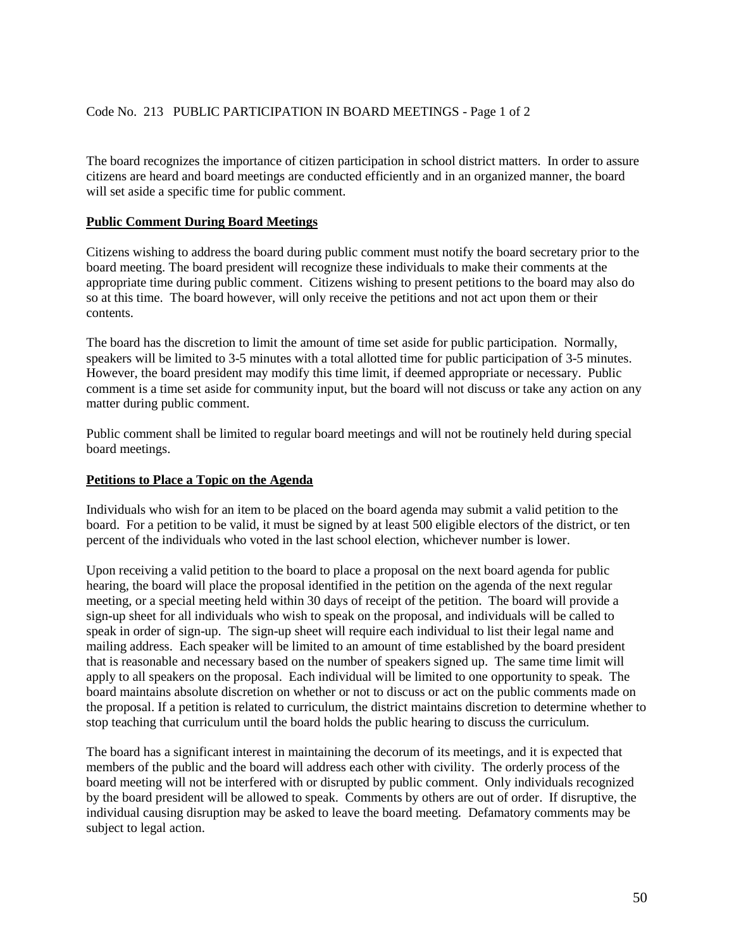<span id="page-49-0"></span>The board recognizes the importance of citizen participation in school district matters. In order to assure citizens are heard and board meetings are conducted efficiently and in an organized manner, the board will set aside a specific time for public comment.

## **Public Comment During Board Meetings**

Citizens wishing to address the board during public comment must notify the board secretary prior to the board meeting. The board president will recognize these individuals to make their comments at the appropriate time during public comment. Citizens wishing to present petitions to the board may also do so at this time. The board however, will only receive the petitions and not act upon them or their contents.

The board has the discretion to limit the amount of time set aside for public participation. Normally, speakers will be limited to 3-5 minutes with a total allotted time for public participation of 3-5 minutes. However, the board president may modify this time limit, if deemed appropriate or necessary. Public comment is a time set aside for community input, but the board will not discuss or take any action on any matter during public comment.

Public comment shall be limited to regular board meetings and will not be routinely held during special board meetings.

## **Petitions to Place a Topic on the Agenda**

Individuals who wish for an item to be placed on the board agenda may submit a valid petition to the board. For a petition to be valid, it must be signed by at least 500 eligible electors of the district, or ten percent of the individuals who voted in the last school election, whichever number is lower.

Upon receiving a valid petition to the board to place a proposal on the next board agenda for public hearing, the board will place the proposal identified in the petition on the agenda of the next regular meeting, or a special meeting held within 30 days of receipt of the petition. The board will provide a sign-up sheet for all individuals who wish to speak on the proposal, and individuals will be called to speak in order of sign-up. The sign-up sheet will require each individual to list their legal name and mailing address. Each speaker will be limited to an amount of time established by the board president that is reasonable and necessary based on the number of speakers signed up. The same time limit will apply to all speakers on the proposal. Each individual will be limited to one opportunity to speak. The board maintains absolute discretion on whether or not to discuss or act on the public comments made on the proposal. If a petition is related to curriculum, the district maintains discretion to determine whether to stop teaching that curriculum until the board holds the public hearing to discuss the curriculum.

The board has a significant interest in maintaining the decorum of its meetings, and it is expected that members of the public and the board will address each other with civility. The orderly process of the board meeting will not be interfered with or disrupted by public comment. Only individuals recognized by the board president will be allowed to speak. Comments by others are out of order. If disruptive, the individual causing disruption may be asked to leave the board meeting. Defamatory comments may be subject to legal action.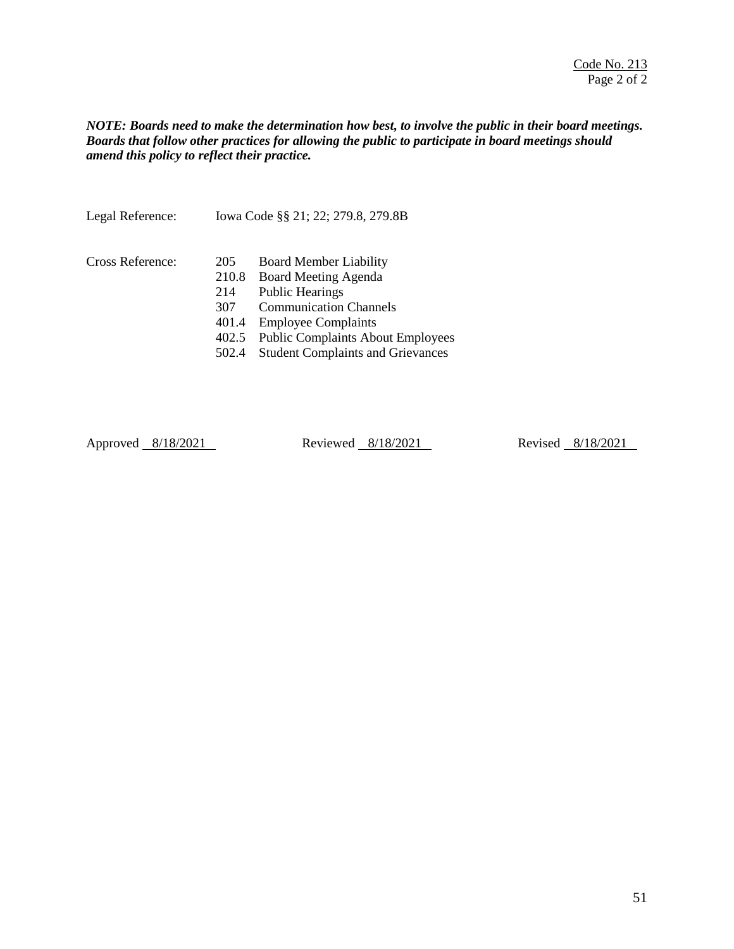## *NOTE: Boards need to make the determination how best, to involve the public in their board meetings. Boards that follow other practices for allowing the public to participate in board meetings should amend this policy to reflect their practice.*

| Legal Reference: | Iowa Code §§ 21; 22; 279.8, 279.8B                    |                                                                                                                                                                                                                                        |
|------------------|-------------------------------------------------------|----------------------------------------------------------------------------------------------------------------------------------------------------------------------------------------------------------------------------------------|
| Cross Reference: | 205<br>210.8<br>214<br>307<br>401.4<br>402.5<br>502.4 | <b>Board Member Liability</b><br>Board Meeting Agenda<br><b>Public Hearings</b><br><b>Communication Channels</b><br><b>Employee Complaints</b><br><b>Public Complaints About Employees</b><br><b>Student Complaints and Grievances</b> |
|                  |                                                       |                                                                                                                                                                                                                                        |

Approved 8/18/2021 Reviewed 8/18/2021 Revised 8/18/2021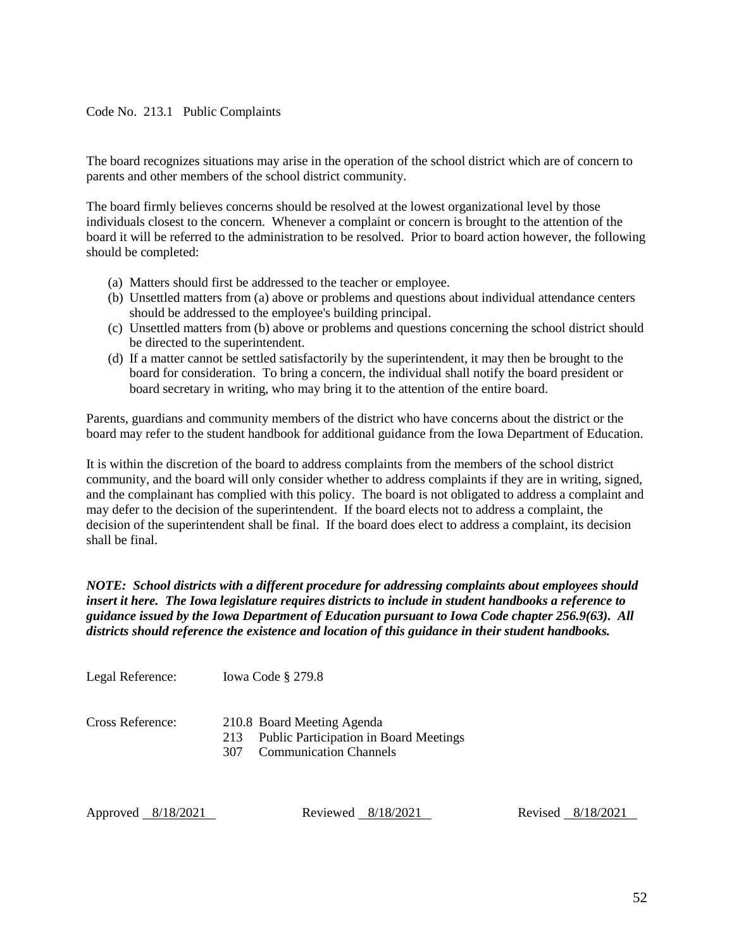## <span id="page-51-0"></span>Code No. 213.1 Public Complaints

The board recognizes situations may arise in the operation of the school district which are of concern to parents and other members of the school district community.

The board firmly believes concerns should be resolved at the lowest organizational level by those individuals closest to the concern. Whenever a complaint or concern is brought to the attention of the board it will be referred to the administration to be resolved. Prior to board action however, the following should be completed:

- (a) Matters should first be addressed to the teacher or employee.
- (b) Unsettled matters from (a) above or problems and questions about individual attendance centers should be addressed to the employee's building principal.
- (c) Unsettled matters from (b) above or problems and questions concerning the school district should be directed to the superintendent.
- (d) If a matter cannot be settled satisfactorily by the superintendent, it may then be brought to the board for consideration. To bring a concern, the individual shall notify the board president or board secretary in writing, who may bring it to the attention of the entire board.

Parents, guardians and community members of the district who have concerns about the district or the board may refer to the student handbook for additional guidance from the Iowa Department of Education.

It is within the discretion of the board to address complaints from the members of the school district community, and the board will only consider whether to address complaints if they are in writing, signed, and the complainant has complied with this policy. The board is not obligated to address a complaint and may defer to the decision of the superintendent. If the board elects not to address a complaint, the decision of the superintendent shall be final. If the board does elect to address a complaint, its decision shall be final.

*NOTE: School districts with a different procedure for addressing complaints about employees should insert it here. The Iowa legislature requires districts to include in student handbooks a reference to guidance issued by the Iowa Department of Education pursuant to Iowa Code chapter 256.9(63). All districts should reference the existence and location of this guidance in their student handbooks.* 

Legal Reference: Iowa Code § 279.8

Cross Reference: 210.8 Board Meeting Agenda

- 213 Public Participation in Board Meetings
- 307 Communication Channels

Approved 8/18/2021 Reviewed 8/18/2021 Revised 8/18/2021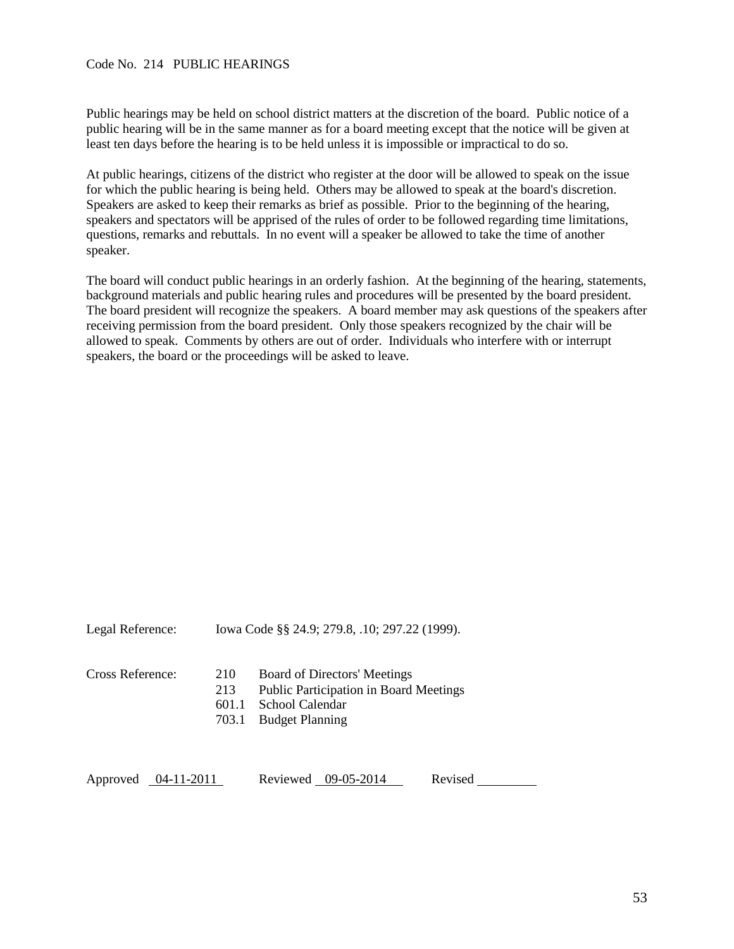#### <span id="page-52-0"></span>Code No. 214 PUBLIC HEARINGS

Public hearings may be held on school district matters at the discretion of the board. Public notice of a public hearing will be in the same manner as for a board meeting except that the notice will be given at least ten days before the hearing is to be held unless it is impossible or impractical to do so.

At public hearings, citizens of the district who register at the door will be allowed to speak on the issue for which the public hearing is being held. Others may be allowed to speak at the board's discretion. Speakers are asked to keep their remarks as brief as possible. Prior to the beginning of the hearing, speakers and spectators will be apprised of the rules of order to be followed regarding time limitations, questions, remarks and rebuttals. In no event will a speaker be allowed to take the time of another speaker.

The board will conduct public hearings in an orderly fashion. At the beginning of the hearing, statements, background materials and public hearing rules and procedures will be presented by the board president. The board president will recognize the speakers. A board member may ask questions of the speakers after receiving permission from the board president. Only those speakers recognized by the chair will be allowed to speak. Comments by others are out of order. Individuals who interfere with or interrupt speakers, the board or the proceedings will be asked to leave.

| Legal Reference:       |                              | Iowa Code §§ 24.9; 279.8, .10; 297.22 (1999).                                                                                     |         |  |
|------------------------|------------------------------|-----------------------------------------------------------------------------------------------------------------------------------|---------|--|
| Cross Reference:       | 210<br>213<br>601.1<br>703.1 | <b>Board of Directors' Meetings</b><br><b>Public Participation in Board Meetings</b><br>School Calendar<br><b>Budget Planning</b> |         |  |
| Approved<br>04-11-2011 |                              | 09-05-2014<br>Reviewed                                                                                                            | Revised |  |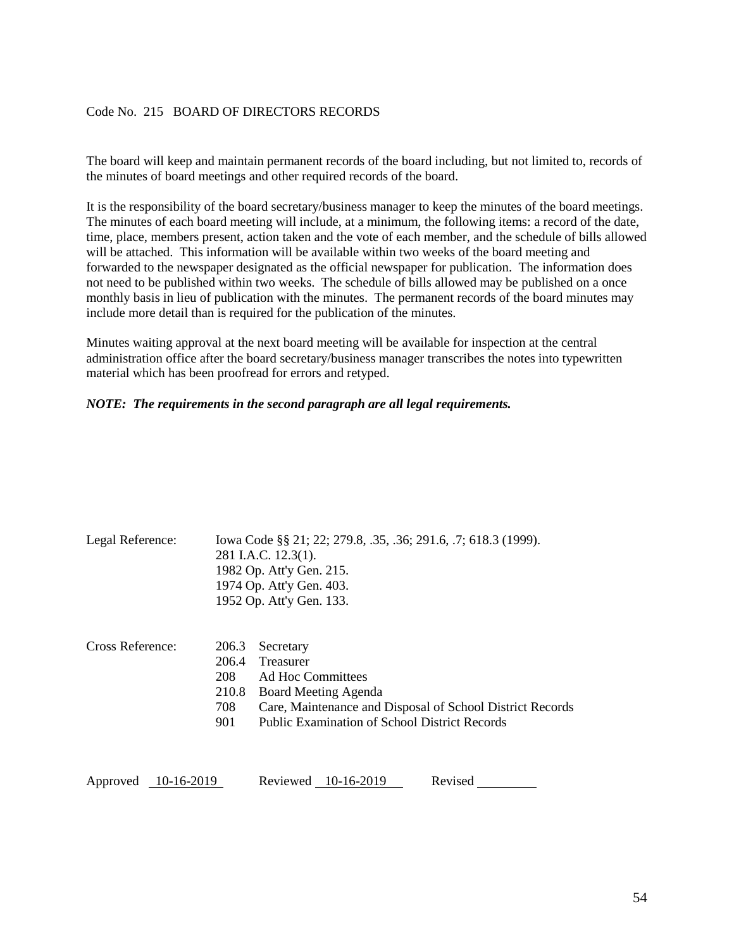# <span id="page-53-0"></span>Code No. 215 BOARD OF DIRECTORS RECORDS

The board will keep and maintain permanent records of the board including, but not limited to, records of the minutes of board meetings and other required records of the board.

It is the responsibility of the board secretary/business manager to keep the minutes of the board meetings. The minutes of each board meeting will include, at a minimum, the following items: a record of the date, time, place, members present, action taken and the vote of each member, and the schedule of bills allowed will be attached. This information will be available within two weeks of the board meeting and forwarded to the newspaper designated as the official newspaper for publication. The information does not need to be published within two weeks. The schedule of bills allowed may be published on a once monthly basis in lieu of publication with the minutes. The permanent records of the board minutes may include more detail than is required for the publication of the minutes.

Minutes waiting approval at the next board meeting will be available for inspection at the central administration office after the board secretary/business manager transcribes the notes into typewritten material which has been proofread for errors and retyped.

#### *NOTE: The requirements in the second paragraph are all legal requirements.*

| Legal Reference:       |                                              | Iowa Code §§ 21; 22; 279.8, .35, .36; 291.6, .7; 618.3 (1999).<br>281 I.A.C. 12.3(1).<br>1982 Op. Att'y Gen. 215.<br>1974 Op. Att'y Gen. 403.<br>1952 Op. Att'y Gen. 133.                |  |  |
|------------------------|----------------------------------------------|------------------------------------------------------------------------------------------------------------------------------------------------------------------------------------------|--|--|
| Cross Reference:       | 206.3<br>206.4<br>208<br>210.8<br>708<br>901 | Secretary<br>Treasurer<br>Ad Hoc Committees<br>Board Meeting Agenda<br>Care, Maintenance and Disposal of School District Records<br><b>Public Examination of School District Records</b> |  |  |
| Approved<br>10-16-2019 |                                              | Reviewed 10-16-2019<br>Revised                                                                                                                                                           |  |  |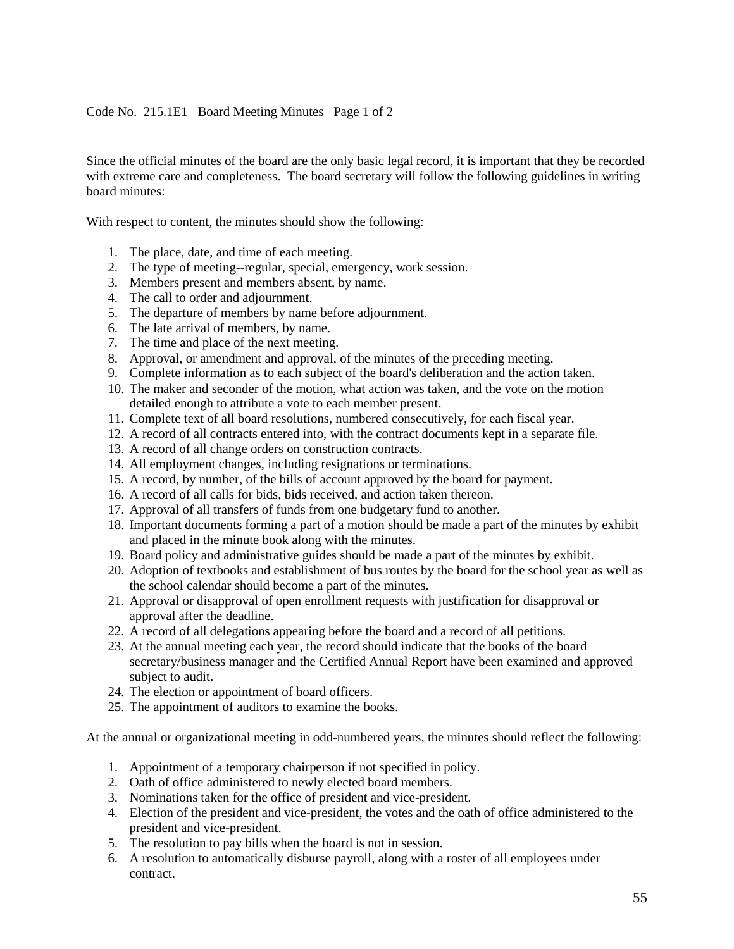## <span id="page-54-0"></span>Code No. 215.1E1 Board Meeting Minutes Page 1 of 2

Since the official minutes of the board are the only basic legal record, it is important that they be recorded with extreme care and completeness. The board secretary will follow the following guidelines in writing board minutes:

With respect to content, the minutes should show the following:

- 1. The place, date, and time of each meeting.
- 2. The type of meeting--regular, special, emergency, work session.
- 3. Members present and members absent, by name.
- 4. The call to order and adjournment.
- 5. The departure of members by name before adjournment.
- 6. The late arrival of members, by name.
- 7. The time and place of the next meeting.
- 8. Approval, or amendment and approval, of the minutes of the preceding meeting.
- 9. Complete information as to each subject of the board's deliberation and the action taken.
- 10. The maker and seconder of the motion, what action was taken, and the vote on the motion detailed enough to attribute a vote to each member present.
- 11. Complete text of all board resolutions, numbered consecutively, for each fiscal year.
- 12. A record of all contracts entered into, with the contract documents kept in a separate file.
- 13. A record of all change orders on construction contracts.
- 14. All employment changes, including resignations or terminations.
- 15. A record, by number, of the bills of account approved by the board for payment.
- 16. A record of all calls for bids, bids received, and action taken thereon.
- 17. Approval of all transfers of funds from one budgetary fund to another.
- 18. Important documents forming a part of a motion should be made a part of the minutes by exhibit and placed in the minute book along with the minutes.
- 19. Board policy and administrative guides should be made a part of the minutes by exhibit.
- 20. Adoption of textbooks and establishment of bus routes by the board for the school year as well as the school calendar should become a part of the minutes.
- 21. Approval or disapproval of open enrollment requests with justification for disapproval or approval after the deadline.
- 22. A record of all delegations appearing before the board and a record of all petitions.
- 23. At the annual meeting each year, the record should indicate that the books of the board secretary/business manager and the Certified Annual Report have been examined and approved subject to audit.
- 24. The election or appointment of board officers.
- 25. The appointment of auditors to examine the books.

At the annual or organizational meeting in odd-numbered years, the minutes should reflect the following:

- 1. Appointment of a temporary chairperson if not specified in policy.
- 2. Oath of office administered to newly elected board members.
- 3. Nominations taken for the office of president and vice-president.
- 4. Election of the president and vice-president, the votes and the oath of office administered to the president and vice-president.
- 5. The resolution to pay bills when the board is not in session.
- 6. A resolution to automatically disburse payroll, along with a roster of all employees under contract.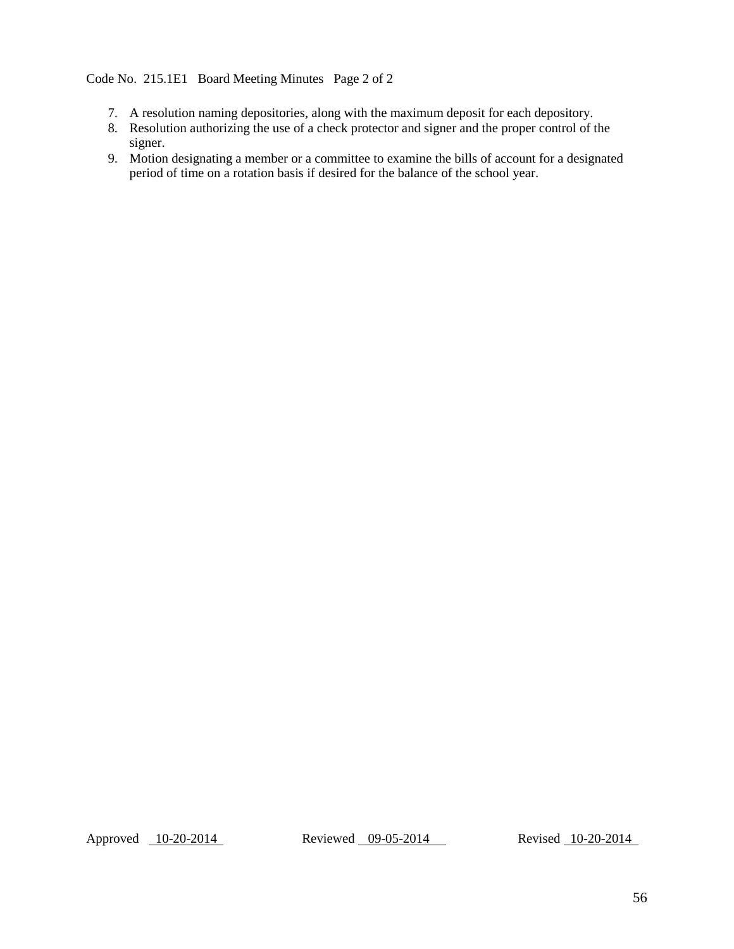# <span id="page-55-0"></span>Code No. 215.1E1 Board Meeting Minutes Page 2 of 2

- 7. A resolution naming depositories, along with the maximum deposit for each depository.
- 8. Resolution authorizing the use of a check protector and signer and the proper control of the signer.
- 9. Motion designating a member or a committee to examine the bills of account for a designated period of time on a rotation basis if desired for the balance of the school year.

Approved 10-20-2014 Reviewed 09-05-2014 Revised 10-20-2014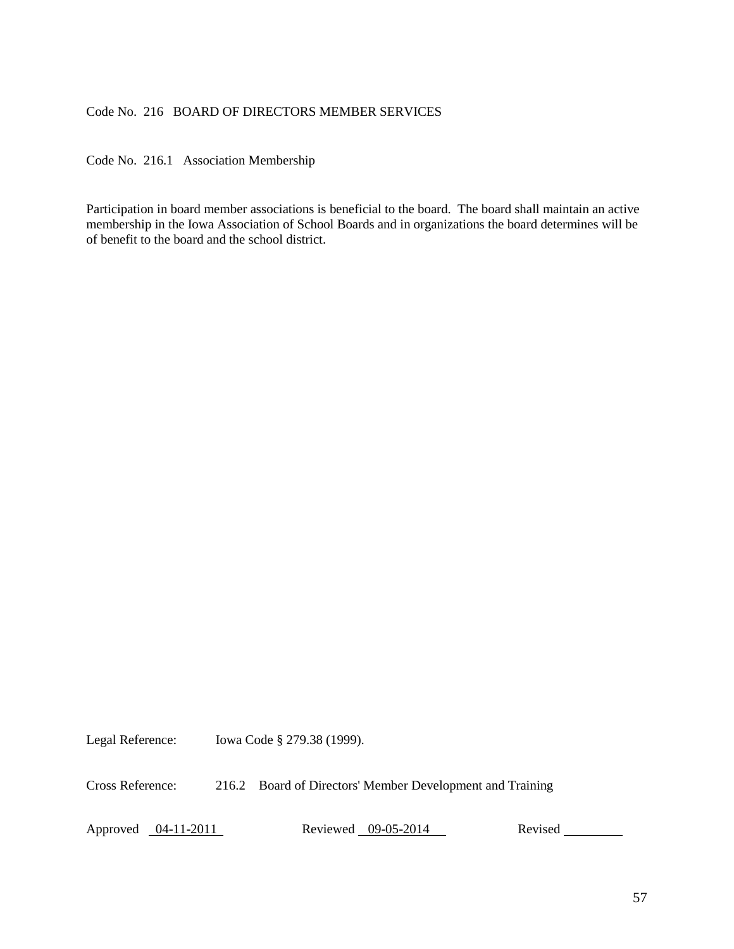## <span id="page-56-0"></span>Code No. 216 BOARD OF DIRECTORS MEMBER SERVICES

<span id="page-56-1"></span>Code No. 216.1 Association Membership

Participation in board member associations is beneficial to the board. The board shall maintain an active membership in the Iowa Association of School Boards and in organizations the board determines will be of benefit to the board and the school district.

Legal Reference: Iowa Code § 279.38 (1999).

Cross Reference: 216.2 Board of Directors' Member Development and Training

Approved 04-11-2011 Reviewed 09-05-2014 Revised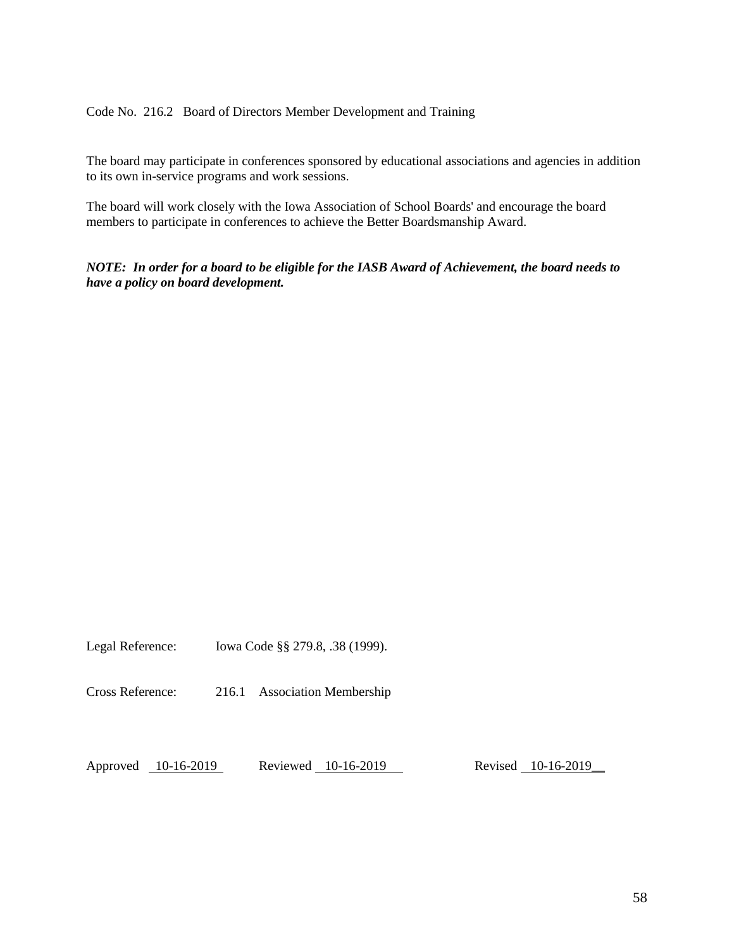<span id="page-57-0"></span>Code No. 216.2 Board of Directors Member Development and Training

The board may participate in conferences sponsored by educational associations and agencies in addition to its own in-service programs and work sessions.

The board will work closely with the Iowa Association of School Boards' and encourage the board members to participate in conferences to achieve the Better Boardsmanship Award.

*NOTE: In order for a board to be eligible for the IASB Award of Achievement, the board needs to have a policy on board development.*

Legal Reference: Iowa Code §§ 279.8, .38 (1999).

Cross Reference: 216.1 Association Membership

Approved 10-16-2019 Reviewed 10-16-2019 Revised 10-16-2019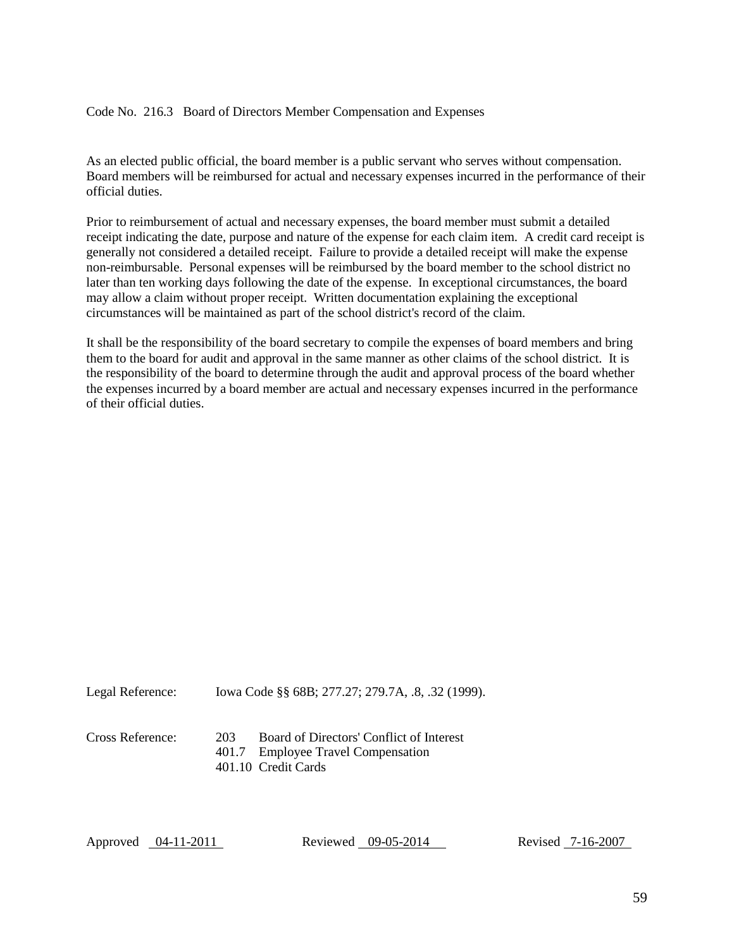#### <span id="page-58-0"></span>Code No. 216.3 Board of Directors Member Compensation and Expenses

As an elected public official, the board member is a public servant who serves without compensation. Board members will be reimbursed for actual and necessary expenses incurred in the performance of their official duties.

Prior to reimbursement of actual and necessary expenses, the board member must submit a detailed receipt indicating the date, purpose and nature of the expense for each claim item. A credit card receipt is generally not considered a detailed receipt. Failure to provide a detailed receipt will make the expense non-reimbursable. Personal expenses will be reimbursed by the board member to the school district no later than ten working days following the date of the expense. In exceptional circumstances, the board may allow a claim without proper receipt. Written documentation explaining the exceptional circumstances will be maintained as part of the school district's record of the claim.

It shall be the responsibility of the board secretary to compile the expenses of board members and bring them to the board for audit and approval in the same manner as other claims of the school district. It is the responsibility of the board to determine through the audit and approval process of the board whether the expenses incurred by a board member are actual and necessary expenses incurred in the performance of their official duties.

Legal Reference: Iowa Code §§ 68B; 277.27; 279.7A, .8, .32 (1999).

Cross Reference: 203 Board of Directors' Conflict of Interest

401.7 Employee Travel Compensation

401.10 Credit Cards

Approved 04-11-2011 Reviewed 09-05-2014 Revised 7-16-2007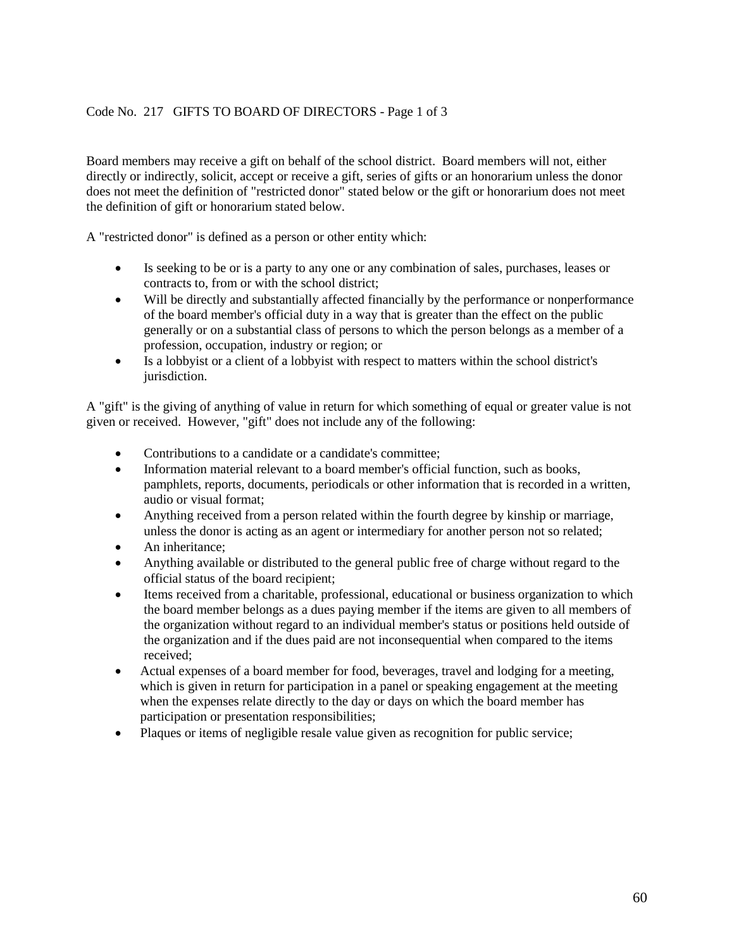# <span id="page-59-0"></span>Code No. 217 GIFTS TO BOARD OF DIRECTORS - Page 1 of 3

Board members may receive a gift on behalf of the school district. Board members will not, either directly or indirectly, solicit, accept or receive a gift, series of gifts or an honorarium unless the donor does not meet the definition of "restricted donor" stated below or the gift or honorarium does not meet the definition of gift or honorarium stated below.

A "restricted donor" is defined as a person or other entity which:

- Is seeking to be or is a party to any one or any combination of sales, purchases, leases or contracts to, from or with the school district;
- Will be directly and substantially affected financially by the performance or nonperformance of the board member's official duty in a way that is greater than the effect on the public generally or on a substantial class of persons to which the person belongs as a member of a profession, occupation, industry or region; or
- Is a lobbyist or a client of a lobbyist with respect to matters within the school district's jurisdiction.

A "gift" is the giving of anything of value in return for which something of equal or greater value is not given or received. However, "gift" does not include any of the following:

- Contributions to a candidate or a candidate's committee:
- Information material relevant to a board member's official function, such as books, pamphlets, reports, documents, periodicals or other information that is recorded in a written, audio or visual format;
- Anything received from a person related within the fourth degree by kinship or marriage, unless the donor is acting as an agent or intermediary for another person not so related;
- An inheritance;
- Anything available or distributed to the general public free of charge without regard to the official status of the board recipient;
- Items received from a charitable, professional, educational or business organization to which the board member belongs as a dues paying member if the items are given to all members of the organization without regard to an individual member's status or positions held outside of the organization and if the dues paid are not inconsequential when compared to the items received;
- Actual expenses of a board member for food, beverages, travel and lodging for a meeting, which is given in return for participation in a panel or speaking engagement at the meeting when the expenses relate directly to the day or days on which the board member has participation or presentation responsibilities;
- Plaques or items of negligible resale value given as recognition for public service;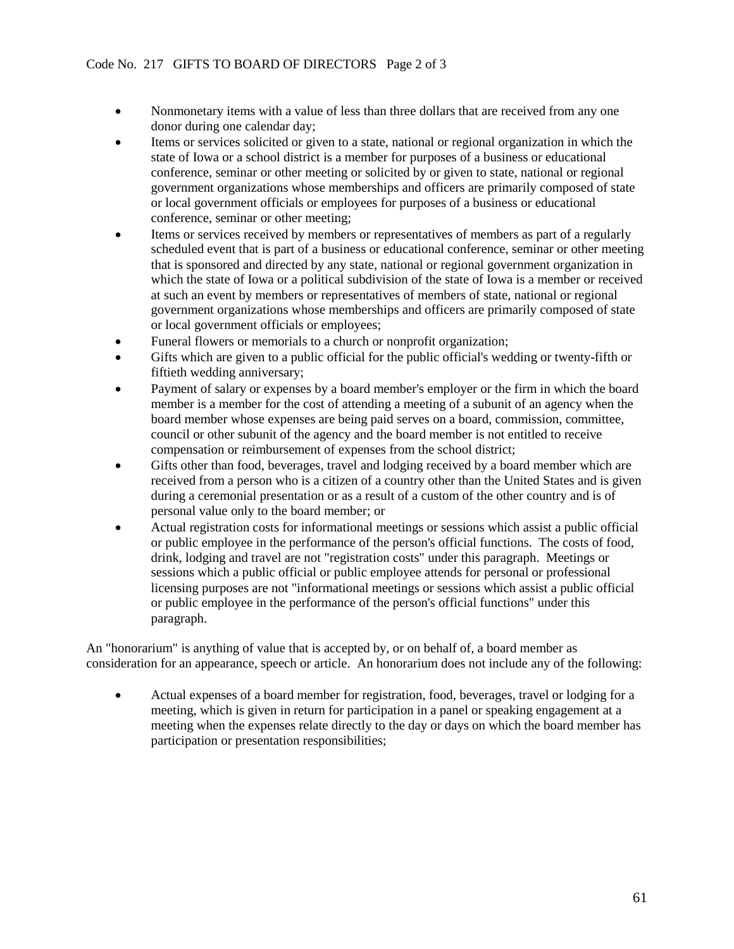- Nonmonetary items with a value of less than three dollars that are received from any one donor during one calendar day;
- Items or services solicited or given to a state, national or regional organization in which the state of Iowa or a school district is a member for purposes of a business or educational conference, seminar or other meeting or solicited by or given to state, national or regional government organizations whose memberships and officers are primarily composed of state or local government officials or employees for purposes of a business or educational conference, seminar or other meeting;
- Items or services received by members or representatives of members as part of a regularly scheduled event that is part of a business or educational conference, seminar or other meeting that is sponsored and directed by any state, national or regional government organization in which the state of Iowa or a political subdivision of the state of Iowa is a member or received at such an event by members or representatives of members of state, national or regional government organizations whose memberships and officers are primarily composed of state or local government officials or employees;
- Funeral flowers or memorials to a church or nonprofit organization;
- Gifts which are given to a public official for the public official's wedding or twenty-fifth or fiftieth wedding anniversary;
- Payment of salary or expenses by a board member's employer or the firm in which the board member is a member for the cost of attending a meeting of a subunit of an agency when the board member whose expenses are being paid serves on a board, commission, committee, council or other subunit of the agency and the board member is not entitled to receive compensation or reimbursement of expenses from the school district;
- Gifts other than food, beverages, travel and lodging received by a board member which are received from a person who is a citizen of a country other than the United States and is given during a ceremonial presentation or as a result of a custom of the other country and is of personal value only to the board member; or
- Actual registration costs for informational meetings or sessions which assist a public official or public employee in the performance of the person's official functions. The costs of food, drink, lodging and travel are not "registration costs" under this paragraph. Meetings or sessions which a public official or public employee attends for personal or professional licensing purposes are not "informational meetings or sessions which assist a public official or public employee in the performance of the person's official functions" under this paragraph.

An "honorarium" is anything of value that is accepted by, or on behalf of, a board member as consideration for an appearance, speech or article. An honorarium does not include any of the following:

 Actual expenses of a board member for registration, food, beverages, travel or lodging for a meeting, which is given in return for participation in a panel or speaking engagement at a meeting when the expenses relate directly to the day or days on which the board member has participation or presentation responsibilities;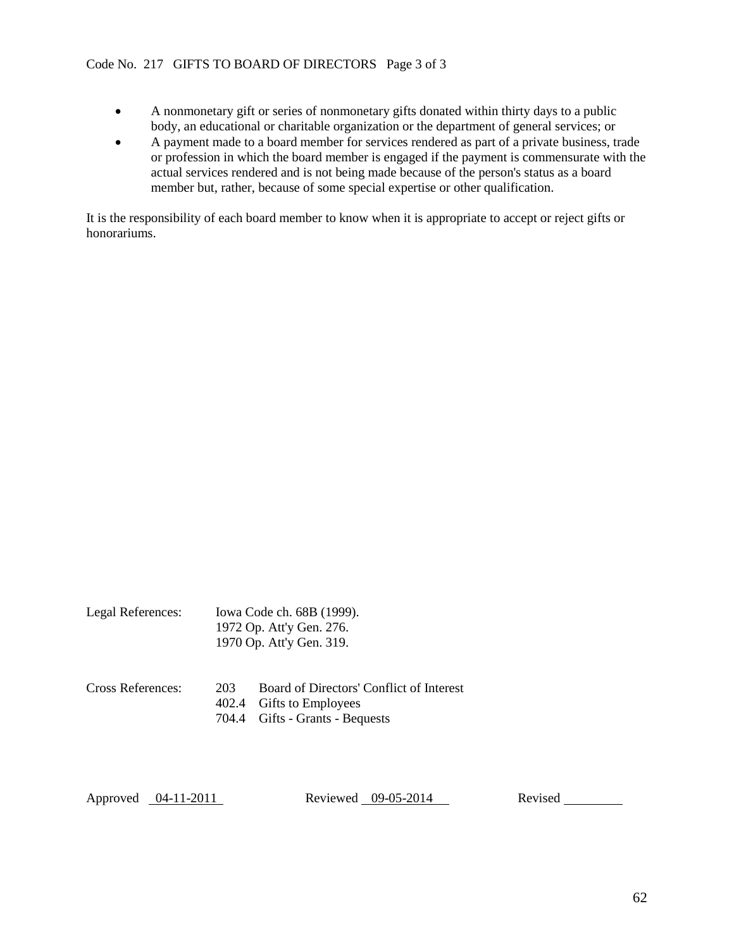- A nonmonetary gift or series of nonmonetary gifts donated within thirty days to a public body, an educational or charitable organization or the department of general services; or
- A payment made to a board member for services rendered as part of a private business, trade or profession in which the board member is engaged if the payment is commensurate with the actual services rendered and is not being made because of the person's status as a board member but, rather, because of some special expertise or other qualification.

It is the responsibility of each board member to know when it is appropriate to accept or reject gifts or honorariums.

|                   | 1972 Op. Att'y Gen. 276.<br>1970 Op. Att'y Gen. 319. |                                                                      |  |
|-------------------|------------------------------------------------------|----------------------------------------------------------------------|--|
| Cross References: | 203                                                  | Board of Directors' Conflict of Interest<br>402.4 Gifts to Employees |  |

Legal References: Iowa Code ch. 68B (1999).

704.4 Gifts - Grants - Bequests

Approved 04-11-2011 Reviewed 09-05-2014 Revised